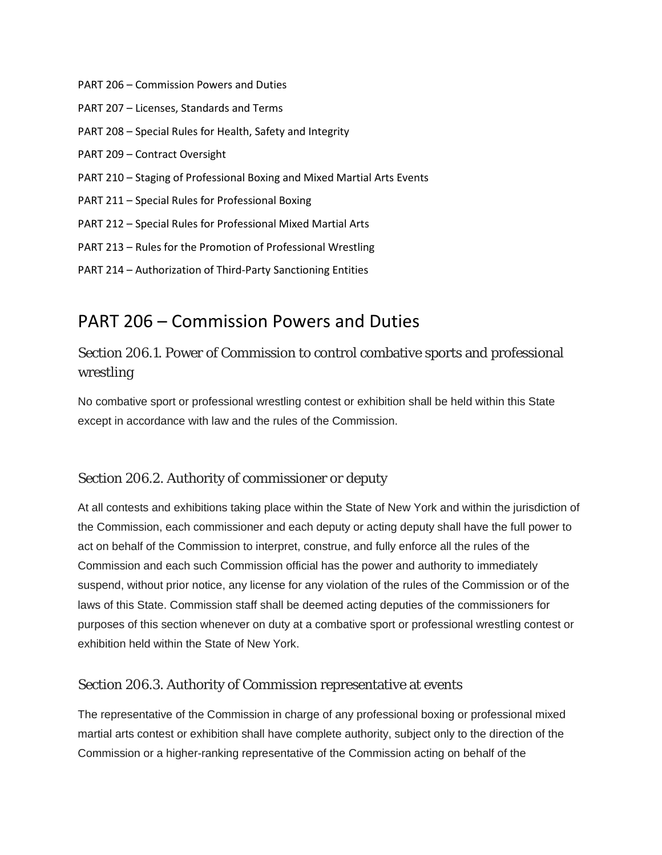- PART 206 Commission Powers and Duties
- PART 207 Licenses, Standards and Terms
- PART 208 Special Rules for Health, Safety and Integrity
- PART 209 Contract Oversight
- PART 210 Staging of Professional Boxing and Mixed Martial Arts Events
- PART 211 Special Rules for Professional Boxing
- PART 212 Special Rules for Professional Mixed Martial Arts
- PART 213 Rules for the Promotion of Professional Wrestling
- PART 214 Authorization of Third-Party Sanctioning Entities

# PART 206 – Commission Powers and Duties

# Section 206.1. Power of Commission to control combative sports and professional wrestling

No combative sport or professional wrestling contest or exhibition shall be held within this State except in accordance with law and the rules of the Commission.

#### Section 206.2. Authority of commissioner or deputy

At all contests and exhibitions taking place within the State of New York and within the jurisdiction of the Commission, each commissioner and each deputy or acting deputy shall have the full power to act on behalf of the Commission to interpret, construe, and fully enforce all the rules of the Commission and each such Commission official has the power and authority to immediately suspend, without prior notice, any license for any violation of the rules of the Commission or of the laws of this State. Commission staff shall be deemed acting deputies of the commissioners for purposes of this section whenever on duty at a combative sport or professional wrestling contest or exhibition held within the State of New York.

#### Section 206.3. Authority of Commission representative at events

The representative of the Commission in charge of any professional boxing or professional mixed martial arts contest or exhibition shall have complete authority, subject only to the direction of the Commission or a higher-ranking representative of the Commission acting on behalf of the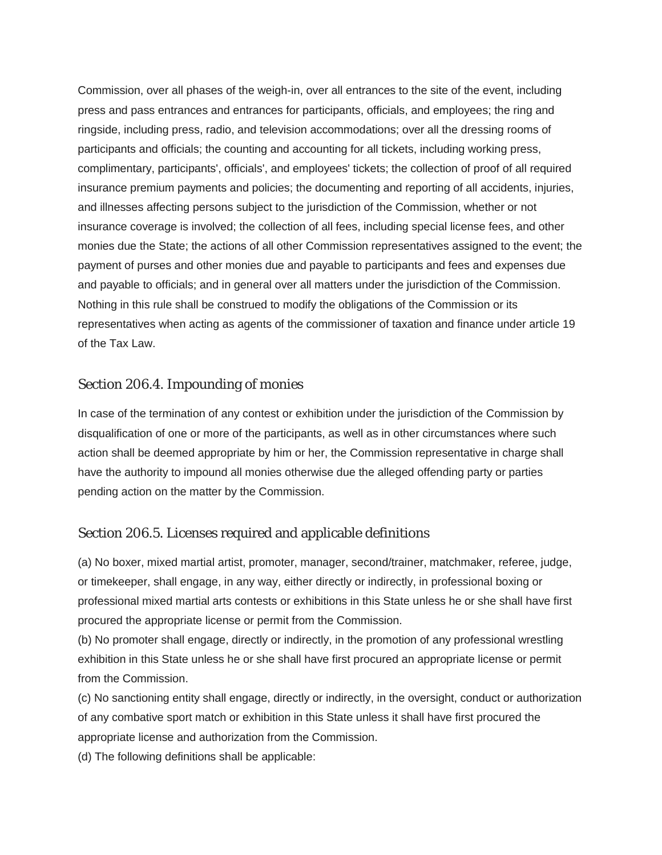Commission, over all phases of the weigh-in, over all entrances to the site of the event, including press and pass entrances and entrances for participants, officials, and employees; the ring and ringside, including press, radio, and television accommodations; over all the dressing rooms of participants and officials; the counting and accounting for all tickets, including working press, complimentary, participants', officials', and employees' tickets; the collection of proof of all required insurance premium payments and policies; the documenting and reporting of all accidents, injuries, and illnesses affecting persons subject to the jurisdiction of the Commission, whether or not insurance coverage is involved; the collection of all fees, including special license fees, and other monies due the State; the actions of all other Commission representatives assigned to the event; the payment of purses and other monies due and payable to participants and fees and expenses due and payable to officials; and in general over all matters under the jurisdiction of the Commission. Nothing in this rule shall be construed to modify the obligations of the Commission or its representatives when acting as agents of the commissioner of taxation and finance under article 19 of the Tax Law.

#### Section 206.4. Impounding of monies

In case of the termination of any contest or exhibition under the jurisdiction of the Commission by disqualification of one or more of the participants, as well as in other circumstances where such action shall be deemed appropriate by him or her, the Commission representative in charge shall have the authority to impound all monies otherwise due the alleged offending party or parties pending action on the matter by the Commission.

#### Section 206.5. Licenses required and applicable definitions

(a) No boxer, mixed martial artist, promoter, manager, second/trainer, matchmaker, referee, judge, or timekeeper, shall engage, in any way, either directly or indirectly, in professional boxing or professional mixed martial arts contests or exhibitions in this State unless he or she shall have first procured the appropriate license or permit from the Commission.

(b) No promoter shall engage, directly or indirectly, in the promotion of any professional wrestling exhibition in this State unless he or she shall have first procured an appropriate license or permit from the Commission.

(c) No sanctioning entity shall engage, directly or indirectly, in the oversight, conduct or authorization of any combative sport match or exhibition in this State unless it shall have first procured the appropriate license and authorization from the Commission.

(d) The following definitions shall be applicable: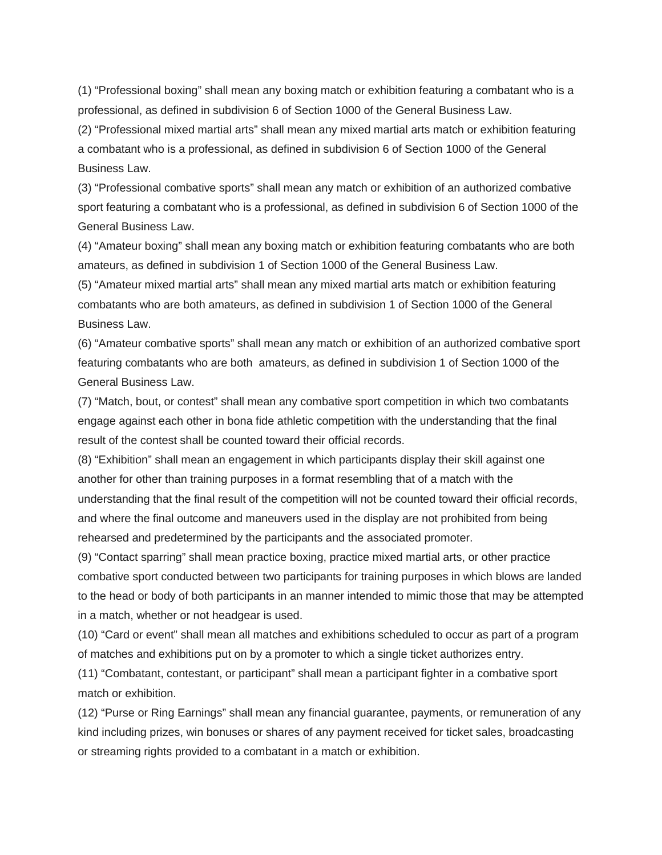(1) "Professional boxing" shall mean any boxing match or exhibition featuring a combatant who is a professional, as defined in subdivision 6 of Section 1000 of the General Business Law.

(2) "Professional mixed martial arts" shall mean any mixed martial arts match or exhibition featuring a combatant who is a professional, as defined in subdivision 6 of Section 1000 of the General Business Law.

(3) "Professional combative sports" shall mean any match or exhibition of an authorized combative sport featuring a combatant who is a professional, as defined in subdivision 6 of Section 1000 of the General Business Law.

(4) "Amateur boxing" shall mean any boxing match or exhibition featuring combatants who are both amateurs, as defined in subdivision 1 of Section 1000 of the General Business Law.

(5) "Amateur mixed martial arts" shall mean any mixed martial arts match or exhibition featuring combatants who are both amateurs, as defined in subdivision 1 of Section 1000 of the General Business Law.

(6) "Amateur combative sports" shall mean any match or exhibition of an authorized combative sport featuring combatants who are both amateurs, as defined in subdivision 1 of Section 1000 of the General Business Law.

(7) "Match, bout, or contest" shall mean any combative sport competition in which two combatants engage against each other in bona fide athletic competition with the understanding that the final result of the contest shall be counted toward their official records.

(8) "Exhibition" shall mean an engagement in which participants display their skill against one another for other than training purposes in a format resembling that of a match with the understanding that the final result of the competition will not be counted toward their official records, and where the final outcome and maneuvers used in the display are not prohibited from being rehearsed and predetermined by the participants and the associated promoter.

(9) "Contact sparring" shall mean practice boxing, practice mixed martial arts, or other practice combative sport conducted between two participants for training purposes in which blows are landed to the head or body of both participants in an manner intended to mimic those that may be attempted in a match, whether or not headgear is used.

(10) "Card or event" shall mean all matches and exhibitions scheduled to occur as part of a program of matches and exhibitions put on by a promoter to which a single ticket authorizes entry.

(11) "Combatant, contestant, or participant" shall mean a participant fighter in a combative sport match or exhibition.

(12) "Purse or Ring Earnings" shall mean any financial guarantee, payments, or remuneration of any kind including prizes, win bonuses or shares of any payment received for ticket sales, broadcasting or streaming rights provided to a combatant in a match or exhibition.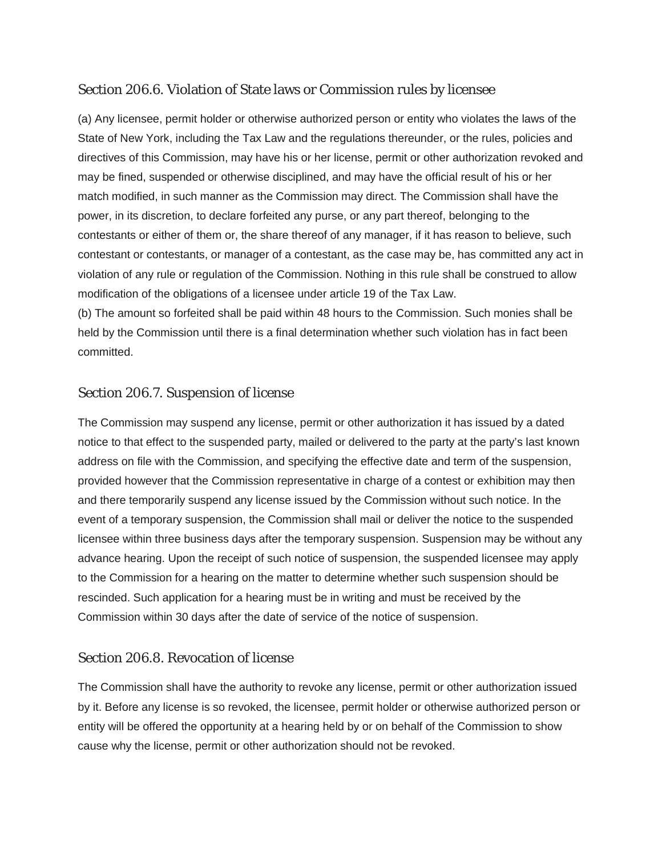## Section 206.6. Violation of State laws or Commission rules by licensee

(a) Any licensee, permit holder or otherwise authorized person or entity who violates the laws of the State of New York, including the Tax Law and the regulations thereunder, or the rules, policies and directives of this Commission, may have his or her license, permit or other authorization revoked and may be fined, suspended or otherwise disciplined, and may have the official result of his or her match modified, in such manner as the Commission may direct. The Commission shall have the power, in its discretion, to declare forfeited any purse, or any part thereof, belonging to the contestants or either of them or, the share thereof of any manager, if it has reason to believe, such contestant or contestants, or manager of a contestant, as the case may be, has committed any act in violation of any rule or regulation of the Commission. Nothing in this rule shall be construed to allow modification of the obligations of a licensee under article 19 of the Tax Law.

(b) The amount so forfeited shall be paid within 48 hours to the Commission. Such monies shall be held by the Commission until there is a final determination whether such violation has in fact been committed.

#### Section 206.7. Suspension of license

The Commission may suspend any license, permit or other authorization it has issued by a dated notice to that effect to the suspended party, mailed or delivered to the party at the party's last known address on file with the Commission, and specifying the effective date and term of the suspension, provided however that the Commission representative in charge of a contest or exhibition may then and there temporarily suspend any license issued by the Commission without such notice. In the event of a temporary suspension, the Commission shall mail or deliver the notice to the suspended licensee within three business days after the temporary suspension. Suspension may be without any advance hearing. Upon the receipt of such notice of suspension, the suspended licensee may apply to the Commission for a hearing on the matter to determine whether such suspension should be rescinded. Such application for a hearing must be in writing and must be received by the Commission within 30 days after the date of service of the notice of suspension.

#### Section 206.8. Revocation of license

The Commission shall have the authority to revoke any license, permit or other authorization issued by it. Before any license is so revoked, the licensee, permit holder or otherwise authorized person or entity will be offered the opportunity at a hearing held by or on behalf of the Commission to show cause why the license, permit or other authorization should not be revoked.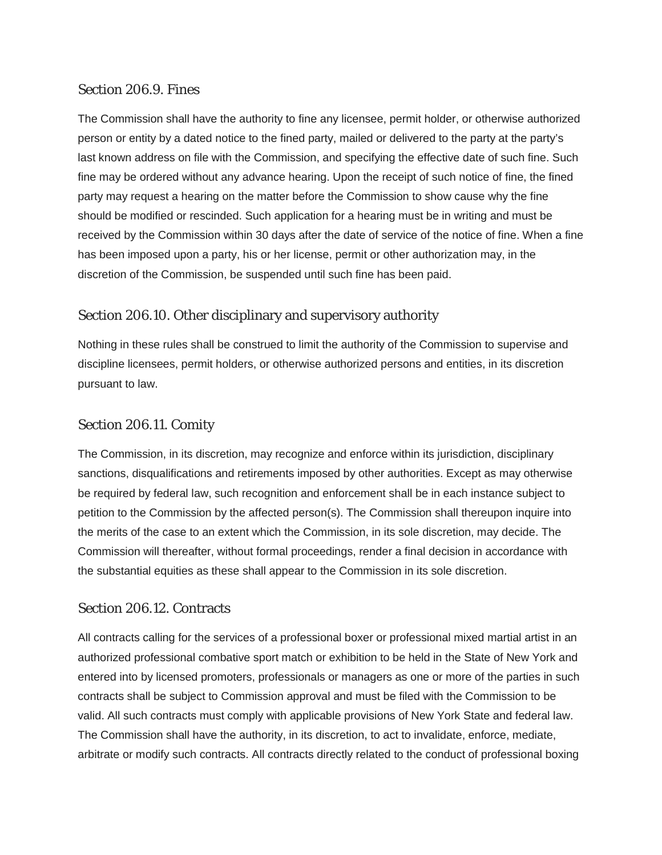#### Section 206.9. Fines

The Commission shall have the authority to fine any licensee, permit holder, or otherwise authorized person or entity by a dated notice to the fined party, mailed or delivered to the party at the party's last known address on file with the Commission, and specifying the effective date of such fine. Such fine may be ordered without any advance hearing. Upon the receipt of such notice of fine, the fined party may request a hearing on the matter before the Commission to show cause why the fine should be modified or rescinded. Such application for a hearing must be in writing and must be received by the Commission within 30 days after the date of service of the notice of fine. When a fine has been imposed upon a party, his or her license, permit or other authorization may, in the discretion of the Commission, be suspended until such fine has been paid.

# Section 206.10. Other disciplinary and supervisory authority

Nothing in these rules shall be construed to limit the authority of the Commission to supervise and discipline licensees, permit holders, or otherwise authorized persons and entities, in its discretion pursuant to law.

#### Section 206.11. Comity

The Commission, in its discretion, may recognize and enforce within its jurisdiction, disciplinary sanctions, disqualifications and retirements imposed by other authorities. Except as may otherwise be required by federal law, such recognition and enforcement shall be in each instance subject to petition to the Commission by the affected person(s). The Commission shall thereupon inquire into the merits of the case to an extent which the Commission, in its sole discretion, may decide. The Commission will thereafter, without formal proceedings, render a final decision in accordance with the substantial equities as these shall appear to the Commission in its sole discretion.

#### Section 206.12. Contracts

All contracts calling for the services of a professional boxer or professional mixed martial artist in an authorized professional combative sport match or exhibition to be held in the State of New York and entered into by licensed promoters, professionals or managers as one or more of the parties in such contracts shall be subject to Commission approval and must be filed with the Commission to be valid. All such contracts must comply with applicable provisions of New York State and federal law. The Commission shall have the authority, in its discretion, to act to invalidate, enforce, mediate, arbitrate or modify such contracts. All contracts directly related to the conduct of professional boxing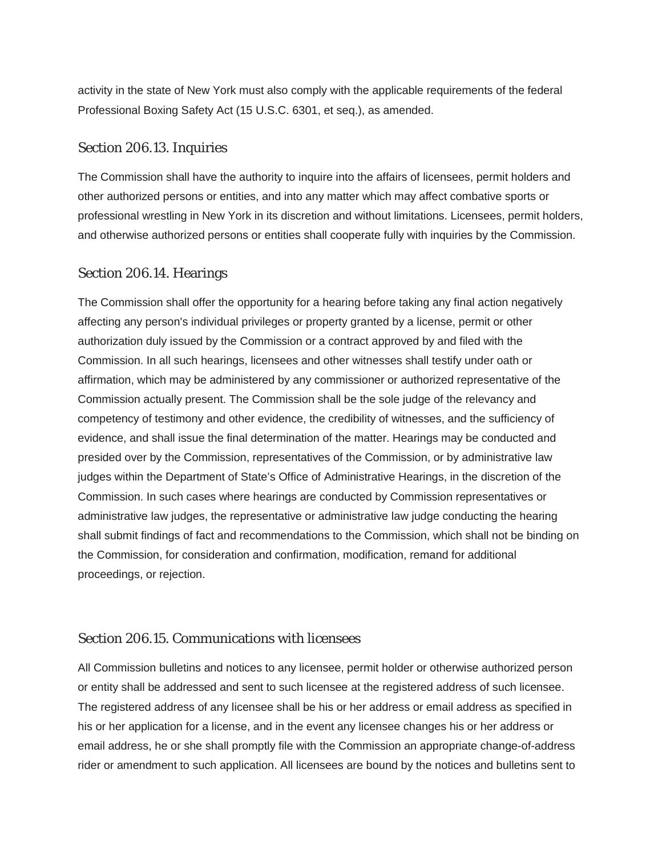activity in the state of New York must also comply with the applicable requirements of the federal Professional Boxing Safety Act (15 U.S.C. 6301, et seq.), as amended.

#### Section 206.13. Inquiries

The Commission shall have the authority to inquire into the affairs of licensees, permit holders and other authorized persons or entities, and into any matter which may affect combative sports or professional wrestling in New York in its discretion and without limitations. Licensees, permit holders, and otherwise authorized persons or entities shall cooperate fully with inquiries by the Commission.

#### Section 206.14. Hearings

The Commission shall offer the opportunity for a hearing before taking any final action negatively affecting any person's individual privileges or property granted by a license, permit or other authorization duly issued by the Commission or a contract approved by and filed with the Commission. In all such hearings, licensees and other witnesses shall testify under oath or affirmation, which may be administered by any commissioner or authorized representative of the Commission actually present. The Commission shall be the sole judge of the relevancy and competency of testimony and other evidence, the credibility of witnesses, and the sufficiency of evidence, and shall issue the final determination of the matter. Hearings may be conducted and presided over by the Commission, representatives of the Commission, or by administrative law judges within the Department of State's Office of Administrative Hearings, in the discretion of the Commission. In such cases where hearings are conducted by Commission representatives or administrative law judges, the representative or administrative law judge conducting the hearing shall submit findings of fact and recommendations to the Commission, which shall not be binding on the Commission, for consideration and confirmation, modification, remand for additional proceedings, or rejection.

#### Section 206.15. Communications with licensees

All Commission bulletins and notices to any licensee, permit holder or otherwise authorized person or entity shall be addressed and sent to such licensee at the registered address of such licensee. The registered address of any licensee shall be his or her address or email address as specified in his or her application for a license, and in the event any licensee changes his or her address or email address, he or she shall promptly file with the Commission an appropriate change-of-address rider or amendment to such application. All licensees are bound by the notices and bulletins sent to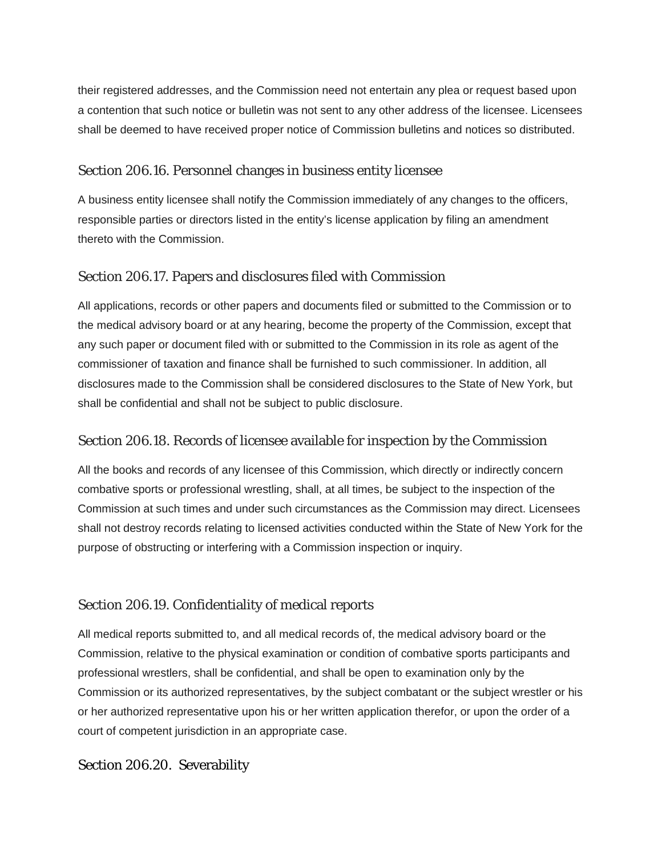their registered addresses, and the Commission need not entertain any plea or request based upon a contention that such notice or bulletin was not sent to any other address of the licensee. Licensees shall be deemed to have received proper notice of Commission bulletins and notices so distributed.

# Section 206.16. Personnel changes in business entity licensee

A business entity licensee shall notify the Commission immediately of any changes to the officers, responsible parties or directors listed in the entity's license application by filing an amendment thereto with the Commission.

# Section 206.17. Papers and disclosures filed with Commission

All applications, records or other papers and documents filed or submitted to the Commission or to the medical advisory board or at any hearing, become the property of the Commission, except that any such paper or document filed with or submitted to the Commission in its role as agent of the commissioner of taxation and finance shall be furnished to such commissioner. In addition, all disclosures made to the Commission shall be considered disclosures to the State of New York, but shall be confidential and shall not be subject to public disclosure.

#### Section 206.18. Records of licensee available for inspection by the Commission

All the books and records of any licensee of this Commission, which directly or indirectly concern combative sports or professional wrestling, shall, at all times, be subject to the inspection of the Commission at such times and under such circumstances as the Commission may direct. Licensees shall not destroy records relating to licensed activities conducted within the State of New York for the purpose of obstructing or interfering with a Commission inspection or inquiry.

# Section 206.19. Confidentiality of medical reports

All medical reports submitted to, and all medical records of, the medical advisory board or the Commission, relative to the physical examination or condition of combative sports participants and professional wrestlers, shall be confidential, and shall be open to examination only by the Commission or its authorized representatives, by the subject combatant or the subject wrestler or his or her authorized representative upon his or her written application therefor, or upon the order of a court of competent jurisdiction in an appropriate case.

#### Section 206.20. Severability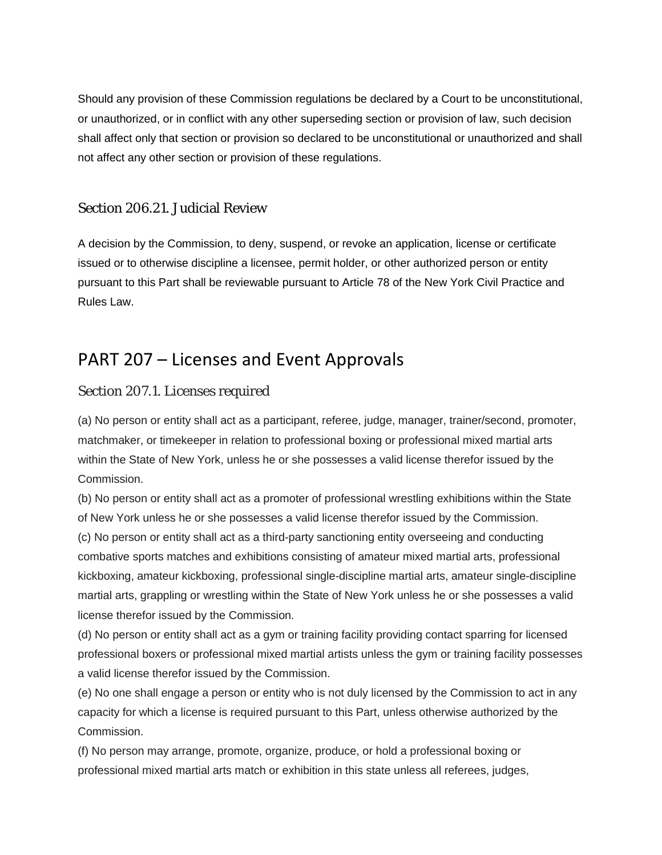Should any provision of these Commission regulations be declared by a Court to be unconstitutional, or unauthorized, or in conflict with any other superseding section or provision of law, such decision shall affect only that section or provision so declared to be unconstitutional or unauthorized and shall not affect any other section or provision of these regulations.

#### Section 206.21. Judicial Review

A decision by the Commission, to deny, suspend, or revoke an application, license or certificate issued or to otherwise discipline a licensee, permit holder, or other authorized person or entity pursuant to this Part shall be reviewable pursuant to Article 78 of the New York Civil Practice and Rules Law.

# PART 207 – Licenses and Event Approvals

#### Section 207.1. Licenses required

(a) No person or entity shall act as a participant, referee, judge, manager, trainer/second, promoter, matchmaker, or timekeeper in relation to professional boxing or professional mixed martial arts within the State of New York, unless he or she possesses a valid license therefor issued by the Commission.

(b) No person or entity shall act as a promoter of professional wrestling exhibitions within the State of New York unless he or she possesses a valid license therefor issued by the Commission. (c) No person or entity shall act as a third-party sanctioning entity overseeing and conducting combative sports matches and exhibitions consisting of amateur mixed martial arts, professional kickboxing, amateur kickboxing, professional single-discipline martial arts, amateur single-discipline martial arts, grappling or wrestling within the State of New York unless he or she possesses a valid license therefor issued by the Commission.

(d) No person or entity shall act as a gym or training facility providing contact sparring for licensed professional boxers or professional mixed martial artists unless the gym or training facility possesses a valid license therefor issued by the Commission.

(e) No one shall engage a person or entity who is not duly licensed by the Commission to act in any capacity for which a license is required pursuant to this Part, unless otherwise authorized by the Commission.

(f) No person may arrange, promote, organize, produce, or hold a professional boxing or professional mixed martial arts match or exhibition in this state unless all referees, judges,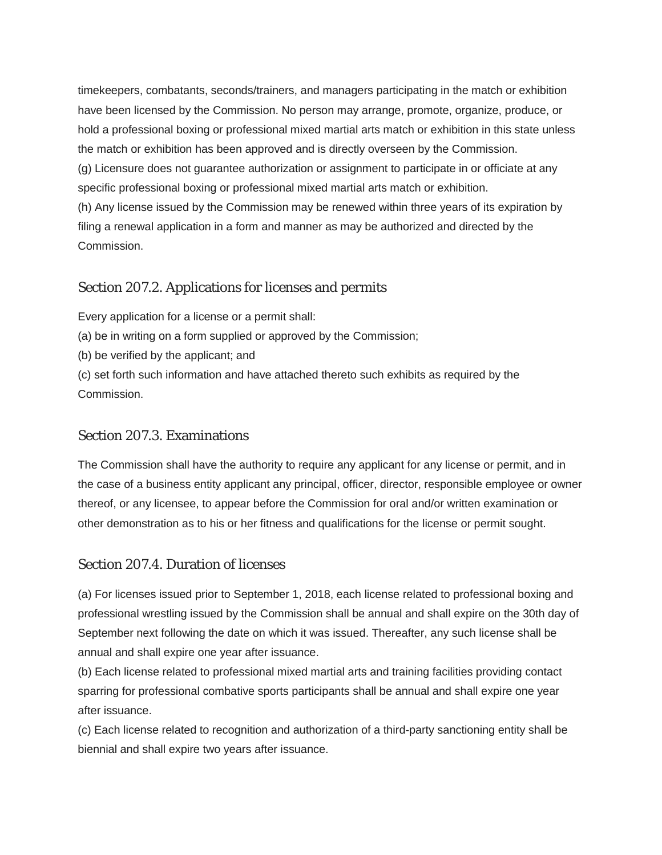timekeepers, combatants, seconds/trainers, and managers participating in the match or exhibition have been licensed by the Commission. No person may arrange, promote, organize, produce, or hold a professional boxing or professional mixed martial arts match or exhibition in this state unless the match or exhibition has been approved and is directly overseen by the Commission. (g) Licensure does not guarantee authorization or assignment to participate in or officiate at any specific professional boxing or professional mixed martial arts match or exhibition. (h) Any license issued by the Commission may be renewed within three years of its expiration by filing a renewal application in a form and manner as may be authorized and directed by the Commission.

# Section 207.2. Applications for licenses and permits

Every application for a license or a permit shall:

(a) be in writing on a form supplied or approved by the Commission;

(b) be verified by the applicant; and

(c) set forth such information and have attached thereto such exhibits as required by the Commission.

#### Section 207.3. Examinations

The Commission shall have the authority to require any applicant for any license or permit, and in the case of a business entity applicant any principal, officer, director, responsible employee or owner thereof, or any licensee, to appear before the Commission for oral and/or written examination or other demonstration as to his or her fitness and qualifications for the license or permit sought.

#### Section 207.4. Duration of licenses

(a) For licenses issued prior to September 1, 2018, each license related to professional boxing and professional wrestling issued by the Commission shall be annual and shall expire on the 30th day of September next following the date on which it was issued. Thereafter, any such license shall be annual and shall expire one year after issuance.

(b) Each license related to professional mixed martial arts and training facilities providing contact sparring for professional combative sports participants shall be annual and shall expire one year after issuance.

(c) Each license related to recognition and authorization of a third-party sanctioning entity shall be biennial and shall expire two years after issuance.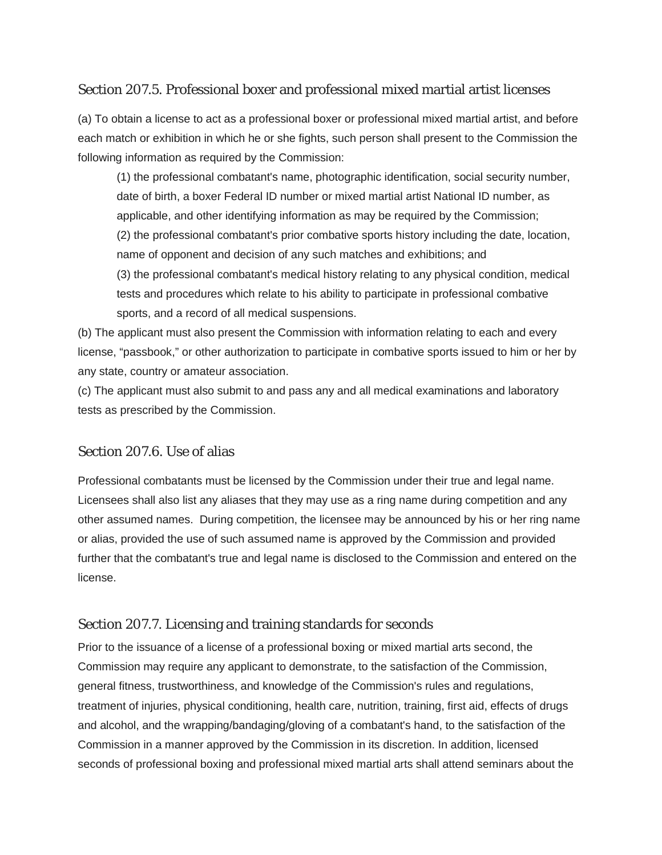# Section 207.5. Professional boxer and professional mixed martial artist licenses

(a) To obtain a license to act as a professional boxer or professional mixed martial artist, and before each match or exhibition in which he or she fights, such person shall present to the Commission the following information as required by the Commission:

(1) the professional combatant's name, photographic identification, social security number, date of birth, a boxer Federal ID number or mixed martial artist National ID number, as applicable, and other identifying information as may be required by the Commission; (2) the professional combatant's prior combative sports history including the date, location, name of opponent and decision of any such matches and exhibitions; and (3) the professional combatant's medical history relating to any physical condition, medical tests and procedures which relate to his ability to participate in professional combative sports, and a record of all medical suspensions.

(b) The applicant must also present the Commission with information relating to each and every license, "passbook," or other authorization to participate in combative sports issued to him or her by any state, country or amateur association.

(c) The applicant must also submit to and pass any and all medical examinations and laboratory tests as prescribed by the Commission.

#### Section 207.6. Use of alias

Professional combatants must be licensed by the Commission under their true and legal name. Licensees shall also list any aliases that they may use as a ring name during competition and any other assumed names. During competition, the licensee may be announced by his or her ring name or alias, provided the use of such assumed name is approved by the Commission and provided further that the combatant's true and legal name is disclosed to the Commission and entered on the license.

#### Section 207.7. Licensing and training standards for seconds

Prior to the issuance of a license of a professional boxing or mixed martial arts second, the Commission may require any applicant to demonstrate, to the satisfaction of the Commission, general fitness, trustworthiness, and knowledge of the Commission's rules and regulations, treatment of injuries, physical conditioning, health care, nutrition, training, first aid, effects of drugs and alcohol, and the wrapping/bandaging/gloving of a combatant's hand, to the satisfaction of the Commission in a manner approved by the Commission in its discretion. In addition, licensed seconds of professional boxing and professional mixed martial arts shall attend seminars about the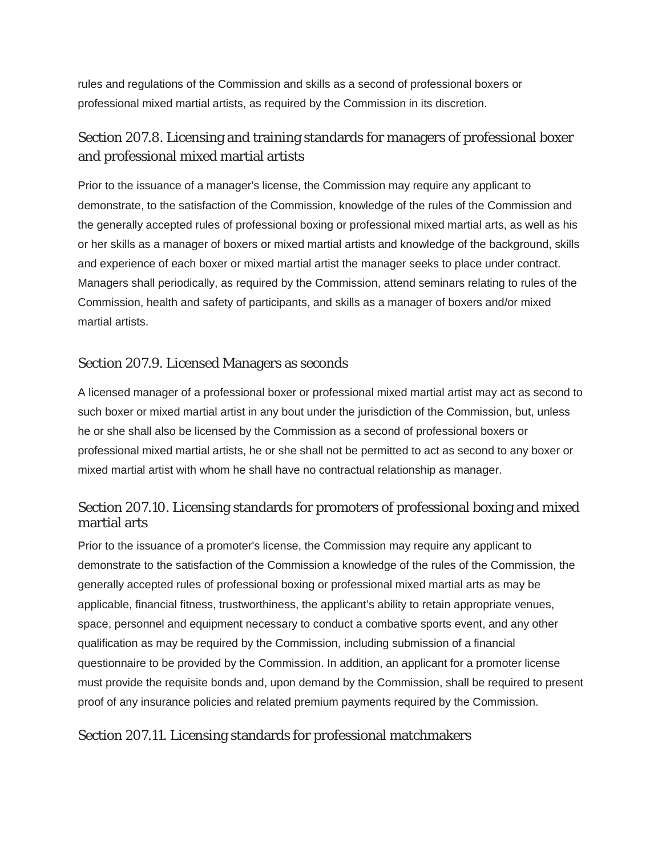rules and regulations of the Commission and skills as a second of professional boxers or professional mixed martial artists, as required by the Commission in its discretion.

# Section 207.8. Licensing and training standards for managers of professional boxer and professional mixed martial artists

Prior to the issuance of a manager's license, the Commission may require any applicant to demonstrate, to the satisfaction of the Commission, knowledge of the rules of the Commission and the generally accepted rules of professional boxing or professional mixed martial arts, as well as his or her skills as a manager of boxers or mixed martial artists and knowledge of the background, skills and experience of each boxer or mixed martial artist the manager seeks to place under contract. Managers shall periodically, as required by the Commission, attend seminars relating to rules of the Commission, health and safety of participants, and skills as a manager of boxers and/or mixed martial artists.

#### Section 207.9. Licensed Managers as seconds

A licensed manager of a professional boxer or professional mixed martial artist may act as second to such boxer or mixed martial artist in any bout under the jurisdiction of the Commission, but, unless he or she shall also be licensed by the Commission as a second of professional boxers or professional mixed martial artists, he or she shall not be permitted to act as second to any boxer or mixed martial artist with whom he shall have no contractual relationship as manager.

# Section 207.10. Licensing standards for promoters of professional boxing and mixed martial arts

Prior to the issuance of a promoter's license, the Commission may require any applicant to demonstrate to the satisfaction of the Commission a knowledge of the rules of the Commission, the generally accepted rules of professional boxing or professional mixed martial arts as may be applicable, financial fitness, trustworthiness, the applicant's ability to retain appropriate venues, space, personnel and equipment necessary to conduct a combative sports event, and any other qualification as may be required by the Commission, including submission of a financial questionnaire to be provided by the Commission. In addition, an applicant for a promoter license must provide the requisite bonds and, upon demand by the Commission, shall be required to present proof of any insurance policies and related premium payments required by the Commission.

# Section 207.11. Licensing standards for professional matchmakers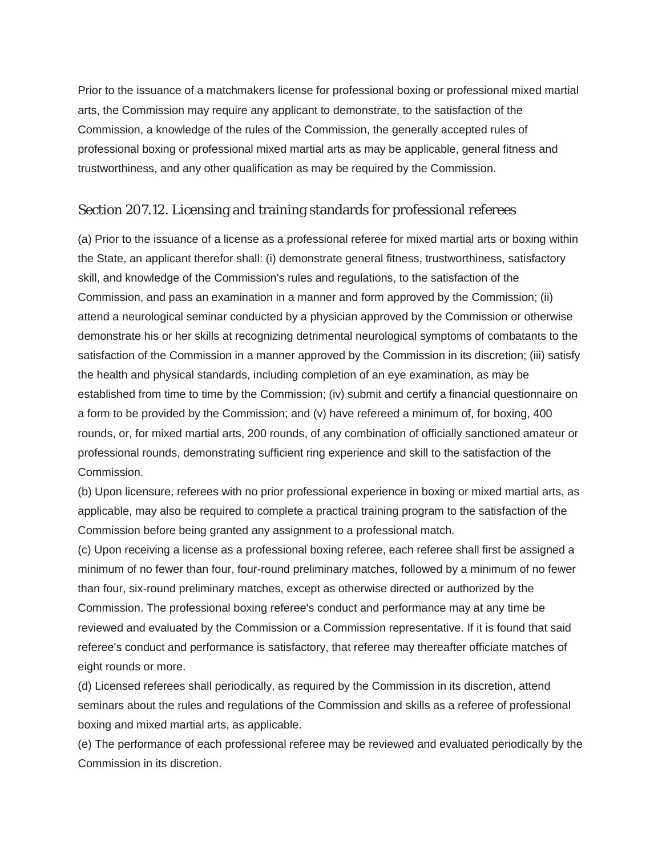Prior to the issuance of a matchmakers license for professional boxing or professional mixed martial arts, the Commission may require any applicant to demonstrate, to the satisfaction of the Commission, a knowledge of the rules of the Commission, the generally accepted rules of professional boxing or professional mixed martial arts as may be applicable, general fitness and trustworthiness, and any other qualification as may be required by the Commission.

### Section 207.12. Licensing and training standards for professional referees

(a) Prior to the issuance of a license as a professional referee for mixed martial arts or boxing within the State, an applicant therefor shall: (i) demonstrate general fitness, trustworthiness, satisfactory skill, and knowledge of the Commission's rules and regulations, to the satisfaction of the Commission, and pass an examination in a manner and form approved by the Commission; (ii) attend a neurological seminar conducted by a physician approved by the Commission or otherwise demonstrate his or her skills at recognizing detrimental neurological symptoms of combatants to the satisfaction of the Commission in a manner approved by the Commission in its discretion; (iii) satisfy the health and physical standards, including completion of an eye examination, as may be established from time to time by the Commission; (iv) submit and certify a financial questionnaire on a form to be provided by the Commission; and (v) have refereed a minimum of, for boxing, 400 rounds, or, for mixed martial arts, 200 rounds, of any combination of officially sanctioned amateur or professional rounds, demonstrating sufficient ring experience and skill to the satisfaction of the Commission.

(b) Upon licensure, referees with no prior professional experience in boxing or mixed martial arts, as applicable, may also be required to complete a practical training program to the satisfaction of the Commission before being granted any assignment to a professional match.

(c) Upon receiving a license as a professional boxing referee, each referee shall first be assigned a minimum of no fewer than four, four-round preliminary matches, followed by a minimum of no fewer than four, six-round preliminary matches, except as otherwise directed or authorized by the Commission. The professional boxing referee's conduct and performance may at any time be reviewed and evaluated by the Commission or a Commission representative. If it is found that said referee's conduct and performance is satisfactory, that referee may thereafter officiate matches of eight rounds or more.

(d) Licensed referees shall periodically, as required by the Commission in its discretion, attend seminars about the rules and regulations of the Commission and skills as a referee of professional boxing and mixed martial arts, as applicable.

(e) The performance of each professional referee may be reviewed and evaluated periodically by the Commission in its discretion.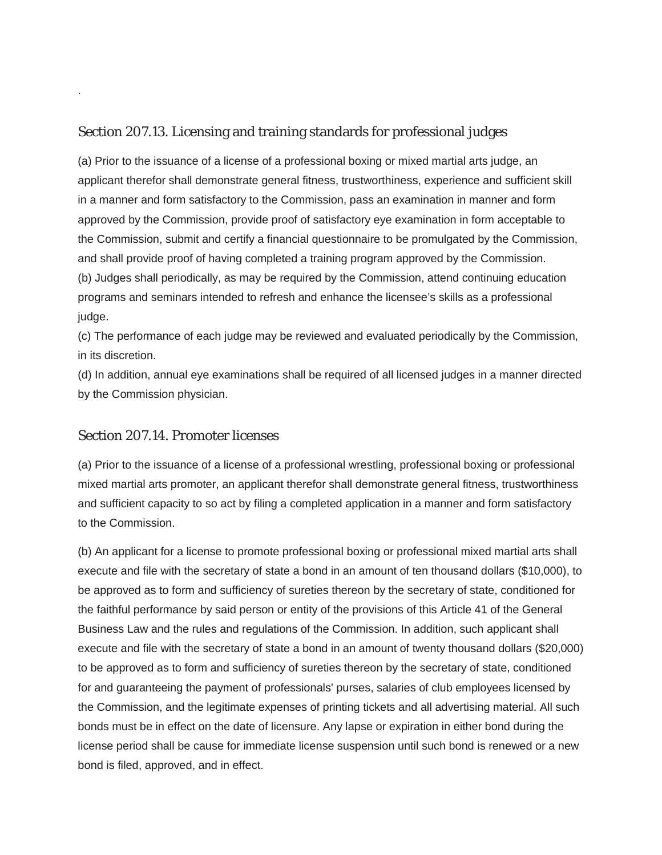#### Section 207.13. Licensing and training standards for professional judges

(a) Prior to the issuance of a license of a professional boxing or mixed martial arts judge, an applicant therefor shall demonstrate general fitness, trustworthiness, experience and sufficient skill in a manner and form satisfactory to the Commission, pass an examination in manner and form approved by the Commission, provide proof of satisfactory eye examination in form acceptable to the Commission, submit and certify a financial questionnaire to be promulgated by the Commission, and shall provide proof of having completed a training program approved by the Commission. (b) Judges shall periodically, as may be required by the Commission, attend continuing education programs and seminars intended to refresh and enhance the licensee's skills as a professional judge.

(c) The performance of each judge may be reviewed and evaluated periodically by the Commission, in its discretion.

(d) In addition, annual eye examinations shall be required of all licensed judges in a manner directed by the Commission physician.

#### Section 207.14. Promoter licenses

.

(a) Prior to the issuance of a license of a professional wrestling, professional boxing or professional mixed martial arts promoter, an applicant therefor shall demonstrate general fitness, trustworthiness and sufficient capacity to so act by filing a completed application in a manner and form satisfactory to the Commission.

(b) An applicant for a license to promote professional boxing or professional mixed martial arts shall execute and file with the secretary of state a bond in an amount of ten thousand dollars (\$10,000), to be approved as to form and sufficiency of sureties thereon by the secretary of state, conditioned for the faithful performance by said person or entity of the provisions of this Article 41 of the General Business Law and the rules and regulations of the Commission. In addition, such applicant shall execute and file with the secretary of state a bond in an amount of twenty thousand dollars (\$20,000) to be approved as to form and sufficiency of sureties thereon by the secretary of state, conditioned for and guaranteeing the payment of professionals' purses, salaries of club employees licensed by the Commission, and the legitimate expenses of printing tickets and all advertising material. All such bonds must be in effect on the date of licensure. Any lapse or expiration in either bond during the license period shall be cause for immediate license suspension until such bond is renewed or a new bond is filed, approved, and in effect.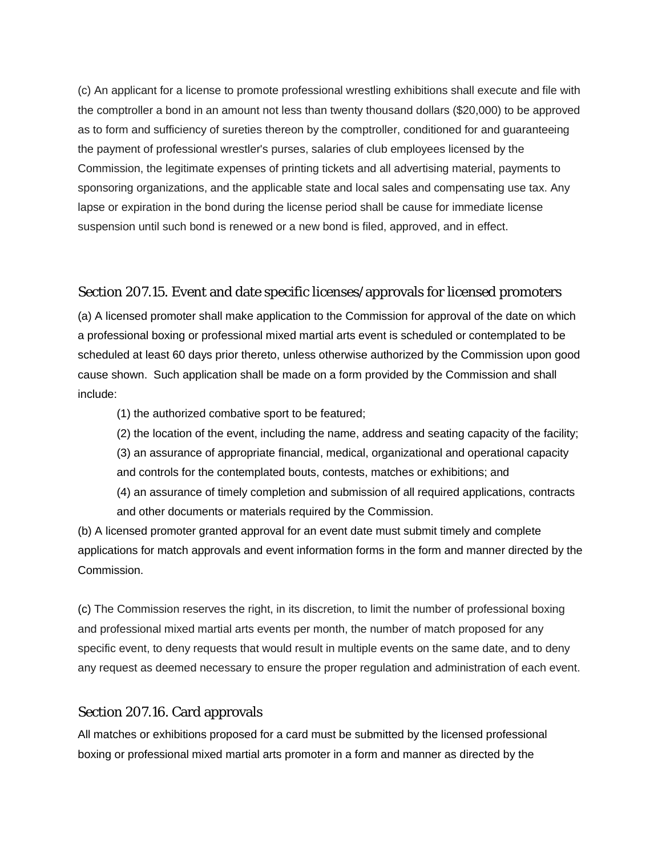(c) An applicant for a license to promote professional wrestling exhibitions shall execute and file with the comptroller a bond in an amount not less than twenty thousand dollars (\$20,000) to be approved as to form and sufficiency of sureties thereon by the comptroller, conditioned for and guaranteeing the payment of professional wrestler's purses, salaries of club employees licensed by the Commission, the legitimate expenses of printing tickets and all advertising material, payments to sponsoring organizations, and the applicable state and local sales and compensating use tax. Any lapse or expiration in the bond during the license period shall be cause for immediate license suspension until such bond is renewed or a new bond is filed, approved, and in effect.

#### Section 207.15. Event and date specific licenses/approvals for licensed promoters

(a) A licensed promoter shall make application to the Commission for approval of the date on which a professional boxing or professional mixed martial arts event is scheduled or contemplated to be scheduled at least 60 days prior thereto, unless otherwise authorized by the Commission upon good cause shown. Such application shall be made on a form provided by the Commission and shall include:

(1) the authorized combative sport to be featured;

(2) the location of the event, including the name, address and seating capacity of the facility; (3) an assurance of appropriate financial, medical, organizational and operational capacity

and controls for the contemplated bouts, contests, matches or exhibitions; and

(4) an assurance of timely completion and submission of all required applications, contracts and other documents or materials required by the Commission.

(b) A licensed promoter granted approval for an event date must submit timely and complete applications for match approvals and event information forms in the form and manner directed by the Commission.

(c) The Commission reserves the right, in its discretion, to limit the number of professional boxing and professional mixed martial arts events per month, the number of match proposed for any specific event, to deny requests that would result in multiple events on the same date, and to deny any request as deemed necessary to ensure the proper regulation and administration of each event.

#### Section 207.16. Card approvals

All matches or exhibitions proposed for a card must be submitted by the licensed professional boxing or professional mixed martial arts promoter in a form and manner as directed by the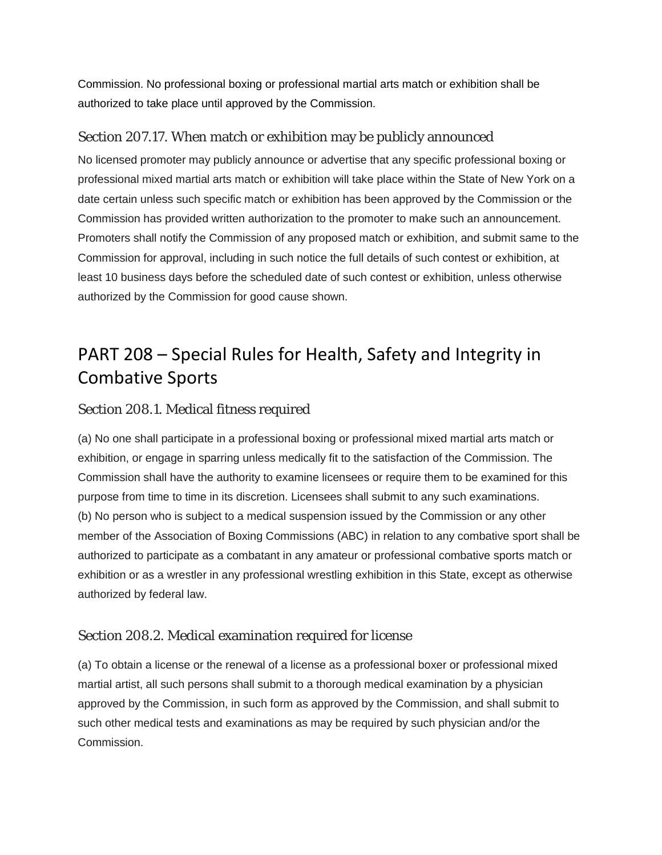Commission. No professional boxing or professional martial arts match or exhibition shall be authorized to take place until approved by the Commission.

# Section 207.17. When match or exhibition may be publicly announced

No licensed promoter may publicly announce or advertise that any specific professional boxing or professional mixed martial arts match or exhibition will take place within the State of New York on a date certain unless such specific match or exhibition has been approved by the Commission or the Commission has provided written authorization to the promoter to make such an announcement. Promoters shall notify the Commission of any proposed match or exhibition, and submit same to the Commission for approval, including in such notice the full details of such contest or exhibition, at least 10 business days before the scheduled date of such contest or exhibition, unless otherwise authorized by the Commission for good cause shown.

# PART 208 – Special Rules for Health, Safety and Integrity in Combative Sports

# Section 208.1. Medical fitness required

(a) No one shall participate in a professional boxing or professional mixed martial arts match or exhibition, or engage in sparring unless medically fit to the satisfaction of the Commission. The Commission shall have the authority to examine licensees or require them to be examined for this purpose from time to time in its discretion. Licensees shall submit to any such examinations. (b) No person who is subject to a medical suspension issued by the Commission or any other member of the Association of Boxing Commissions (ABC) in relation to any combative sport shall be authorized to participate as a combatant in any amateur or professional combative sports match or exhibition or as a wrestler in any professional wrestling exhibition in this State, except as otherwise authorized by federal law.

# Section 208.2. Medical examination required for license

(a) To obtain a license or the renewal of a license as a professional boxer or professional mixed martial artist, all such persons shall submit to a thorough medical examination by a physician approved by the Commission, in such form as approved by the Commission, and shall submit to such other medical tests and examinations as may be required by such physician and/or the Commission.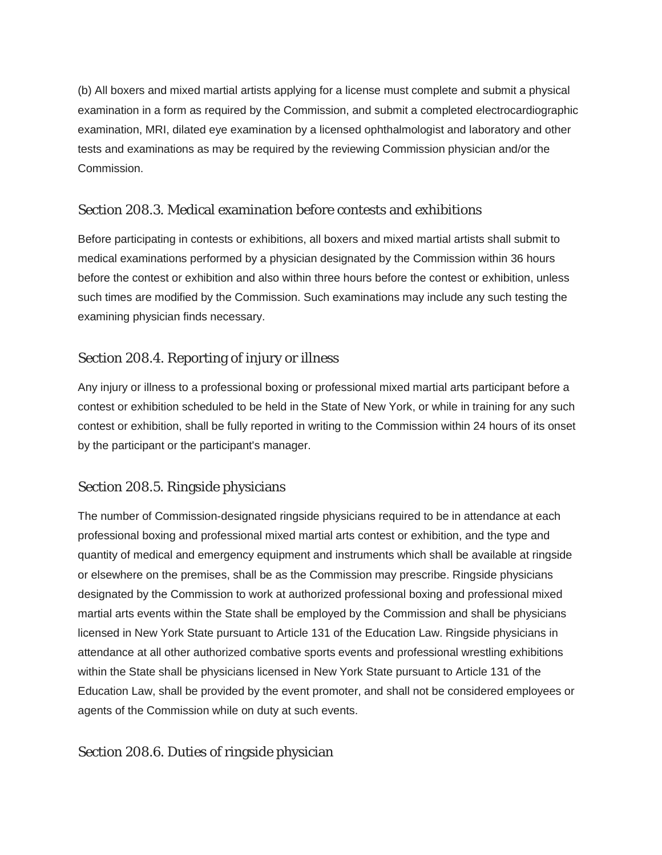(b) All boxers and mixed martial artists applying for a license must complete and submit a physical examination in a form as required by the Commission, and submit a completed electrocardiographic examination, MRI, dilated eye examination by a licensed ophthalmologist and laboratory and other tests and examinations as may be required by the reviewing Commission physician and/or the Commission.

# Section 208.3. Medical examination before contests and exhibitions

Before participating in contests or exhibitions, all boxers and mixed martial artists shall submit to medical examinations performed by a physician designated by the Commission within 36 hours before the contest or exhibition and also within three hours before the contest or exhibition, unless such times are modified by the Commission. Such examinations may include any such testing the examining physician finds necessary.

# Section 208.4. Reporting of injury or illness

Any injury or illness to a professional boxing or professional mixed martial arts participant before a contest or exhibition scheduled to be held in the State of New York, or while in training for any such contest or exhibition, shall be fully reported in writing to the Commission within 24 hours of its onset by the participant or the participant's manager.

# Section 208.5. Ringside physicians

The number of Commission-designated ringside physicians required to be in attendance at each professional boxing and professional mixed martial arts contest or exhibition, and the type and quantity of medical and emergency equipment and instruments which shall be available at ringside or elsewhere on the premises, shall be as the Commission may prescribe. Ringside physicians designated by the Commission to work at authorized professional boxing and professional mixed martial arts events within the State shall be employed by the Commission and shall be physicians licensed in New York State pursuant to Article 131 of the Education Law. Ringside physicians in attendance at all other authorized combative sports events and professional wrestling exhibitions within the State shall be physicians licensed in New York State pursuant to Article 131 of the Education Law, shall be provided by the event promoter, and shall not be considered employees or agents of the Commission while on duty at such events.

#### Section 208.6. Duties of ringside physician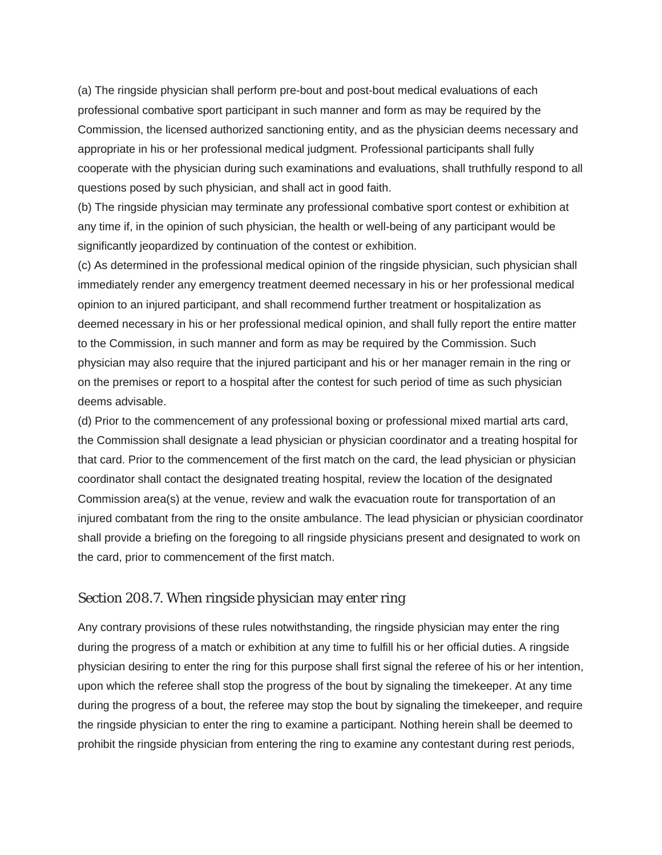(a) The ringside physician shall perform pre-bout and post-bout medical evaluations of each professional combative sport participant in such manner and form as may be required by the Commission, the licensed authorized sanctioning entity, and as the physician deems necessary and appropriate in his or her professional medical judgment. Professional participants shall fully cooperate with the physician during such examinations and evaluations, shall truthfully respond to all questions posed by such physician, and shall act in good faith.

(b) The ringside physician may terminate any professional combative sport contest or exhibition at any time if, in the opinion of such physician, the health or well-being of any participant would be significantly jeopardized by continuation of the contest or exhibition.

(c) As determined in the professional medical opinion of the ringside physician, such physician shall immediately render any emergency treatment deemed necessary in his or her professional medical opinion to an injured participant, and shall recommend further treatment or hospitalization as deemed necessary in his or her professional medical opinion, and shall fully report the entire matter to the Commission, in such manner and form as may be required by the Commission. Such physician may also require that the injured participant and his or her manager remain in the ring or on the premises or report to a hospital after the contest for such period of time as such physician deems advisable.

(d) Prior to the commencement of any professional boxing or professional mixed martial arts card, the Commission shall designate a lead physician or physician coordinator and a treating hospital for that card. Prior to the commencement of the first match on the card, the lead physician or physician coordinator shall contact the designated treating hospital, review the location of the designated Commission area(s) at the venue, review and walk the evacuation route for transportation of an injured combatant from the ring to the onsite ambulance. The lead physician or physician coordinator shall provide a briefing on the foregoing to all ringside physicians present and designated to work on the card, prior to commencement of the first match.

#### Section 208.7. When ringside physician may enter ring

Any contrary provisions of these rules notwithstanding, the ringside physician may enter the ring during the progress of a match or exhibition at any time to fulfill his or her official duties. A ringside physician desiring to enter the ring for this purpose shall first signal the referee of his or her intention, upon which the referee shall stop the progress of the bout by signaling the timekeeper. At any time during the progress of a bout, the referee may stop the bout by signaling the timekeeper, and require the ringside physician to enter the ring to examine a participant. Nothing herein shall be deemed to prohibit the ringside physician from entering the ring to examine any contestant during rest periods,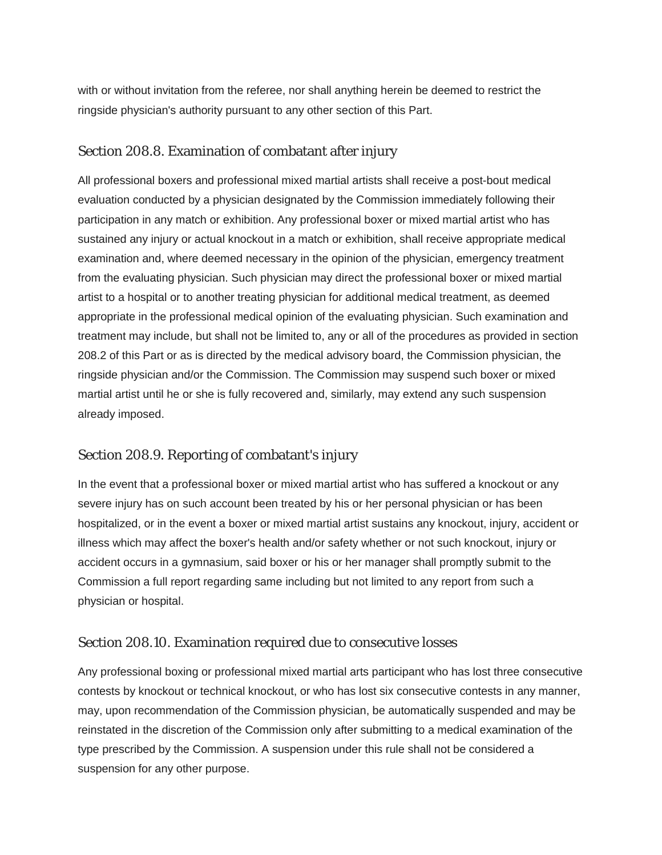with or without invitation from the referee, nor shall anything herein be deemed to restrict the ringside physician's authority pursuant to any other section of this Part.

#### Section 208.8. Examination of combatant after injury

All professional boxers and professional mixed martial artists shall receive a post-bout medical evaluation conducted by a physician designated by the Commission immediately following their participation in any match or exhibition. Any professional boxer or mixed martial artist who has sustained any injury or actual knockout in a match or exhibition, shall receive appropriate medical examination and, where deemed necessary in the opinion of the physician, emergency treatment from the evaluating physician. Such physician may direct the professional boxer or mixed martial artist to a hospital or to another treating physician for additional medical treatment, as deemed appropriate in the professional medical opinion of the evaluating physician. Such examination and treatment may include, but shall not be limited to, any or all of the procedures as provided in section 208.2 of this Part or as is directed by the medical advisory board, the Commission physician, the ringside physician and/or the Commission. The Commission may suspend such boxer or mixed martial artist until he or she is fully recovered and, similarly, may extend any such suspension already imposed.

#### Section 208.9. Reporting of combatant's injury

In the event that a professional boxer or mixed martial artist who has suffered a knockout or any severe injury has on such account been treated by his or her personal physician or has been hospitalized, or in the event a boxer or mixed martial artist sustains any knockout, injury, accident or illness which may affect the boxer's health and/or safety whether or not such knockout, injury or accident occurs in a gymnasium, said boxer or his or her manager shall promptly submit to the Commission a full report regarding same including but not limited to any report from such a physician or hospital.

#### Section 208.10. Examination required due to consecutive losses

Any professional boxing or professional mixed martial arts participant who has lost three consecutive contests by knockout or technical knockout, or who has lost six consecutive contests in any manner, may, upon recommendation of the Commission physician, be automatically suspended and may be reinstated in the discretion of the Commission only after submitting to a medical examination of the type prescribed by the Commission. A suspension under this rule shall not be considered a suspension for any other purpose.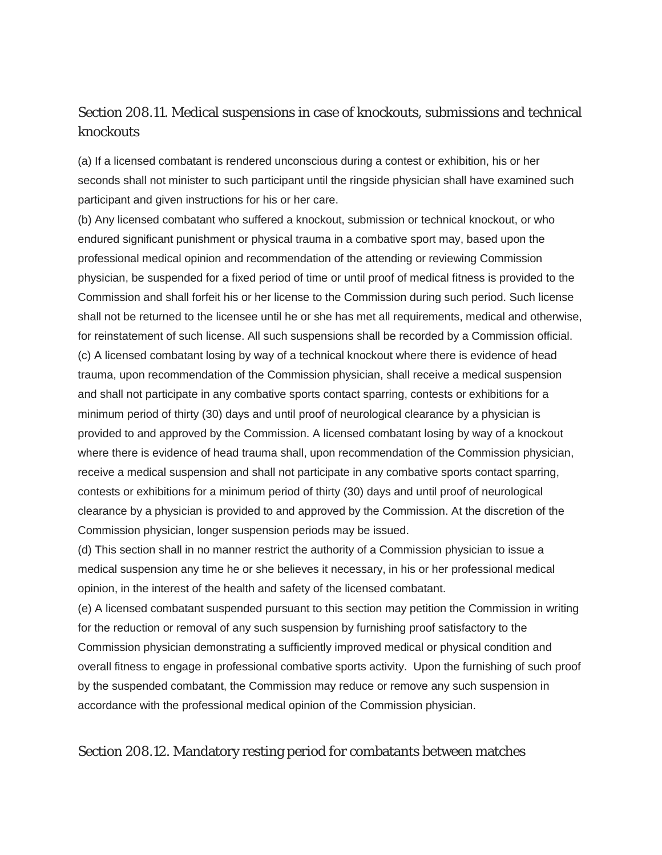# Section 208.11. Medical suspensions in case of knockouts, submissions and technical knockouts

(a) If a licensed combatant is rendered unconscious during a contest or exhibition, his or her seconds shall not minister to such participant until the ringside physician shall have examined such participant and given instructions for his or her care.

(b) Any licensed combatant who suffered a knockout, submission or technical knockout, or who endured significant punishment or physical trauma in a combative sport may, based upon the professional medical opinion and recommendation of the attending or reviewing Commission physician, be suspended for a fixed period of time or until proof of medical fitness is provided to the Commission and shall forfeit his or her license to the Commission during such period. Such license shall not be returned to the licensee until he or she has met all requirements, medical and otherwise, for reinstatement of such license. All such suspensions shall be recorded by a Commission official. (c) A licensed combatant losing by way of a technical knockout where there is evidence of head trauma, upon recommendation of the Commission physician, shall receive a medical suspension and shall not participate in any combative sports contact sparring, contests or exhibitions for a minimum period of thirty (30) days and until proof of neurological clearance by a physician is provided to and approved by the Commission. A licensed combatant losing by way of a knockout where there is evidence of head trauma shall, upon recommendation of the Commission physician, receive a medical suspension and shall not participate in any combative sports contact sparring, contests or exhibitions for a minimum period of thirty (30) days and until proof of neurological clearance by a physician is provided to and approved by the Commission. At the discretion of the Commission physician, longer suspension periods may be issued.

(d) This section shall in no manner restrict the authority of a Commission physician to issue a medical suspension any time he or she believes it necessary, in his or her professional medical opinion, in the interest of the health and safety of the licensed combatant.

(e) A licensed combatant suspended pursuant to this section may petition the Commission in writing for the reduction or removal of any such suspension by furnishing proof satisfactory to the Commission physician demonstrating a sufficiently improved medical or physical condition and overall fitness to engage in professional combative sports activity. Upon the furnishing of such proof by the suspended combatant, the Commission may reduce or remove any such suspension in accordance with the professional medical opinion of the Commission physician.

#### Section 208.12. Mandatory resting period for combatants between matches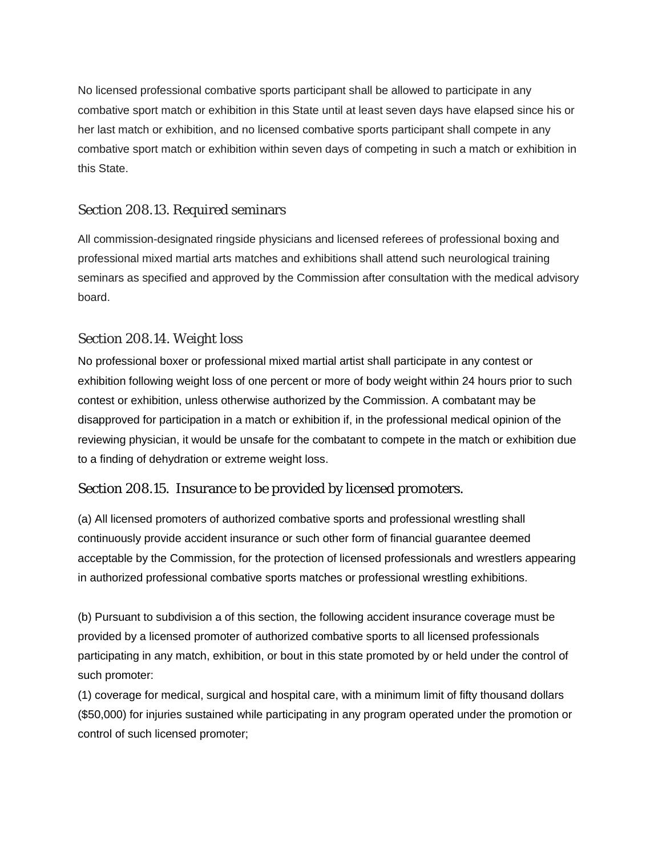No licensed professional combative sports participant shall be allowed to participate in any combative sport match or exhibition in this State until at least seven days have elapsed since his or her last match or exhibition, and no licensed combative sports participant shall compete in any combative sport match or exhibition within seven days of competing in such a match or exhibition in this State.

# Section 208.13. Required seminars

All commission-designated ringside physicians and licensed referees of professional boxing and professional mixed martial arts matches and exhibitions shall attend such neurological training seminars as specified and approved by the Commission after consultation with the medical advisory board.

# Section 208.14. Weight loss

No professional boxer or professional mixed martial artist shall participate in any contest or exhibition following weight loss of one percent or more of body weight within 24 hours prior to such contest or exhibition, unless otherwise authorized by the Commission. A combatant may be disapproved for participation in a match or exhibition if, in the professional medical opinion of the reviewing physician, it would be unsafe for the combatant to compete in the match or exhibition due to a finding of dehydration or extreme weight loss.

# Section 208.15. Insurance to be provided by licensed promoters.

(a) All licensed promoters of authorized combative sports and professional wrestling shall continuously provide accident insurance or such other form of financial guarantee deemed acceptable by the Commission, for the protection of licensed professionals and wrestlers appearing in authorized professional combative sports matches or professional wrestling exhibitions.

(b) Pursuant to subdivision a of this section, the following accident insurance coverage must be provided by a licensed promoter of authorized combative sports to all licensed professionals participating in any match, exhibition, or bout in this state promoted by or held under the control of such promoter:

(1) coverage for medical, surgical and hospital care, with a minimum limit of fifty thousand dollars (\$50,000) for injuries sustained while participating in any program operated under the promotion or control of such licensed promoter;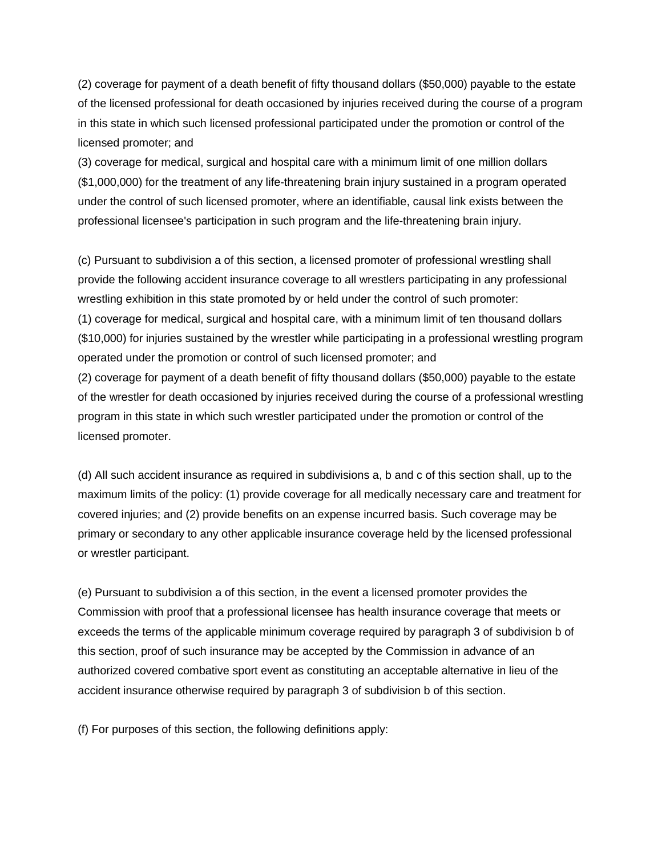(2) coverage for payment of a death benefit of fifty thousand dollars (\$50,000) payable to the estate of the licensed professional for death occasioned by injuries received during the course of a program in this state in which such licensed professional participated under the promotion or control of the licensed promoter; and

(3) coverage for medical, surgical and hospital care with a minimum limit of one million dollars (\$1,000,000) for the treatment of any life-threatening brain injury sustained in a program operated under the control of such licensed promoter, where an identifiable, causal link exists between the professional licensee's participation in such program and the life-threatening brain injury.

(c) Pursuant to subdivision a of this section, a licensed promoter of professional wrestling shall provide the following accident insurance coverage to all wrestlers participating in any professional wrestling exhibition in this state promoted by or held under the control of such promoter: (1) coverage for medical, surgical and hospital care, with a minimum limit of ten thousand dollars (\$10,000) for injuries sustained by the wrestler while participating in a professional wrestling program operated under the promotion or control of such licensed promoter; and (2) coverage for payment of a death benefit of fifty thousand dollars (\$50,000) payable to the estate of the wrestler for death occasioned by injuries received during the course of a professional wrestling program in this state in which such wrestler participated under the promotion or control of the licensed promoter.

(d) All such accident insurance as required in subdivisions a, b and c of this section shall, up to the maximum limits of the policy: (1) provide coverage for all medically necessary care and treatment for covered injuries; and (2) provide benefits on an expense incurred basis. Such coverage may be primary or secondary to any other applicable insurance coverage held by the licensed professional or wrestler participant.

(e) Pursuant to subdivision a of this section, in the event a licensed promoter provides the Commission with proof that a professional licensee has health insurance coverage that meets or exceeds the terms of the applicable minimum coverage required by paragraph 3 of subdivision b of this section, proof of such insurance may be accepted by the Commission in advance of an authorized covered combative sport event as constituting an acceptable alternative in lieu of the accident insurance otherwise required by paragraph 3 of subdivision b of this section.

(f) For purposes of this section, the following definitions apply: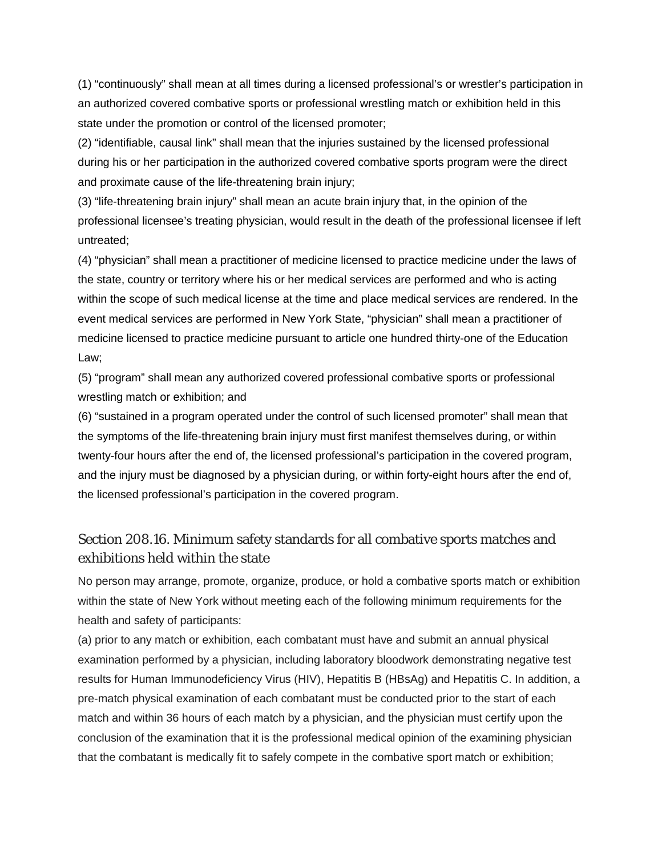(1) "continuously" shall mean at all times during a licensed professional's or wrestler's participation in an authorized covered combative sports or professional wrestling match or exhibition held in this state under the promotion or control of the licensed promoter;

(2) "identifiable, causal link" shall mean that the injuries sustained by the licensed professional during his or her participation in the authorized covered combative sports program were the direct and proximate cause of the life-threatening brain injury;

(3) "life-threatening brain injury" shall mean an acute brain injury that, in the opinion of the professional licensee's treating physician, would result in the death of the professional licensee if left untreated;

(4) "physician" shall mean a practitioner of medicine licensed to practice medicine under the laws of the state, country or territory where his or her medical services are performed and who is acting within the scope of such medical license at the time and place medical services are rendered. In the event medical services are performed in New York State, "physician" shall mean a practitioner of medicine licensed to practice medicine pursuant to article one hundred thirty-one of the Education Law;

(5) "program" shall mean any authorized covered professional combative sports or professional wrestling match or exhibition; and

(6) "sustained in a program operated under the control of such licensed promoter" shall mean that the symptoms of the life-threatening brain injury must first manifest themselves during, or within twenty-four hours after the end of, the licensed professional's participation in the covered program, and the injury must be diagnosed by a physician during, or within forty-eight hours after the end of, the licensed professional's participation in the covered program.

# Section 208.16. Minimum safety standards for all combative sports matches and exhibitions held within the state

No person may arrange, promote, organize, produce, or hold a combative sports match or exhibition within the state of New York without meeting each of the following minimum requirements for the health and safety of participants:

(a) prior to any match or exhibition, each combatant must have and submit an annual physical examination performed by a physician, including laboratory bloodwork demonstrating negative test results for Human Immunodeficiency Virus (HIV), Hepatitis B (HBsAg) and Hepatitis C. In addition, a pre-match physical examination of each combatant must be conducted prior to the start of each match and within 36 hours of each match by a physician, and the physician must certify upon the conclusion of the examination that it is the professional medical opinion of the examining physician that the combatant is medically fit to safely compete in the combative sport match or exhibition;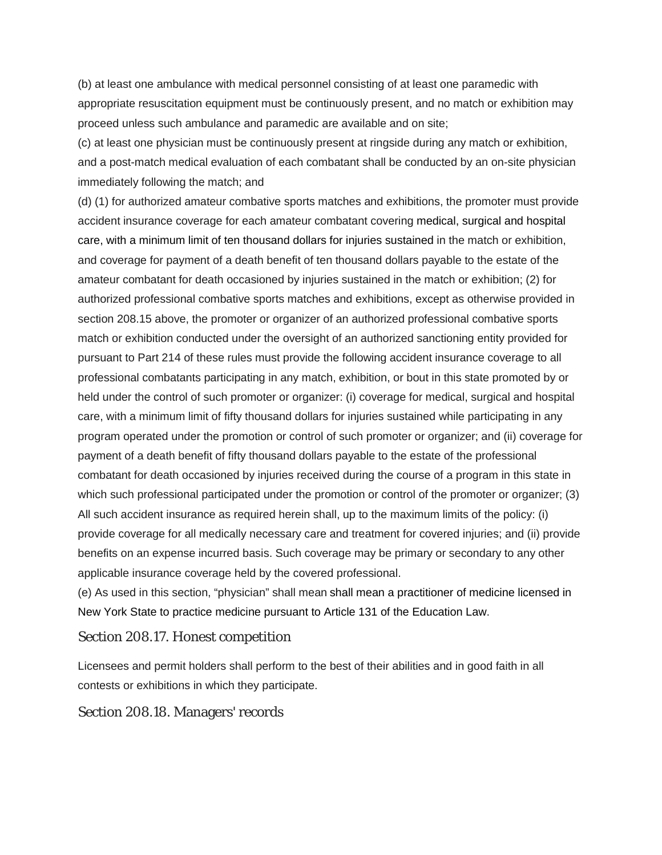(b) at least one ambulance with medical personnel consisting of at least one paramedic with appropriate resuscitation equipment must be continuously present, and no match or exhibition may proceed unless such ambulance and paramedic are available and on site;

(c) at least one physician must be continuously present at ringside during any match or exhibition, and a post-match medical evaluation of each combatant shall be conducted by an on-site physician immediately following the match; and

(d) (1) for authorized amateur combative sports matches and exhibitions, the promoter must provide accident insurance coverage for each amateur combatant covering medical, surgical and hospital care, with a minimum limit of ten thousand dollars for injuries sustained in the match or exhibition, and coverage for payment of a death benefit of ten thousand dollars payable to the estate of the amateur combatant for death occasioned by injuries sustained in the match or exhibition; (2) for authorized professional combative sports matches and exhibitions, except as otherwise provided in section 208.15 above, the promoter or organizer of an authorized professional combative sports match or exhibition conducted under the oversight of an authorized sanctioning entity provided for pursuant to Part 214 of these rules must provide the following accident insurance coverage to all professional combatants participating in any match, exhibition, or bout in this state promoted by or held under the control of such promoter or organizer: (i) coverage for medical, surgical and hospital care, with a minimum limit of fifty thousand dollars for injuries sustained while participating in any program operated under the promotion or control of such promoter or organizer; and (ii) coverage for payment of a death benefit of fifty thousand dollars payable to the estate of the professional combatant for death occasioned by injuries received during the course of a program in this state in which such professional participated under the promotion or control of the promoter or organizer; (3) All such accident insurance as required herein shall, up to the maximum limits of the policy: (i) provide coverage for all medically necessary care and treatment for covered injuries; and (ii) provide benefits on an expense incurred basis. Such coverage may be primary or secondary to any other applicable insurance coverage held by the covered professional.

(e) As used in this section, "physician" shall mean shall mean a practitioner of medicine licensed in New York State to practice medicine pursuant to Article 131 of the Education Law.

#### Section 208.17. Honest competition

Licensees and permit holders shall perform to the best of their abilities and in good faith in all contests or exhibitions in which they participate.

#### Section 208.18. Managers' records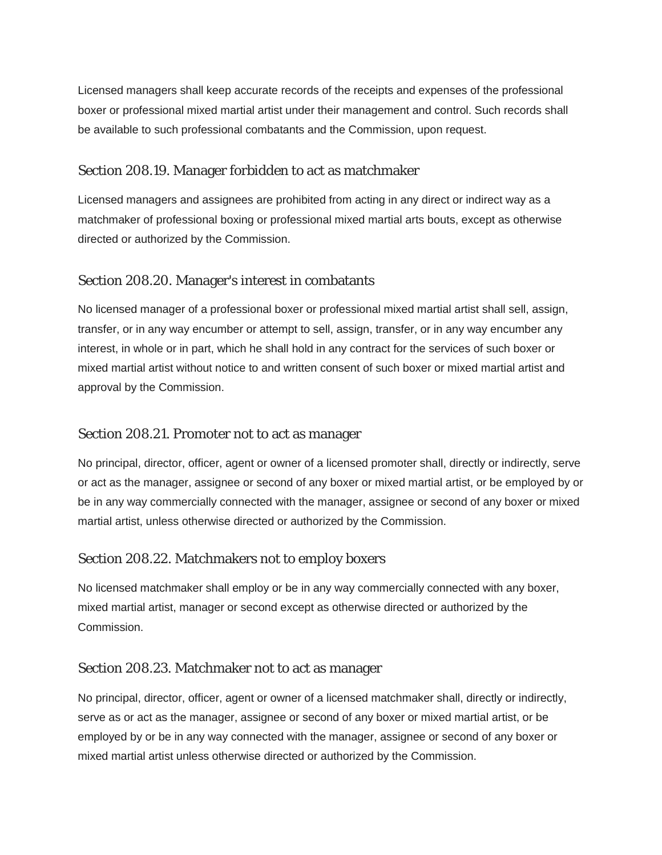Licensed managers shall keep accurate records of the receipts and expenses of the professional boxer or professional mixed martial artist under their management and control. Such records shall be available to such professional combatants and the Commission, upon request.

#### Section 208.19. Manager forbidden to act as matchmaker

Licensed managers and assignees are prohibited from acting in any direct or indirect way as a matchmaker of professional boxing or professional mixed martial arts bouts, except as otherwise directed or authorized by the Commission.

# Section 208.20. Manager's interest in combatants

No licensed manager of a professional boxer or professional mixed martial artist shall sell, assign, transfer, or in any way encumber or attempt to sell, assign, transfer, or in any way encumber any interest, in whole or in part, which he shall hold in any contract for the services of such boxer or mixed martial artist without notice to and written consent of such boxer or mixed martial artist and approval by the Commission.

#### Section 208.21. Promoter not to act as manager

No principal, director, officer, agent or owner of a licensed promoter shall, directly or indirectly, serve or act as the manager, assignee or second of any boxer or mixed martial artist, or be employed by or be in any way commercially connected with the manager, assignee or second of any boxer or mixed martial artist, unless otherwise directed or authorized by the Commission.

#### Section 208.22. Matchmakers not to employ boxers

No licensed matchmaker shall employ or be in any way commercially connected with any boxer, mixed martial artist, manager or second except as otherwise directed or authorized by the Commission.

#### Section 208.23. Matchmaker not to act as manager

No principal, director, officer, agent or owner of a licensed matchmaker shall, directly or indirectly, serve as or act as the manager, assignee or second of any boxer or mixed martial artist, or be employed by or be in any way connected with the manager, assignee or second of any boxer or mixed martial artist unless otherwise directed or authorized by the Commission.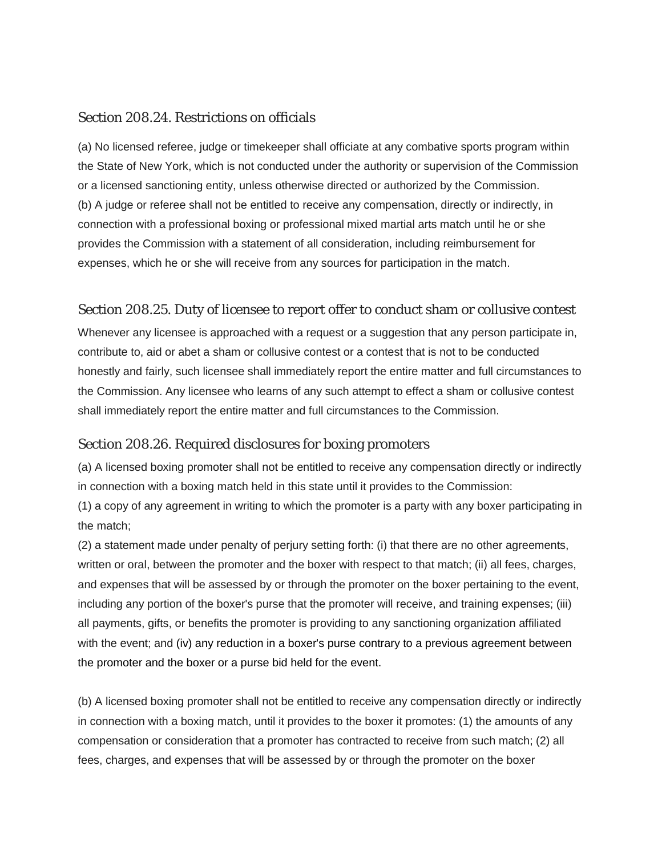#### Section 208.24. Restrictions on officials

(a) No licensed referee, judge or timekeeper shall officiate at any combative sports program within the State of New York, which is not conducted under the authority or supervision of the Commission or a licensed sanctioning entity, unless otherwise directed or authorized by the Commission. (b) A judge or referee shall not be entitled to receive any compensation, directly or indirectly, in connection with a professional boxing or professional mixed martial arts match until he or she provides the Commission with a statement of all consideration, including reimbursement for expenses, which he or she will receive from any sources for participation in the match.

#### Section 208.25. Duty of licensee to report offer to conduct sham or collusive contest

Whenever any licensee is approached with a request or a suggestion that any person participate in, contribute to, aid or abet a sham or collusive contest or a contest that is not to be conducted honestly and fairly, such licensee shall immediately report the entire matter and full circumstances to the Commission. Any licensee who learns of any such attempt to effect a sham or collusive contest shall immediately report the entire matter and full circumstances to the Commission.

#### Section 208.26. Required disclosures for boxing promoters

(a) A licensed boxing promoter shall not be entitled to receive any compensation directly or indirectly in connection with a boxing match held in this state until it provides to the Commission:

(1) a copy of any agreement in writing to which the promoter is a party with any boxer participating in the match;

(2) a statement made under penalty of perjury setting forth: (i) that there are no other agreements, written or oral, between the promoter and the boxer with respect to that match; (ii) all fees, charges, and expenses that will be assessed by or through the promoter on the boxer pertaining to the event, including any portion of the boxer's purse that the promoter will receive, and training expenses; (iii) all payments, gifts, or benefits the promoter is providing to any sanctioning organization affiliated with the event; and (iv) any reduction in a boxer's purse contrary to a previous agreement between the promoter and the boxer or a purse bid held for the event.

(b) A licensed boxing promoter shall not be entitled to receive any compensation directly or indirectly in connection with a boxing match, until it provides to the boxer it promotes: (1) the amounts of any compensation or consideration that a promoter has contracted to receive from such match; (2) all fees, charges, and expenses that will be assessed by or through the promoter on the boxer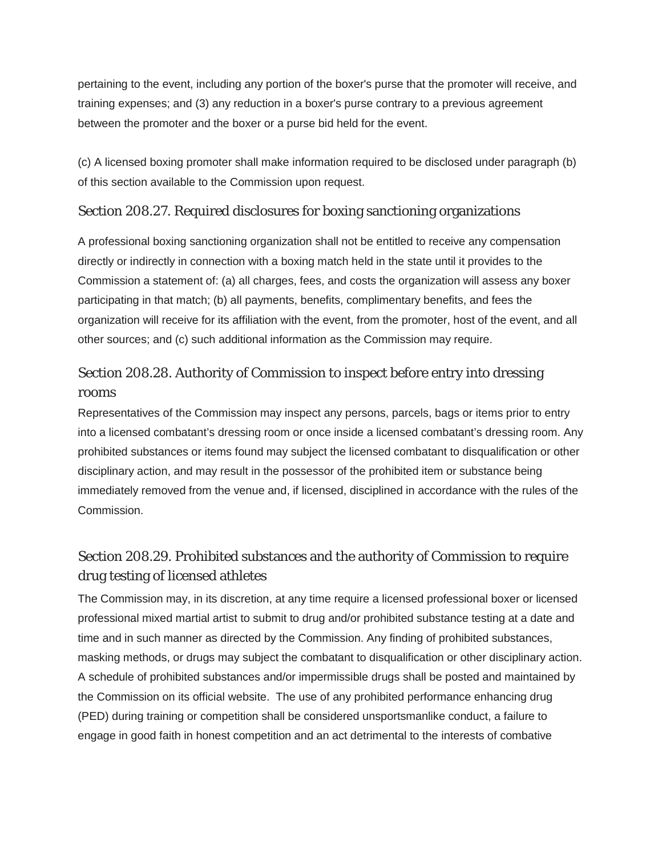pertaining to the event, including any portion of the boxer's purse that the promoter will receive, and training expenses; and (3) any reduction in a boxer's purse contrary to a previous agreement between the promoter and the boxer or a purse bid held for the event.

(c) A licensed boxing promoter shall make information required to be disclosed under paragraph (b) of this section available to the Commission upon request.

# Section 208.27. Required disclosures for boxing sanctioning organizations

A professional boxing sanctioning organization shall not be entitled to receive any compensation directly or indirectly in connection with a boxing match held in the state until it provides to the Commission a statement of: (a) all charges, fees, and costs the organization will assess any boxer participating in that match; (b) all payments, benefits, complimentary benefits, and fees the organization will receive for its affiliation with the event, from the promoter, host of the event, and all other sources; and (c) such additional information as the Commission may require.

# Section 208.28. Authority of Commission to inspect before entry into dressing rooms

Representatives of the Commission may inspect any persons, parcels, bags or items prior to entry into a licensed combatant's dressing room or once inside a licensed combatant's dressing room. Any prohibited substances or items found may subject the licensed combatant to disqualification or other disciplinary action, and may result in the possessor of the prohibited item or substance being immediately removed from the venue and, if licensed, disciplined in accordance with the rules of the Commission.

# Section 208.29. Prohibited substances and the authority of Commission to require drug testing of licensed athletes

The Commission may, in its discretion, at any time require a licensed professional boxer or licensed professional mixed martial artist to submit to drug and/or prohibited substance testing at a date and time and in such manner as directed by the Commission. Any finding of prohibited substances, masking methods, or drugs may subject the combatant to disqualification or other disciplinary action. A schedule of prohibited substances and/or impermissible drugs shall be posted and maintained by the Commission on its official website. The use of any prohibited performance enhancing drug (PED) during training or competition shall be considered unsportsmanlike conduct, a failure to engage in good faith in honest competition and an act detrimental to the interests of combative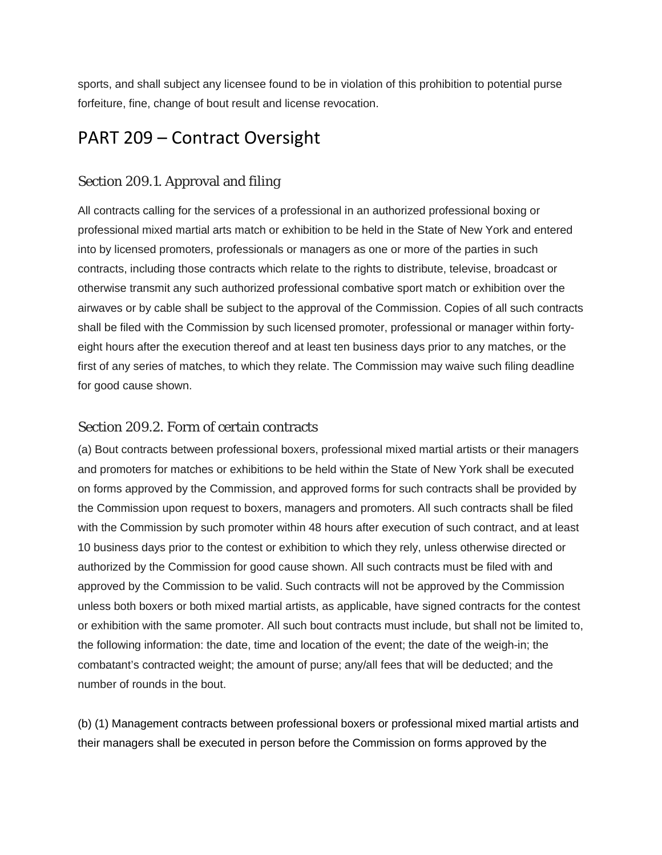sports, and shall subject any licensee found to be in violation of this prohibition to potential purse forfeiture, fine, change of bout result and license revocation.

# PART 209 – Contract Oversight

# Section 209.1. Approval and filing

All contracts calling for the services of a professional in an authorized professional boxing or professional mixed martial arts match or exhibition to be held in the State of New York and entered into by licensed promoters, professionals or managers as one or more of the parties in such contracts, including those contracts which relate to the rights to distribute, televise, broadcast or otherwise transmit any such authorized professional combative sport match or exhibition over the airwaves or by cable shall be subject to the approval of the Commission. Copies of all such contracts shall be filed with the Commission by such licensed promoter, professional or manager within fortyeight hours after the execution thereof and at least ten business days prior to any matches, or the first of any series of matches, to which they relate. The Commission may waive such filing deadline for good cause shown.

# Section 209.2. Form of certain contracts

(a) Bout contracts between professional boxers, professional mixed martial artists or their managers and promoters for matches or exhibitions to be held within the State of New York shall be executed on forms approved by the Commission, and approved forms for such contracts shall be provided by the Commission upon request to boxers, managers and promoters. All such contracts shall be filed with the Commission by such promoter within 48 hours after execution of such contract, and at least 10 business days prior to the contest or exhibition to which they rely, unless otherwise directed or authorized by the Commission for good cause shown. All such contracts must be filed with and approved by the Commission to be valid. Such contracts will not be approved by the Commission unless both boxers or both mixed martial artists, as applicable, have signed contracts for the contest or exhibition with the same promoter. All such bout contracts must include, but shall not be limited to, the following information: the date, time and location of the event; the date of the weigh-in; the combatant's contracted weight; the amount of purse; any/all fees that will be deducted; and the number of rounds in the bout.

(b) (1) Management contracts between professional boxers or professional mixed martial artists and their managers shall be executed in person before the Commission on forms approved by the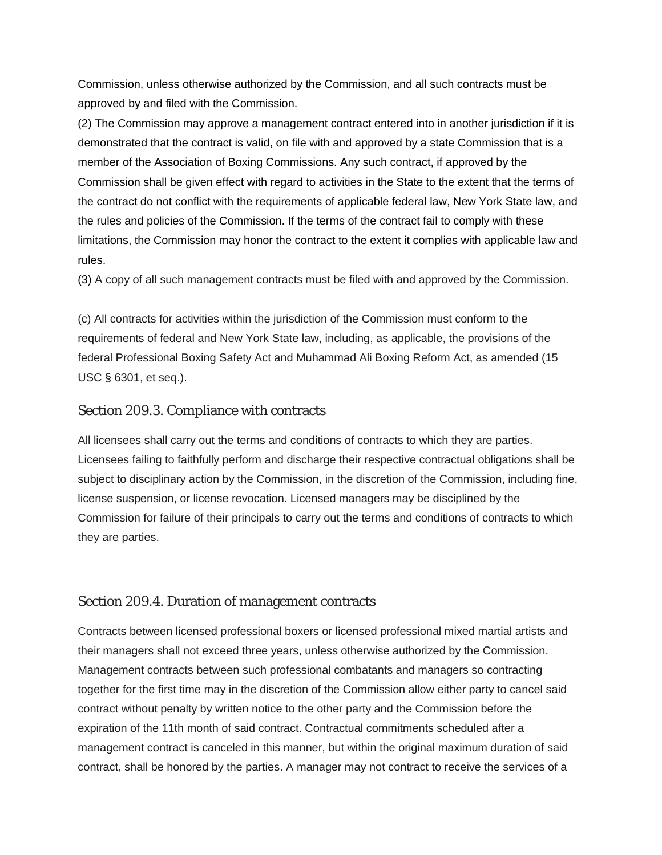Commission, unless otherwise authorized by the Commission, and all such contracts must be approved by and filed with the Commission.

(2) The Commission may approve a management contract entered into in another jurisdiction if it is demonstrated that the contract is valid, on file with and approved by a state Commission that is a member of the Association of Boxing Commissions. Any such contract, if approved by the Commission shall be given effect with regard to activities in the State to the extent that the terms of the contract do not conflict with the requirements of applicable federal law, New York State law, and the rules and policies of the Commission. If the terms of the contract fail to comply with these limitations, the Commission may honor the contract to the extent it complies with applicable law and rules.

(3) A copy of all such management contracts must be filed with and approved by the Commission.

(c) All contracts for activities within the jurisdiction of the Commission must conform to the requirements of federal and New York State law, including, as applicable, the provisions of the federal Professional Boxing Safety Act and Muhammad Ali Boxing Reform Act, as amended (15 USC § 6301, et seq.).

#### Section 209.3. Compliance with contracts

All licensees shall carry out the terms and conditions of contracts to which they are parties. Licensees failing to faithfully perform and discharge their respective contractual obligations shall be subject to disciplinary action by the Commission, in the discretion of the Commission, including fine, license suspension, or license revocation. Licensed managers may be disciplined by the Commission for failure of their principals to carry out the terms and conditions of contracts to which they are parties.

#### Section 209.4. Duration of management contracts

Contracts between licensed professional boxers or licensed professional mixed martial artists and their managers shall not exceed three years, unless otherwise authorized by the Commission. Management contracts between such professional combatants and managers so contracting together for the first time may in the discretion of the Commission allow either party to cancel said contract without penalty by written notice to the other party and the Commission before the expiration of the 11th month of said contract. Contractual commitments scheduled after a management contract is canceled in this manner, but within the original maximum duration of said contract, shall be honored by the parties. A manager may not contract to receive the services of a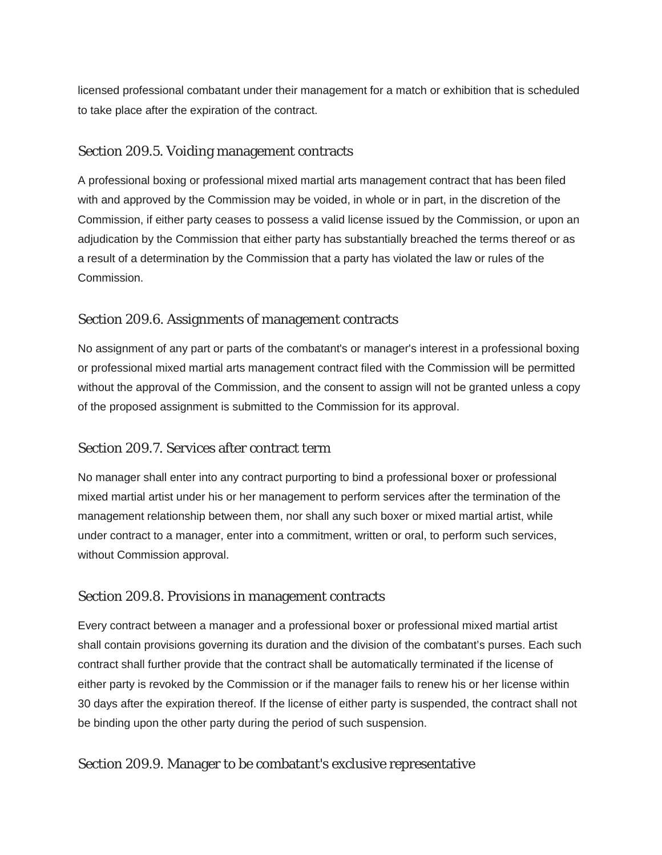licensed professional combatant under their management for a match or exhibition that is scheduled to take place after the expiration of the contract.

#### Section 209.5. Voiding management contracts

A professional boxing or professional mixed martial arts management contract that has been filed with and approved by the Commission may be voided, in whole or in part, in the discretion of the Commission, if either party ceases to possess a valid license issued by the Commission, or upon an adjudication by the Commission that either party has substantially breached the terms thereof or as a result of a determination by the Commission that a party has violated the law or rules of the Commission.

#### Section 209.6. Assignments of management contracts

No assignment of any part or parts of the combatant's or manager's interest in a professional boxing or professional mixed martial arts management contract filed with the Commission will be permitted without the approval of the Commission, and the consent to assign will not be granted unless a copy of the proposed assignment is submitted to the Commission for its approval.

#### Section 209.7. Services after contract term

No manager shall enter into any contract purporting to bind a professional boxer or professional mixed martial artist under his or her management to perform services after the termination of the management relationship between them, nor shall any such boxer or mixed martial artist, while under contract to a manager, enter into a commitment, written or oral, to perform such services, without Commission approval.

#### Section 209.8. Provisions in management contracts

Every contract between a manager and a professional boxer or professional mixed martial artist shall contain provisions governing its duration and the division of the combatant's purses. Each such contract shall further provide that the contract shall be automatically terminated if the license of either party is revoked by the Commission or if the manager fails to renew his or her license within 30 days after the expiration thereof. If the license of either party is suspended, the contract shall not be binding upon the other party during the period of such suspension.

#### Section 209.9. Manager to be combatant's exclusive representative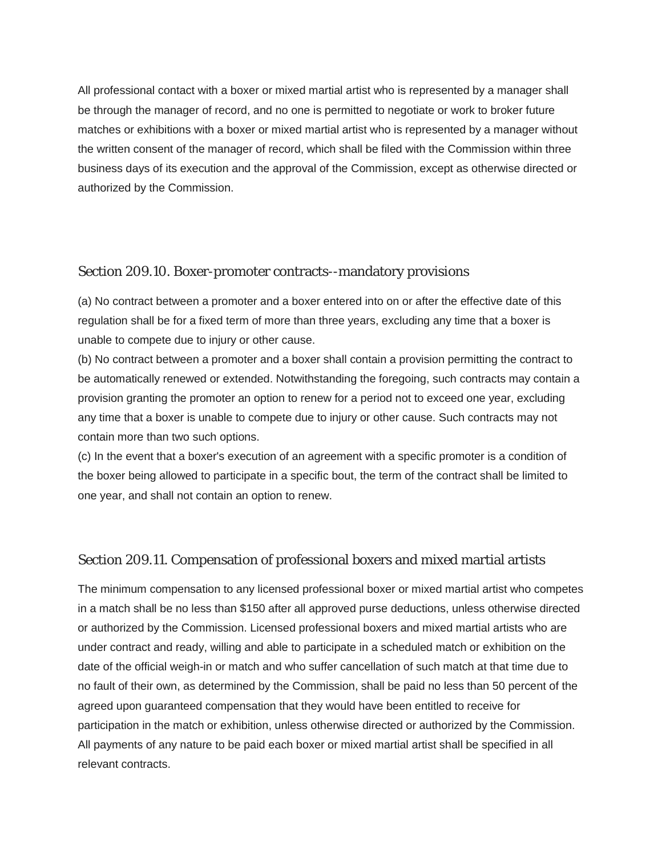All professional contact with a boxer or mixed martial artist who is represented by a manager shall be through the manager of record, and no one is permitted to negotiate or work to broker future matches or exhibitions with a boxer or mixed martial artist who is represented by a manager without the written consent of the manager of record, which shall be filed with the Commission within three business days of its execution and the approval of the Commission, except as otherwise directed or authorized by the Commission.

#### Section 209.10. Boxer-promoter contracts--mandatory provisions

(a) No contract between a promoter and a boxer entered into on or after the effective date of this regulation shall be for a fixed term of more than three years, excluding any time that a boxer is unable to compete due to injury or other cause.

(b) No contract between a promoter and a boxer shall contain a provision permitting the contract to be automatically renewed or extended. Notwithstanding the foregoing, such contracts may contain a provision granting the promoter an option to renew for a period not to exceed one year, excluding any time that a boxer is unable to compete due to injury or other cause. Such contracts may not contain more than two such options.

(c) In the event that a boxer's execution of an agreement with a specific promoter is a condition of the boxer being allowed to participate in a specific bout, the term of the contract shall be limited to one year, and shall not contain an option to renew.

#### Section 209.11. Compensation of professional boxers and mixed martial artists

The minimum compensation to any licensed professional boxer or mixed martial artist who competes in a match shall be no less than \$150 after all approved purse deductions, unless otherwise directed or authorized by the Commission. Licensed professional boxers and mixed martial artists who are under contract and ready, willing and able to participate in a scheduled match or exhibition on the date of the official weigh-in or match and who suffer cancellation of such match at that time due to no fault of their own, as determined by the Commission, shall be paid no less than 50 percent of the agreed upon guaranteed compensation that they would have been entitled to receive for participation in the match or exhibition, unless otherwise directed or authorized by the Commission. All payments of any nature to be paid each boxer or mixed martial artist shall be specified in all relevant contracts.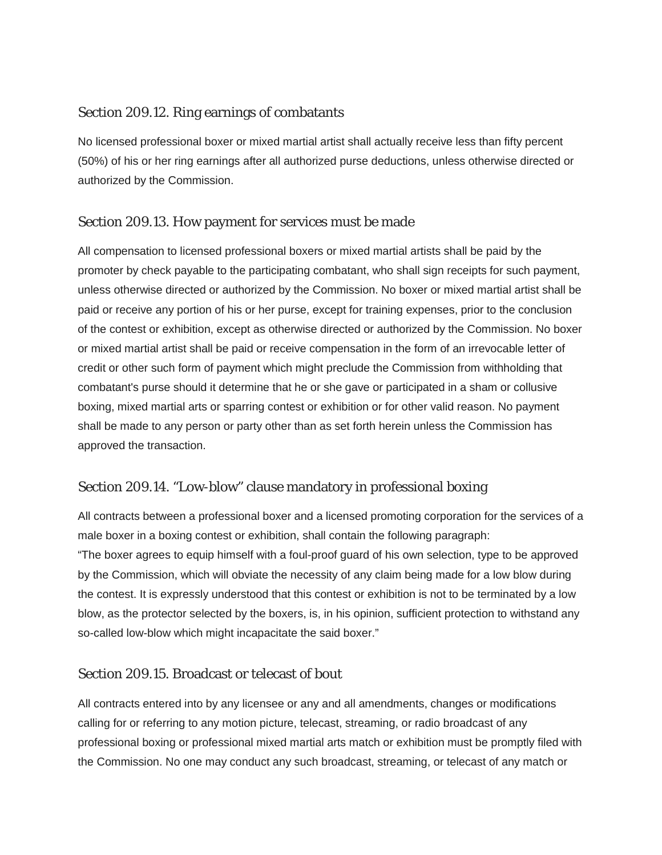# Section 209.12. Ring earnings of combatants

No licensed professional boxer or mixed martial artist shall actually receive less than fifty percent (50%) of his or her ring earnings after all authorized purse deductions, unless otherwise directed or authorized by the Commission.

# Section 209.13. How payment for services must be made

All compensation to licensed professional boxers or mixed martial artists shall be paid by the promoter by check payable to the participating combatant, who shall sign receipts for such payment, unless otherwise directed or authorized by the Commission. No boxer or mixed martial artist shall be paid or receive any portion of his or her purse, except for training expenses, prior to the conclusion of the contest or exhibition, except as otherwise directed or authorized by the Commission. No boxer or mixed martial artist shall be paid or receive compensation in the form of an irrevocable letter of credit or other such form of payment which might preclude the Commission from withholding that combatant's purse should it determine that he or she gave or participated in a sham or collusive boxing, mixed martial arts or sparring contest or exhibition or for other valid reason. No payment shall be made to any person or party other than as set forth herein unless the Commission has approved the transaction.

# Section 209.14. "Low-blow" clause mandatory in professional boxing

All contracts between a professional boxer and a licensed promoting corporation for the services of a male boxer in a boxing contest or exhibition, shall contain the following paragraph: "The boxer agrees to equip himself with a foul-proof guard of his own selection, type to be approved

by the Commission, which will obviate the necessity of any claim being made for a low blow during the contest. It is expressly understood that this contest or exhibition is not to be terminated by a low blow, as the protector selected by the boxers, is, in his opinion, sufficient protection to withstand any so-called low-blow which might incapacitate the said boxer."

# Section 209.15. Broadcast or telecast of bout

All contracts entered into by any licensee or any and all amendments, changes or modifications calling for or referring to any motion picture, telecast, streaming, or radio broadcast of any professional boxing or professional mixed martial arts match or exhibition must be promptly filed with the Commission. No one may conduct any such broadcast, streaming, or telecast of any match or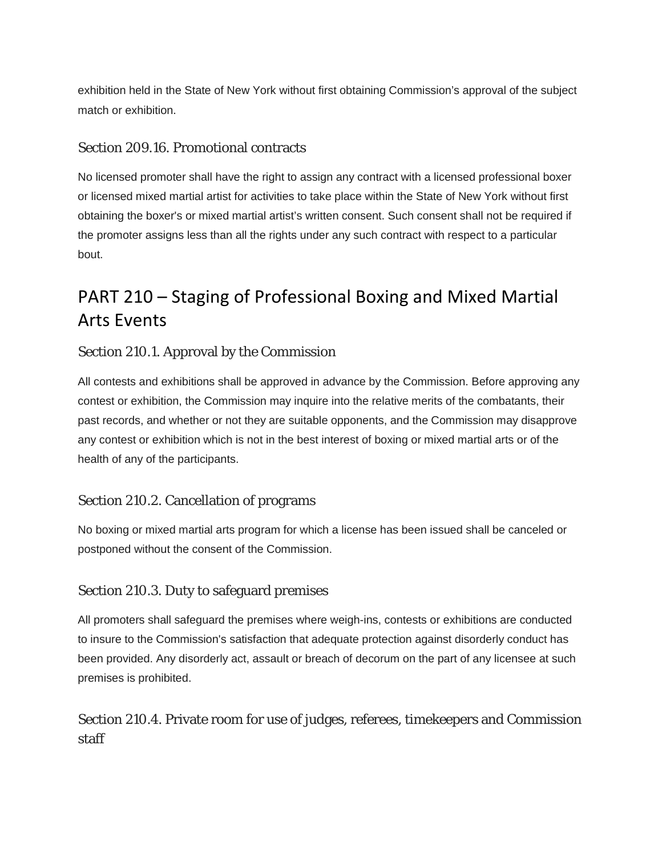exhibition held in the State of New York without first obtaining Commission's approval of the subject match or exhibition.

# Section 209.16. Promotional contracts

No licensed promoter shall have the right to assign any contract with a licensed professional boxer or licensed mixed martial artist for activities to take place within the State of New York without first obtaining the boxer's or mixed martial artist's written consent. Such consent shall not be required if the promoter assigns less than all the rights under any such contract with respect to a particular bout.

# PART 210 – Staging of Professional Boxing and Mixed Martial Arts Events

# Section 210.1. Approval by the Commission

All contests and exhibitions shall be approved in advance by the Commission. Before approving any contest or exhibition, the Commission may inquire into the relative merits of the combatants, their past records, and whether or not they are suitable opponents, and the Commission may disapprove any contest or exhibition which is not in the best interest of boxing or mixed martial arts or of the health of any of the participants.

# Section 210.2. Cancellation of programs

No boxing or mixed martial arts program for which a license has been issued shall be canceled or postponed without the consent of the Commission.

# Section 210.3. Duty to safeguard premises

All promoters shall safeguard the premises where weigh-ins, contests or exhibitions are conducted to insure to the Commission's satisfaction that adequate protection against disorderly conduct has been provided. Any disorderly act, assault or breach of decorum on the part of any licensee at such premises is prohibited.

# Section 210.4. Private room for use of judges, referees, timekeepers and Commission staff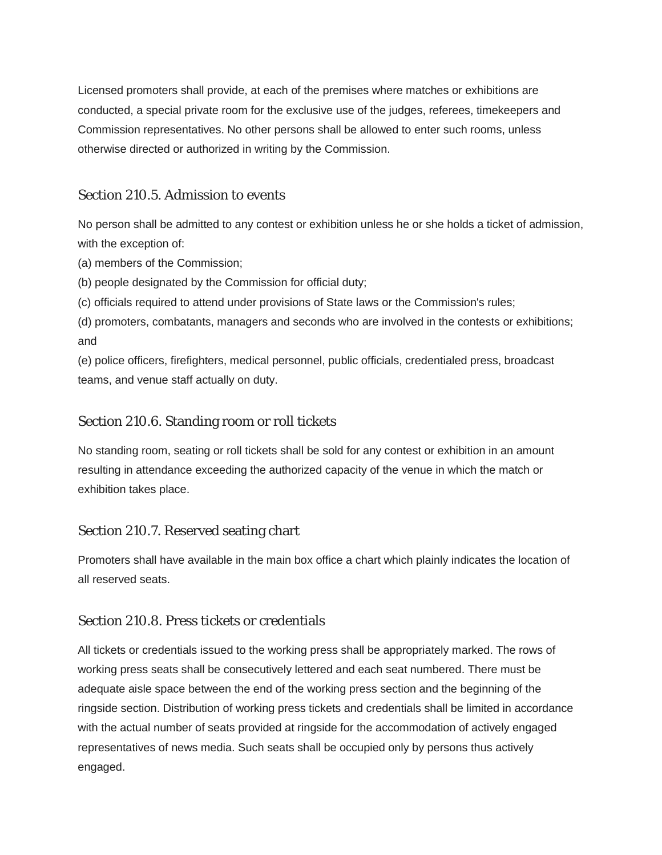Licensed promoters shall provide, at each of the premises where matches or exhibitions are conducted, a special private room for the exclusive use of the judges, referees, timekeepers and Commission representatives. No other persons shall be allowed to enter such rooms, unless otherwise directed or authorized in writing by the Commission.

#### Section 210.5. Admission to events

No person shall be admitted to any contest or exhibition unless he or she holds a ticket of admission, with the exception of:

(a) members of the Commission;

(b) people designated by the Commission for official duty;

(c) officials required to attend under provisions of State laws or the Commission's rules;

(d) promoters, combatants, managers and seconds who are involved in the contests or exhibitions; and

(e) police officers, firefighters, medical personnel, public officials, credentialed press, broadcast teams, and venue staff actually on duty.

#### Section 210.6. Standing room or roll tickets

No standing room, seating or roll tickets shall be sold for any contest or exhibition in an amount resulting in attendance exceeding the authorized capacity of the venue in which the match or exhibition takes place.

#### Section 210.7. Reserved seating chart

Promoters shall have available in the main box office a chart which plainly indicates the location of all reserved seats.

# Section 210.8. Press tickets or credentials

All tickets or credentials issued to the working press shall be appropriately marked. The rows of working press seats shall be consecutively lettered and each seat numbered. There must be adequate aisle space between the end of the working press section and the beginning of the ringside section. Distribution of working press tickets and credentials shall be limited in accordance with the actual number of seats provided at ringside for the accommodation of actively engaged representatives of news media. Such seats shall be occupied only by persons thus actively engaged.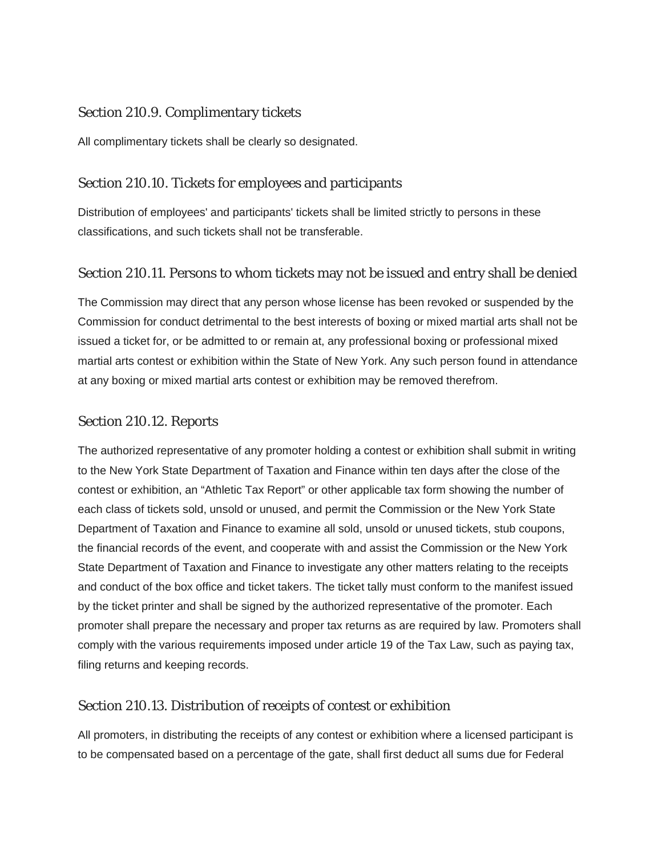## Section 210.9. Complimentary tickets

All complimentary tickets shall be clearly so designated.

# Section 210.10. Tickets for employees and participants

Distribution of employees' and participants' tickets shall be limited strictly to persons in these classifications, and such tickets shall not be transferable.

# Section 210.11. Persons to whom tickets may not be issued and entry shall be denied

The Commission may direct that any person whose license has been revoked or suspended by the Commission for conduct detrimental to the best interests of boxing or mixed martial arts shall not be issued a ticket for, or be admitted to or remain at, any professional boxing or professional mixed martial arts contest or exhibition within the State of New York. Any such person found in attendance at any boxing or mixed martial arts contest or exhibition may be removed therefrom.

#### Section 210.12. Reports

The authorized representative of any promoter holding a contest or exhibition shall submit in writing to the New York State Department of Taxation and Finance within ten days after the close of the contest or exhibition, an "Athletic Tax Report" or other applicable tax form showing the number of each class of tickets sold, unsold or unused, and permit the Commission or the New York State Department of Taxation and Finance to examine all sold, unsold or unused tickets, stub coupons, the financial records of the event, and cooperate with and assist the Commission or the New York State Department of Taxation and Finance to investigate any other matters relating to the receipts and conduct of the box office and ticket takers. The ticket tally must conform to the manifest issued by the ticket printer and shall be signed by the authorized representative of the promoter. Each promoter shall prepare the necessary and proper tax returns as are required by law. Promoters shall comply with the various requirements imposed under article 19 of the Tax Law, such as paying tax, filing returns and keeping records.

# Section 210.13. Distribution of receipts of contest or exhibition

All promoters, in distributing the receipts of any contest or exhibition where a licensed participant is to be compensated based on a percentage of the gate, shall first deduct all sums due for Federal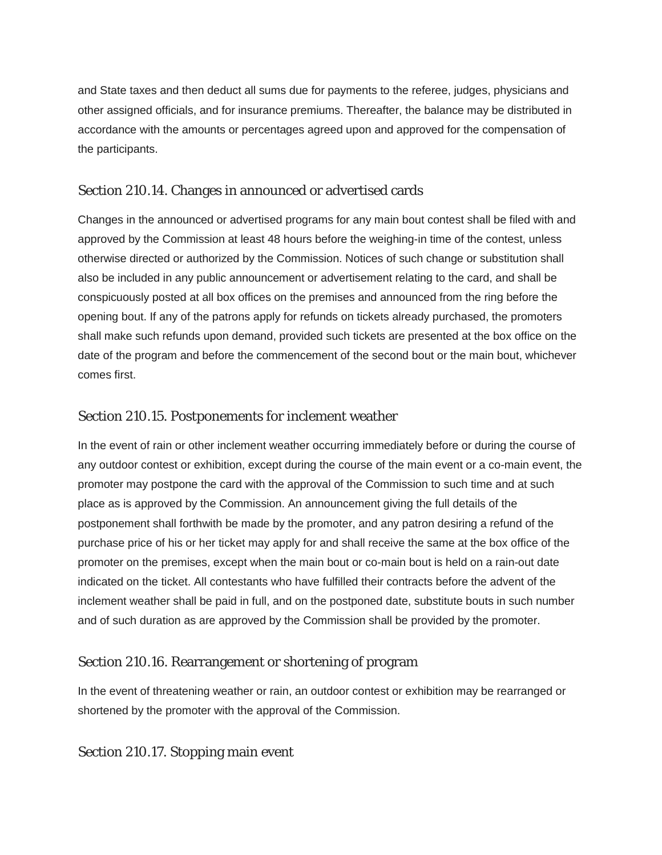and State taxes and then deduct all sums due for payments to the referee, judges, physicians and other assigned officials, and for insurance premiums. Thereafter, the balance may be distributed in accordance with the amounts or percentages agreed upon and approved for the compensation of the participants.

## Section 210.14. Changes in announced or advertised cards

Changes in the announced or advertised programs for any main bout contest shall be filed with and approved by the Commission at least 48 hours before the weighing-in time of the contest, unless otherwise directed or authorized by the Commission. Notices of such change or substitution shall also be included in any public announcement or advertisement relating to the card, and shall be conspicuously posted at all box offices on the premises and announced from the ring before the opening bout. If any of the patrons apply for refunds on tickets already purchased, the promoters shall make such refunds upon demand, provided such tickets are presented at the box office on the date of the program and before the commencement of the second bout or the main bout, whichever comes first.

# Section 210.15. Postponements for inclement weather

In the event of rain or other inclement weather occurring immediately before or during the course of any outdoor contest or exhibition, except during the course of the main event or a co-main event, the promoter may postpone the card with the approval of the Commission to such time and at such place as is approved by the Commission. An announcement giving the full details of the postponement shall forthwith be made by the promoter, and any patron desiring a refund of the purchase price of his or her ticket may apply for and shall receive the same at the box office of the promoter on the premises, except when the main bout or co-main bout is held on a rain-out date indicated on the ticket. All contestants who have fulfilled their contracts before the advent of the inclement weather shall be paid in full, and on the postponed date, substitute bouts in such number and of such duration as are approved by the Commission shall be provided by the promoter.

#### Section 210.16. Rearrangement or shortening of program

In the event of threatening weather or rain, an outdoor contest or exhibition may be rearranged or shortened by the promoter with the approval of the Commission.

#### Section 210.17. Stopping main event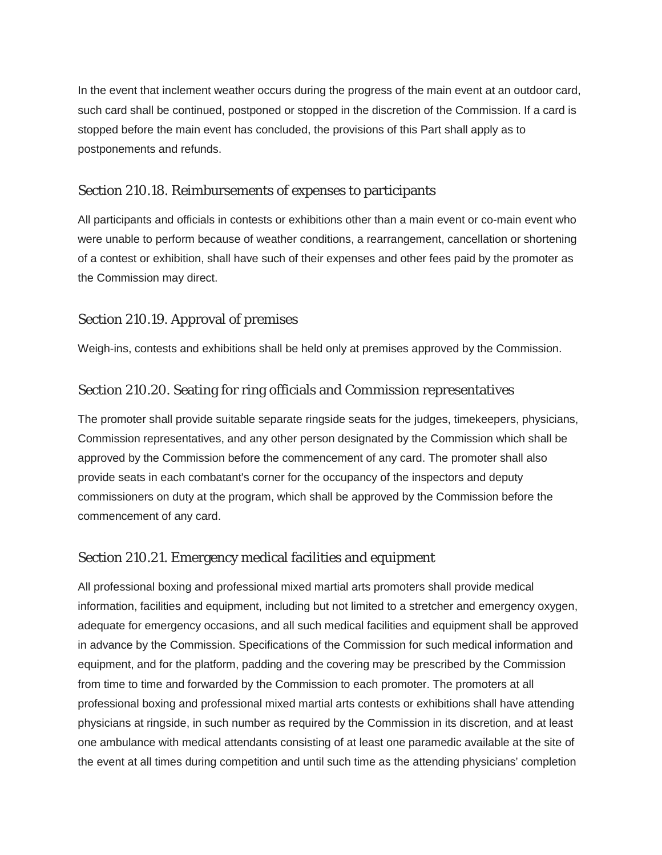In the event that inclement weather occurs during the progress of the main event at an outdoor card, such card shall be continued, postponed or stopped in the discretion of the Commission. If a card is stopped before the main event has concluded, the provisions of this Part shall apply as to postponements and refunds.

#### Section 210.18. Reimbursements of expenses to participants

All participants and officials in contests or exhibitions other than a main event or co-main event who were unable to perform because of weather conditions, a rearrangement, cancellation or shortening of a contest or exhibition, shall have such of their expenses and other fees paid by the promoter as the Commission may direct.

#### Section 210.19. Approval of premises

Weigh-ins, contests and exhibitions shall be held only at premises approved by the Commission.

#### Section 210.20. Seating for ring officials and Commission representatives

The promoter shall provide suitable separate ringside seats for the judges, timekeepers, physicians, Commission representatives, and any other person designated by the Commission which shall be approved by the Commission before the commencement of any card. The promoter shall also provide seats in each combatant's corner for the occupancy of the inspectors and deputy commissioners on duty at the program, which shall be approved by the Commission before the commencement of any card.

#### Section 210.21. Emergency medical facilities and equipment

All professional boxing and professional mixed martial arts promoters shall provide medical information, facilities and equipment, including but not limited to a stretcher and emergency oxygen, adequate for emergency occasions, and all such medical facilities and equipment shall be approved in advance by the Commission. Specifications of the Commission for such medical information and equipment, and for the platform, padding and the covering may be prescribed by the Commission from time to time and forwarded by the Commission to each promoter. The promoters at all professional boxing and professional mixed martial arts contests or exhibitions shall have attending physicians at ringside, in such number as required by the Commission in its discretion, and at least one ambulance with medical attendants consisting of at least one paramedic available at the site of the event at all times during competition and until such time as the attending physicians' completion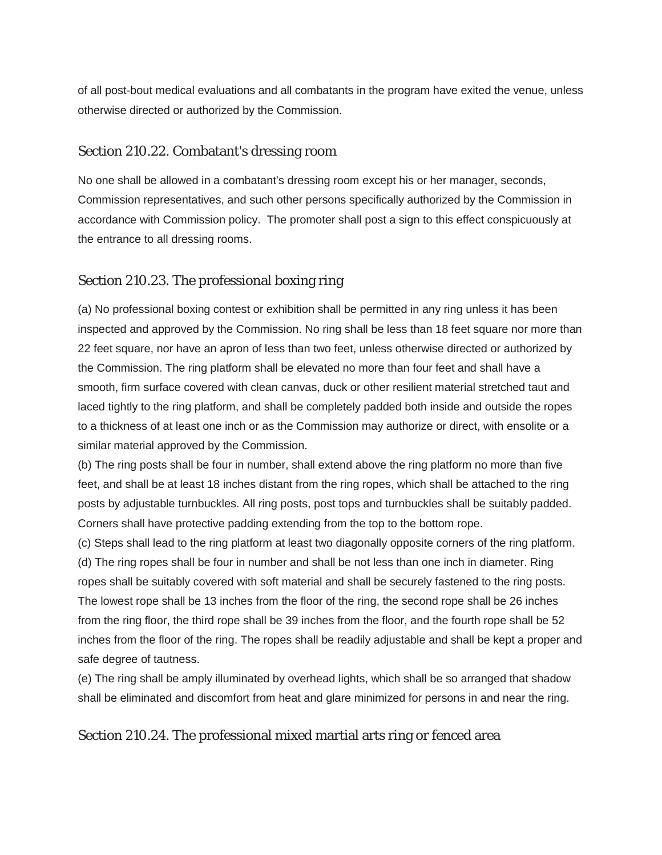of all post-bout medical evaluations and all combatants in the program have exited the venue, unless otherwise directed or authorized by the Commission.

# Section 210.22. Combatant's dressing room

No one shall be allowed in a combatant's dressing room except his or her manager, seconds, Commission representatives, and such other persons specifically authorized by the Commission in accordance with Commission policy. The promoter shall post a sign to this effect conspicuously at the entrance to all dressing rooms.

# Section 210.23. The professional boxing ring

(a) No professional boxing contest or exhibition shall be permitted in any ring unless it has been inspected and approved by the Commission. No ring shall be less than 18 feet square nor more than 22 feet square, nor have an apron of less than two feet, unless otherwise directed or authorized by the Commission. The ring platform shall be elevated no more than four feet and shall have a smooth, firm surface covered with clean canvas, duck or other resilient material stretched taut and laced tightly to the ring platform, and shall be completely padded both inside and outside the ropes to a thickness of at least one inch or as the Commission may authorize or direct, with ensolite or a similar material approved by the Commission.

(b) The ring posts shall be four in number, shall extend above the ring platform no more than five feet, and shall be at least 18 inches distant from the ring ropes, which shall be attached to the ring posts by adjustable turnbuckles. All ring posts, post tops and turnbuckles shall be suitably padded. Corners shall have protective padding extending from the top to the bottom rope.

(c) Steps shall lead to the ring platform at least two diagonally opposite corners of the ring platform. (d) The ring ropes shall be four in number and shall be not less than one inch in diameter. Ring ropes shall be suitably covered with soft material and shall be securely fastened to the ring posts. The lowest rope shall be 13 inches from the floor of the ring, the second rope shall be 26 inches from the ring floor, the third rope shall be 39 inches from the floor, and the fourth rope shall be 52 inches from the floor of the ring. The ropes shall be readily adjustable and shall be kept a proper and safe degree of tautness.

(e) The ring shall be amply illuminated by overhead lights, which shall be so arranged that shadow shall be eliminated and discomfort from heat and glare minimized for persons in and near the ring.

# Section 210.24. The professional mixed martial arts ring or fenced area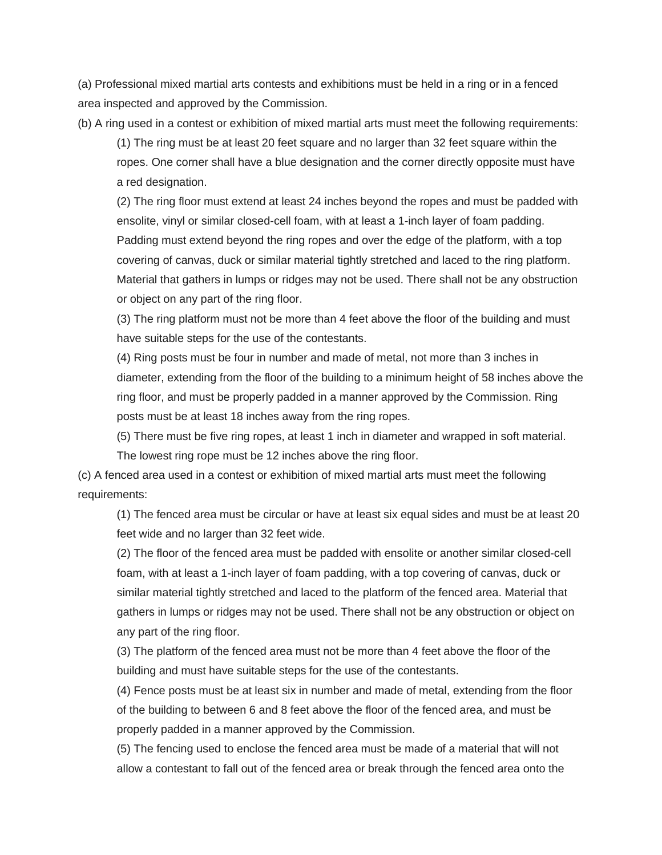(a) Professional mixed martial arts contests and exhibitions must be held in a ring or in a fenced area inspected and approved by the Commission.

(b) A ring used in a contest or exhibition of mixed martial arts must meet the following requirements:

(1) The ring must be at least 20 feet square and no larger than 32 feet square within the ropes. One corner shall have a blue designation and the corner directly opposite must have a red designation.

(2) The ring floor must extend at least 24 inches beyond the ropes and must be padded with ensolite, vinyl or similar closed-cell foam, with at least a 1-inch layer of foam padding. Padding must extend beyond the ring ropes and over the edge of the platform, with a top covering of canvas, duck or similar material tightly stretched and laced to the ring platform. Material that gathers in lumps or ridges may not be used. There shall not be any obstruction or object on any part of the ring floor.

(3) The ring platform must not be more than 4 feet above the floor of the building and must have suitable steps for the use of the contestants.

(4) Ring posts must be four in number and made of metal, not more than 3 inches in diameter, extending from the floor of the building to a minimum height of 58 inches above the ring floor, and must be properly padded in a manner approved by the Commission. Ring posts must be at least 18 inches away from the ring ropes.

(5) There must be five ring ropes, at least 1 inch in diameter and wrapped in soft material.

The lowest ring rope must be 12 inches above the ring floor.

(c) A fenced area used in a contest or exhibition of mixed martial arts must meet the following requirements:

(1) The fenced area must be circular or have at least six equal sides and must be at least 20 feet wide and no larger than 32 feet wide.

(2) The floor of the fenced area must be padded with ensolite or another similar closed-cell foam, with at least a 1-inch layer of foam padding, with a top covering of canvas, duck or similar material tightly stretched and laced to the platform of the fenced area. Material that gathers in lumps or ridges may not be used. There shall not be any obstruction or object on any part of the ring floor.

(3) The platform of the fenced area must not be more than 4 feet above the floor of the building and must have suitable steps for the use of the contestants.

(4) Fence posts must be at least six in number and made of metal, extending from the floor of the building to between 6 and 8 feet above the floor of the fenced area, and must be properly padded in a manner approved by the Commission.

(5) The fencing used to enclose the fenced area must be made of a material that will not allow a contestant to fall out of the fenced area or break through the fenced area onto the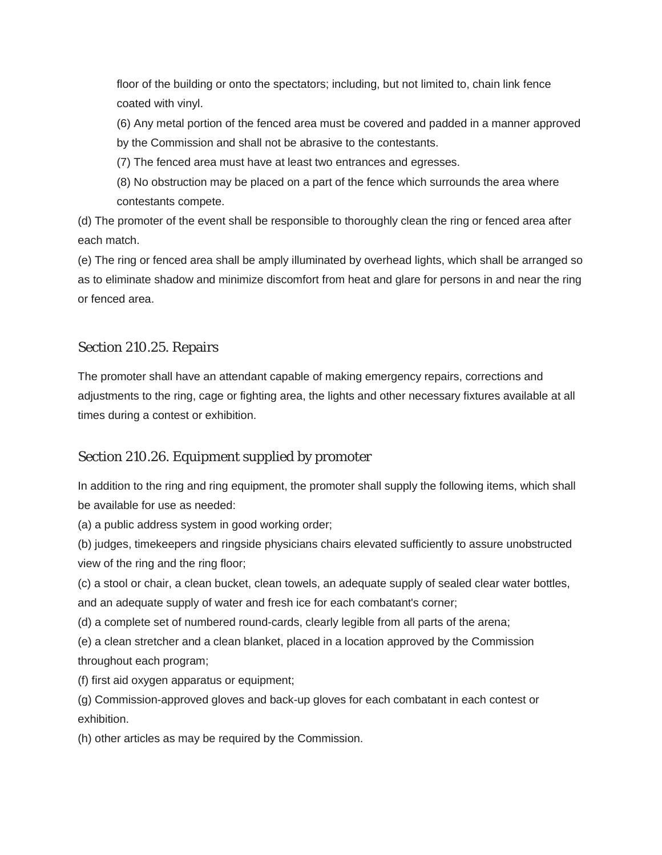floor of the building or onto the spectators; including, but not limited to, chain link fence coated with vinyl.

(6) Any metal portion of the fenced area must be covered and padded in a manner approved by the Commission and shall not be abrasive to the contestants.

(7) The fenced area must have at least two entrances and egresses.

(8) No obstruction may be placed on a part of the fence which surrounds the area where contestants compete.

(d) The promoter of the event shall be responsible to thoroughly clean the ring or fenced area after each match.

(e) The ring or fenced area shall be amply illuminated by overhead lights, which shall be arranged so as to eliminate shadow and minimize discomfort from heat and glare for persons in and near the ring or fenced area.

# Section 210.25. Repairs

The promoter shall have an attendant capable of making emergency repairs, corrections and adjustments to the ring, cage or fighting area, the lights and other necessary fixtures available at all times during a contest or exhibition.

# Section 210.26. Equipment supplied by promoter

In addition to the ring and ring equipment, the promoter shall supply the following items, which shall be available for use as needed:

(a) a public address system in good working order;

(b) judges, timekeepers and ringside physicians chairs elevated sufficiently to assure unobstructed view of the ring and the ring floor;

(c) a stool or chair, a clean bucket, clean towels, an adequate supply of sealed clear water bottles, and an adequate supply of water and fresh ice for each combatant's corner;

(d) a complete set of numbered round-cards, clearly legible from all parts of the arena;

(e) a clean stretcher and a clean blanket, placed in a location approved by the Commission throughout each program;

(f) first aid oxygen apparatus or equipment;

(g) Commission-approved gloves and back-up gloves for each combatant in each contest or exhibition.

(h) other articles as may be required by the Commission.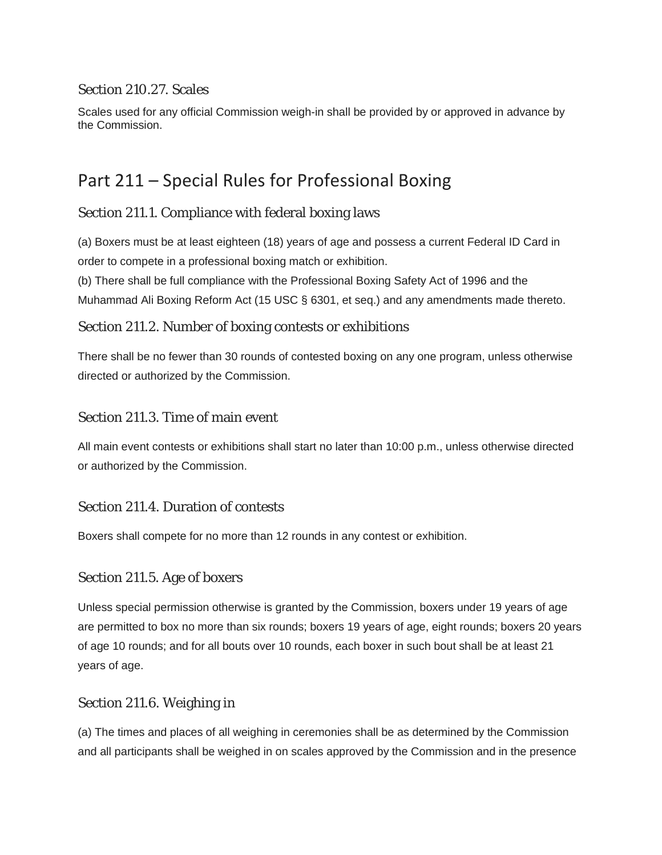# Section 210.27. Scales

Scales used for any official Commission weigh-in shall be provided by or approved in advance by the Commission.

# Part 211 – Special Rules for Professional Boxing

# Section 211.1. Compliance with federal boxing laws

(a) Boxers must be at least eighteen (18) years of age and possess a current Federal ID Card in order to compete in a professional boxing match or exhibition.

(b) There shall be full compliance with the Professional Boxing Safety Act of 1996 and the Muhammad Ali Boxing Reform Act (15 USC § 6301, et seq.) and any amendments made thereto.

# Section 211.2. Number of boxing contests or exhibitions

There shall be no fewer than 30 rounds of contested boxing on any one program, unless otherwise directed or authorized by the Commission.

# Section 211.3. Time of main event

All main event contests or exhibitions shall start no later than 10:00 p.m., unless otherwise directed or authorized by the Commission.

# Section 211.4. Duration of contests

Boxers shall compete for no more than 12 rounds in any contest or exhibition.

# Section 211.5. Age of boxers

Unless special permission otherwise is granted by the Commission, boxers under 19 years of age are permitted to box no more than six rounds; boxers 19 years of age, eight rounds; boxers 20 years of age 10 rounds; and for all bouts over 10 rounds, each boxer in such bout shall be at least 21 years of age.

# Section 211.6. Weighing in

(a) The times and places of all weighing in ceremonies shall be as determined by the Commission and all participants shall be weighed in on scales approved by the Commission and in the presence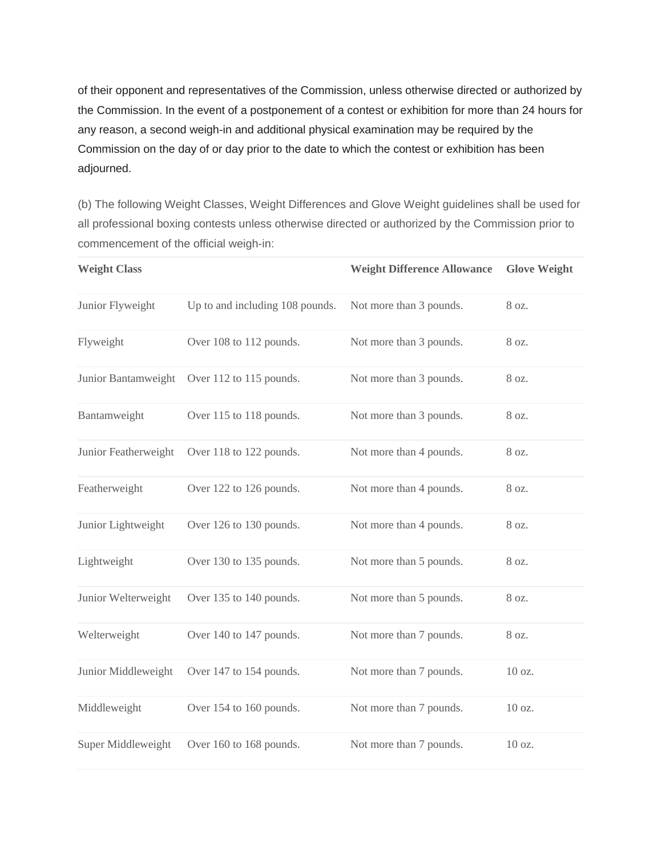of their opponent and representatives of the Commission, unless otherwise directed or authorized by the Commission. In the event of a postponement of a contest or exhibition for more than 24 hours for any reason, a second weigh-in and additional physical examination may be required by the Commission on the day of or day prior to the date to which the contest or exhibition has been adjourned.

(b) The following Weight Classes, Weight Differences and Glove Weight guidelines shall be used for all professional boxing contests unless otherwise directed or authorized by the Commission prior to commencement of the official weigh-in:

| <b>Weight Class</b>  |                                 | <b>Weight Difference Allowance</b> | <b>Glove Weight</b> |
|----------------------|---------------------------------|------------------------------------|---------------------|
| Junior Flyweight     | Up to and including 108 pounds. | Not more than 3 pounds.            | 8 oz.               |
| Flyweight            | Over 108 to 112 pounds.         | Not more than 3 pounds.            | 8 oz.               |
| Junior Bantamweight  | Over 112 to 115 pounds.         | Not more than 3 pounds.            | 8 oz.               |
| Bantamweight         | Over 115 to 118 pounds.         | Not more than 3 pounds.            | 8 oz.               |
| Junior Featherweight | Over 118 to 122 pounds.         | Not more than 4 pounds.            | 8 oz.               |
| Featherweight        | Over 122 to 126 pounds.         | Not more than 4 pounds.            | 8 oz.               |
| Junior Lightweight   | Over 126 to 130 pounds.         | Not more than 4 pounds.            | 8 oz.               |
| Lightweight          | Over 130 to 135 pounds.         | Not more than 5 pounds.            | 8 oz.               |
| Junior Welterweight  | Over 135 to 140 pounds.         | Not more than 5 pounds.            | 8 oz.               |
| Welterweight         | Over 140 to 147 pounds.         | Not more than 7 pounds.            | 8 oz.               |
| Junior Middleweight  | Over 147 to 154 pounds.         | Not more than 7 pounds.            | 10 oz.              |
| Middleweight         | Over 154 to 160 pounds.         | Not more than 7 pounds.            | 10 oz.              |
| Super Middleweight   | Over 160 to 168 pounds.         | Not more than 7 pounds.            | 10 oz.              |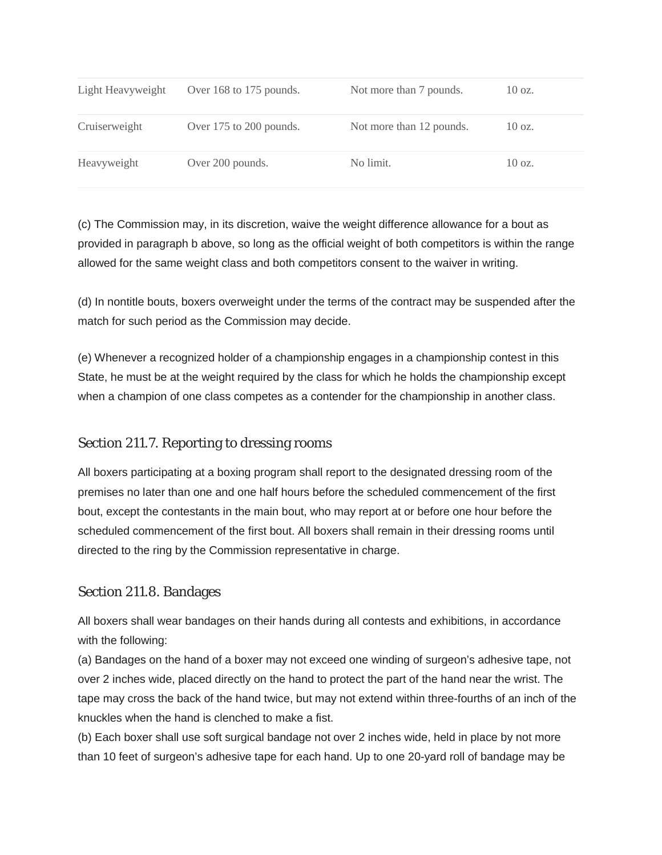| Light Heavyweight | Over 168 to 175 pounds. | Not more than 7 pounds.  | $10 \text{ oz.}$ |
|-------------------|-------------------------|--------------------------|------------------|
| Cruiserweight     | Over 175 to 200 pounds. | Not more than 12 pounds. | $10 \text{ oz.}$ |
| Heavyweight       | Over 200 pounds.        | No limit.                | $10 \text{ oz.}$ |

(c) The Commission may, in its discretion, waive the weight difference allowance for a bout as provided in paragraph b above, so long as the official weight of both competitors is within the range allowed for the same weight class and both competitors consent to the waiver in writing.

(d) In nontitle bouts, boxers overweight under the terms of the contract may be suspended after the match for such period as the Commission may decide.

(e) Whenever a recognized holder of a championship engages in a championship contest in this State, he must be at the weight required by the class for which he holds the championship except when a champion of one class competes as a contender for the championship in another class.

# Section 211.7. Reporting to dressing rooms

All boxers participating at a boxing program shall report to the designated dressing room of the premises no later than one and one half hours before the scheduled commencement of the first bout, except the contestants in the main bout, who may report at or before one hour before the scheduled commencement of the first bout. All boxers shall remain in their dressing rooms until directed to the ring by the Commission representative in charge.

# Section 211.8. Bandages

All boxers shall wear bandages on their hands during all contests and exhibitions, in accordance with the following:

(a) Bandages on the hand of a boxer may not exceed one winding of surgeon's adhesive tape, not over 2 inches wide, placed directly on the hand to protect the part of the hand near the wrist. The tape may cross the back of the hand twice, but may not extend within three-fourths of an inch of the knuckles when the hand is clenched to make a fist.

(b) Each boxer shall use soft surgical bandage not over 2 inches wide, held in place by not more than 10 feet of surgeon's adhesive tape for each hand. Up to one 20-yard roll of bandage may be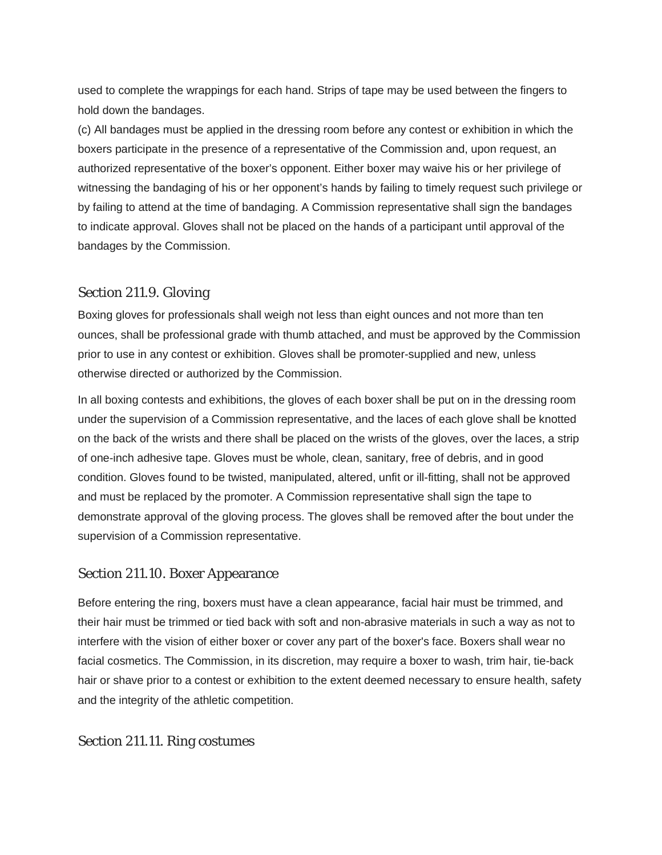used to complete the wrappings for each hand. Strips of tape may be used between the fingers to hold down the bandages.

(c) All bandages must be applied in the dressing room before any contest or exhibition in which the boxers participate in the presence of a representative of the Commission and, upon request, an authorized representative of the boxer's opponent. Either boxer may waive his or her privilege of witnessing the bandaging of his or her opponent's hands by failing to timely request such privilege or by failing to attend at the time of bandaging. A Commission representative shall sign the bandages to indicate approval. Gloves shall not be placed on the hands of a participant until approval of the bandages by the Commission.

# Section 211.9. Gloving

Boxing gloves for professionals shall weigh not less than eight ounces and not more than ten ounces, shall be professional grade with thumb attached, and must be approved by the Commission prior to use in any contest or exhibition. Gloves shall be promoter-supplied and new, unless otherwise directed or authorized by the Commission.

In all boxing contests and exhibitions, the gloves of each boxer shall be put on in the dressing room under the supervision of a Commission representative, and the laces of each glove shall be knotted on the back of the wrists and there shall be placed on the wrists of the gloves, over the laces, a strip of one-inch adhesive tape. Gloves must be whole, clean, sanitary, free of debris, and in good condition. Gloves found to be twisted, manipulated, altered, unfit or ill-fitting, shall not be approved and must be replaced by the promoter. A Commission representative shall sign the tape to demonstrate approval of the gloving process. The gloves shall be removed after the bout under the supervision of a Commission representative.

#### Section 211.10. Boxer Appearance

Before entering the ring, boxers must have a clean appearance, facial hair must be trimmed, and their hair must be trimmed or tied back with soft and non-abrasive materials in such a way as not to interfere with the vision of either boxer or cover any part of the boxer's face. Boxers shall wear no facial cosmetics. The Commission, in its discretion, may require a boxer to wash, trim hair, tie-back hair or shave prior to a contest or exhibition to the extent deemed necessary to ensure health, safety and the integrity of the athletic competition.

#### Section 211.11. Ring costumes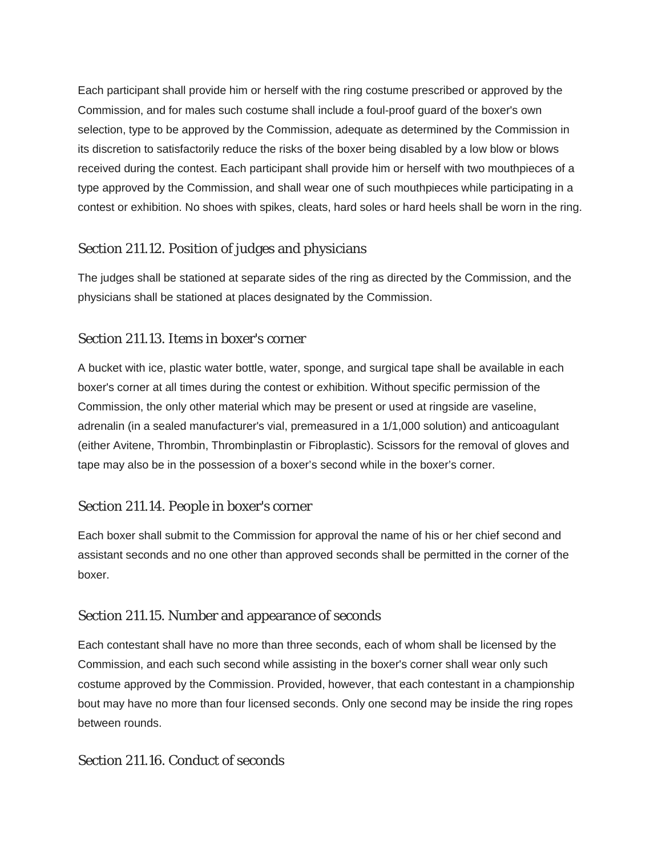Each participant shall provide him or herself with the ring costume prescribed or approved by the Commission, and for males such costume shall include a foul-proof guard of the boxer's own selection, type to be approved by the Commission, adequate as determined by the Commission in its discretion to satisfactorily reduce the risks of the boxer being disabled by a low blow or blows received during the contest. Each participant shall provide him or herself with two mouthpieces of a type approved by the Commission, and shall wear one of such mouthpieces while participating in a contest or exhibition. No shoes with spikes, cleats, hard soles or hard heels shall be worn in the ring.

# Section 211.12. Position of judges and physicians

The judges shall be stationed at separate sides of the ring as directed by the Commission, and the physicians shall be stationed at places designated by the Commission.

# Section 211.13. Items in boxer's corner

A bucket with ice, plastic water bottle, water, sponge, and surgical tape shall be available in each boxer's corner at all times during the contest or exhibition. Without specific permission of the Commission, the only other material which may be present or used at ringside are vaseline, adrenalin (in a sealed manufacturer's vial, premeasured in a 1/1,000 solution) and anticoagulant (either Avitene, Thrombin, Thrombinplastin or Fibroplastic). Scissors for the removal of gloves and tape may also be in the possession of a boxer's second while in the boxer's corner.

# Section 211.14. People in boxer's corner

Each boxer shall submit to the Commission for approval the name of his or her chief second and assistant seconds and no one other than approved seconds shall be permitted in the corner of the boxer.

# Section 211.15. Number and appearance of seconds

Each contestant shall have no more than three seconds, each of whom shall be licensed by the Commission, and each such second while assisting in the boxer's corner shall wear only such costume approved by the Commission. Provided, however, that each contestant in a championship bout may have no more than four licensed seconds. Only one second may be inside the ring ropes between rounds.

# Section 211.16. Conduct of seconds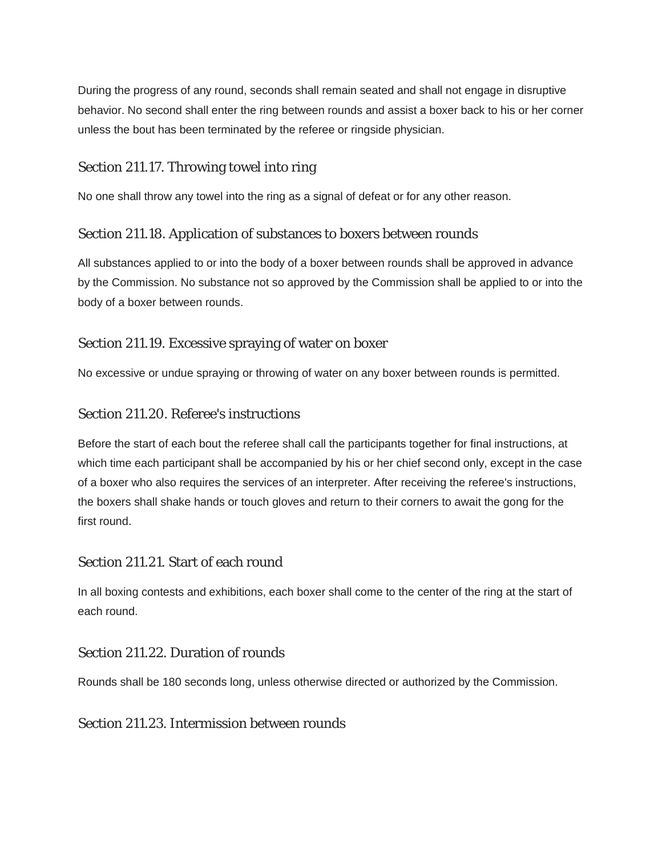During the progress of any round, seconds shall remain seated and shall not engage in disruptive behavior. No second shall enter the ring between rounds and assist a boxer back to his or her corner unless the bout has been terminated by the referee or ringside physician.

# Section 211.17. Throwing towel into ring

No one shall throw any towel into the ring as a signal of defeat or for any other reason.

# Section 211.18. Application of substances to boxers between rounds

All substances applied to or into the body of a boxer between rounds shall be approved in advance by the Commission. No substance not so approved by the Commission shall be applied to or into the body of a boxer between rounds.

# Section 211.19. Excessive spraying of water on boxer

No excessive or undue spraying or throwing of water on any boxer between rounds is permitted.

# Section 211.20. Referee's instructions

Before the start of each bout the referee shall call the participants together for final instructions, at which time each participant shall be accompanied by his or her chief second only, except in the case of a boxer who also requires the services of an interpreter. After receiving the referee's instructions, the boxers shall shake hands or touch gloves and return to their corners to await the gong for the first round.

# Section 211.21. Start of each round

In all boxing contests and exhibitions, each boxer shall come to the center of the ring at the start of each round.

# Section 211.22. Duration of rounds

Rounds shall be 180 seconds long, unless otherwise directed or authorized by the Commission.

#### Section 211.23. Intermission between rounds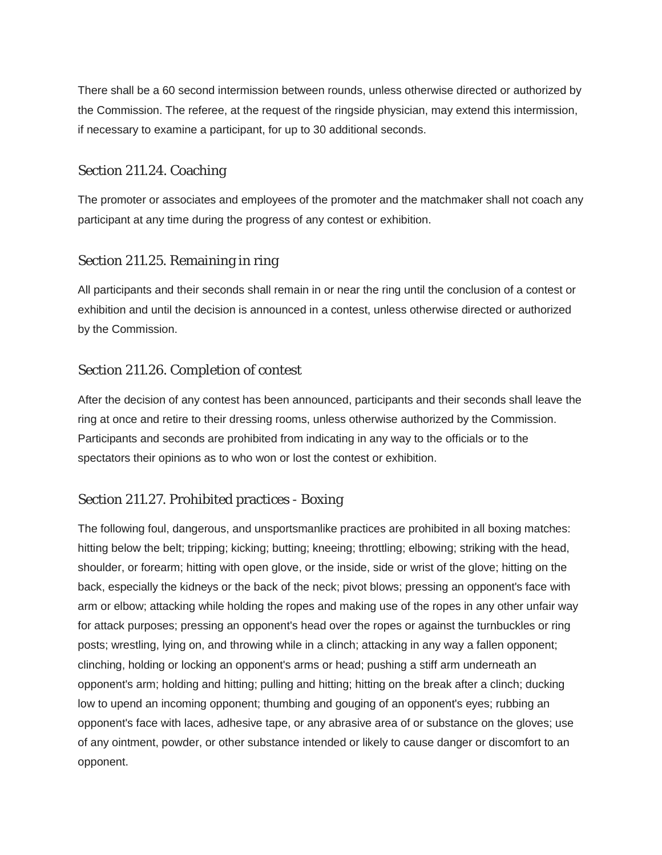There shall be a 60 second intermission between rounds, unless otherwise directed or authorized by the Commission. The referee, at the request of the ringside physician, may extend this intermission, if necessary to examine a participant, for up to 30 additional seconds.

## Section 211.24. Coaching

The promoter or associates and employees of the promoter and the matchmaker shall not coach any participant at any time during the progress of any contest or exhibition.

# Section 211.25. Remaining in ring

All participants and their seconds shall remain in or near the ring until the conclusion of a contest or exhibition and until the decision is announced in a contest, unless otherwise directed or authorized by the Commission.

### Section 211.26. Completion of contest

After the decision of any contest has been announced, participants and their seconds shall leave the ring at once and retire to their dressing rooms, unless otherwise authorized by the Commission. Participants and seconds are prohibited from indicating in any way to the officials or to the spectators their opinions as to who won or lost the contest or exhibition.

# Section 211.27. Prohibited practices - Boxing

The following foul, dangerous, and unsportsmanlike practices are prohibited in all boxing matches: hitting below the belt; tripping; kicking; butting; kneeing; throttling; elbowing; striking with the head, shoulder, or forearm; hitting with open glove, or the inside, side or wrist of the glove; hitting on the back, especially the kidneys or the back of the neck; pivot blows; pressing an opponent's face with arm or elbow; attacking while holding the ropes and making use of the ropes in any other unfair way for attack purposes; pressing an opponent's head over the ropes or against the turnbuckles or ring posts; wrestling, lying on, and throwing while in a clinch; attacking in any way a fallen opponent; clinching, holding or locking an opponent's arms or head; pushing a stiff arm underneath an opponent's arm; holding and hitting; pulling and hitting; hitting on the break after a clinch; ducking low to upend an incoming opponent; thumbing and gouging of an opponent's eyes; rubbing an opponent's face with laces, adhesive tape, or any abrasive area of or substance on the gloves; use of any ointment, powder, or other substance intended or likely to cause danger or discomfort to an opponent.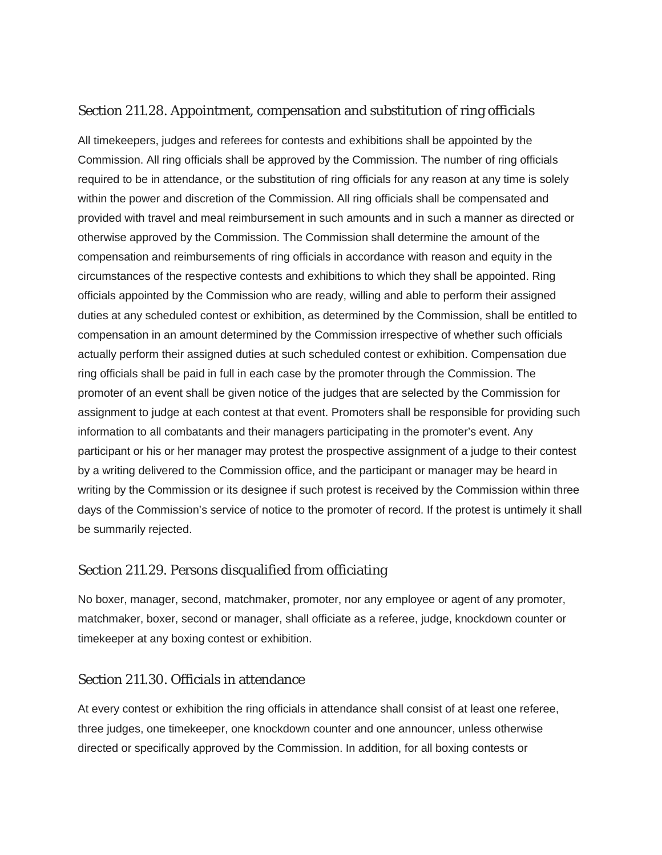# Section 211.28. Appointment, compensation and substitution of ring officials

All timekeepers, judges and referees for contests and exhibitions shall be appointed by the Commission. All ring officials shall be approved by the Commission. The number of ring officials required to be in attendance, or the substitution of ring officials for any reason at any time is solely within the power and discretion of the Commission. All ring officials shall be compensated and provided with travel and meal reimbursement in such amounts and in such a manner as directed or otherwise approved by the Commission. The Commission shall determine the amount of the compensation and reimbursements of ring officials in accordance with reason and equity in the circumstances of the respective contests and exhibitions to which they shall be appointed. Ring officials appointed by the Commission who are ready, willing and able to perform their assigned duties at any scheduled contest or exhibition, as determined by the Commission, shall be entitled to compensation in an amount determined by the Commission irrespective of whether such officials actually perform their assigned duties at such scheduled contest or exhibition. Compensation due ring officials shall be paid in full in each case by the promoter through the Commission. The promoter of an event shall be given notice of the judges that are selected by the Commission for assignment to judge at each contest at that event. Promoters shall be responsible for providing such information to all combatants and their managers participating in the promoter's event. Any participant or his or her manager may protest the prospective assignment of a judge to their contest by a writing delivered to the Commission office, and the participant or manager may be heard in writing by the Commission or its designee if such protest is received by the Commission within three days of the Commission's service of notice to the promoter of record. If the protest is untimely it shall be summarily rejected.

#### Section 211.29. Persons disqualified from officiating

No boxer, manager, second, matchmaker, promoter, nor any employee or agent of any promoter, matchmaker, boxer, second or manager, shall officiate as a referee, judge, knockdown counter or timekeeper at any boxing contest or exhibition.

#### Section 211.30. Officials in attendance

At every contest or exhibition the ring officials in attendance shall consist of at least one referee, three judges, one timekeeper, one knockdown counter and one announcer, unless otherwise directed or specifically approved by the Commission. In addition, for all boxing contests or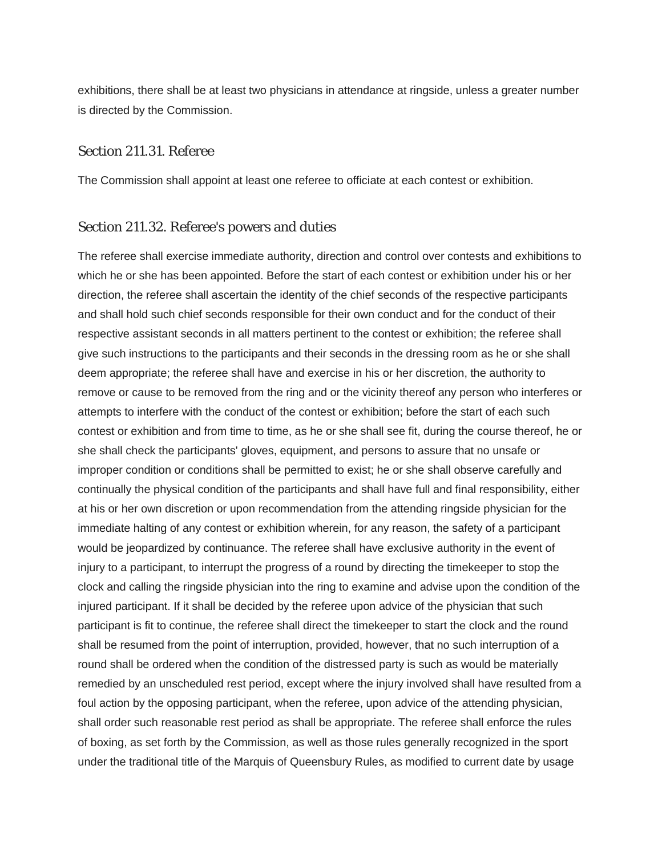exhibitions, there shall be at least two physicians in attendance at ringside, unless a greater number is directed by the Commission.

#### Section 211.31. Referee

The Commission shall appoint at least one referee to officiate at each contest or exhibition.

#### Section 211.32. Referee's powers and duties

The referee shall exercise immediate authority, direction and control over contests and exhibitions to which he or she has been appointed. Before the start of each contest or exhibition under his or her direction, the referee shall ascertain the identity of the chief seconds of the respective participants and shall hold such chief seconds responsible for their own conduct and for the conduct of their respective assistant seconds in all matters pertinent to the contest or exhibition; the referee shall give such instructions to the participants and their seconds in the dressing room as he or she shall deem appropriate; the referee shall have and exercise in his or her discretion, the authority to remove or cause to be removed from the ring and or the vicinity thereof any person who interferes or attempts to interfere with the conduct of the contest or exhibition; before the start of each such contest or exhibition and from time to time, as he or she shall see fit, during the course thereof, he or she shall check the participants' gloves, equipment, and persons to assure that no unsafe or improper condition or conditions shall be permitted to exist; he or she shall observe carefully and continually the physical condition of the participants and shall have full and final responsibility, either at his or her own discretion or upon recommendation from the attending ringside physician for the immediate halting of any contest or exhibition wherein, for any reason, the safety of a participant would be jeopardized by continuance. The referee shall have exclusive authority in the event of injury to a participant, to interrupt the progress of a round by directing the timekeeper to stop the clock and calling the ringside physician into the ring to examine and advise upon the condition of the injured participant. If it shall be decided by the referee upon advice of the physician that such participant is fit to continue, the referee shall direct the timekeeper to start the clock and the round shall be resumed from the point of interruption, provided, however, that no such interruption of a round shall be ordered when the condition of the distressed party is such as would be materially remedied by an unscheduled rest period, except where the injury involved shall have resulted from a foul action by the opposing participant, when the referee, upon advice of the attending physician, shall order such reasonable rest period as shall be appropriate. The referee shall enforce the rules of boxing, as set forth by the Commission, as well as those rules generally recognized in the sport under the traditional title of the Marquis of Queensbury Rules, as modified to current date by usage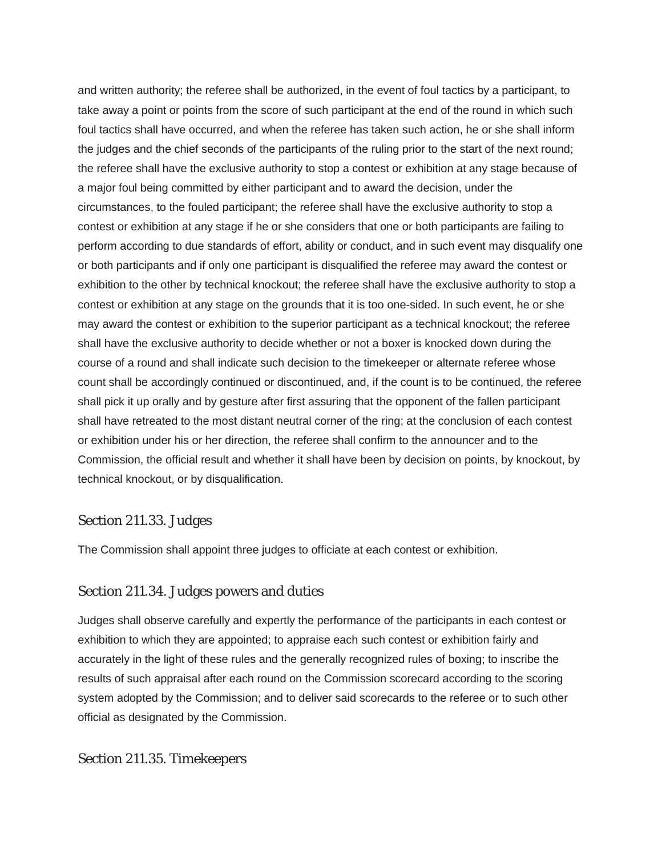and written authority; the referee shall be authorized, in the event of foul tactics by a participant, to take away a point or points from the score of such participant at the end of the round in which such foul tactics shall have occurred, and when the referee has taken such action, he or she shall inform the judges and the chief seconds of the participants of the ruling prior to the start of the next round; the referee shall have the exclusive authority to stop a contest or exhibition at any stage because of a major foul being committed by either participant and to award the decision, under the circumstances, to the fouled participant; the referee shall have the exclusive authority to stop a contest or exhibition at any stage if he or she considers that one or both participants are failing to perform according to due standards of effort, ability or conduct, and in such event may disqualify one or both participants and if only one participant is disqualified the referee may award the contest or exhibition to the other by technical knockout; the referee shall have the exclusive authority to stop a contest or exhibition at any stage on the grounds that it is too one-sided. In such event, he or she may award the contest or exhibition to the superior participant as a technical knockout; the referee shall have the exclusive authority to decide whether or not a boxer is knocked down during the course of a round and shall indicate such decision to the timekeeper or alternate referee whose count shall be accordingly continued or discontinued, and, if the count is to be continued, the referee shall pick it up orally and by gesture after first assuring that the opponent of the fallen participant shall have retreated to the most distant neutral corner of the ring; at the conclusion of each contest or exhibition under his or her direction, the referee shall confirm to the announcer and to the Commission, the official result and whether it shall have been by decision on points, by knockout, by technical knockout, or by disqualification.

#### Section 211.33. Judges

The Commission shall appoint three judges to officiate at each contest or exhibition.

# Section 211.34. Judges powers and duties

Judges shall observe carefully and expertly the performance of the participants in each contest or exhibition to which they are appointed; to appraise each such contest or exhibition fairly and accurately in the light of these rules and the generally recognized rules of boxing; to inscribe the results of such appraisal after each round on the Commission scorecard according to the scoring system adopted by the Commission; and to deliver said scorecards to the referee or to such other official as designated by the Commission.

#### Section 211.35. Timekeepers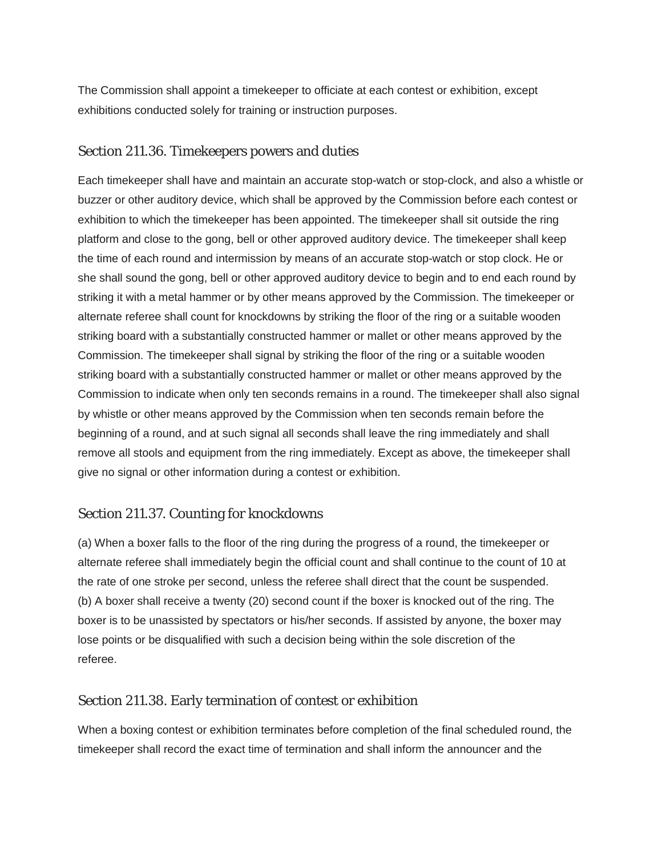The Commission shall appoint a timekeeper to officiate at each contest or exhibition, except exhibitions conducted solely for training or instruction purposes.

# Section 211.36. Timekeepers powers and duties

Each timekeeper shall have and maintain an accurate stop-watch or stop-clock, and also a whistle or buzzer or other auditory device, which shall be approved by the Commission before each contest or exhibition to which the timekeeper has been appointed. The timekeeper shall sit outside the ring platform and close to the gong, bell or other approved auditory device. The timekeeper shall keep the time of each round and intermission by means of an accurate stop-watch or stop clock. He or she shall sound the gong, bell or other approved auditory device to begin and to end each round by striking it with a metal hammer or by other means approved by the Commission. The timekeeper or alternate referee shall count for knockdowns by striking the floor of the ring or a suitable wooden striking board with a substantially constructed hammer or mallet or other means approved by the Commission. The timekeeper shall signal by striking the floor of the ring or a suitable wooden striking board with a substantially constructed hammer or mallet or other means approved by the Commission to indicate when only ten seconds remains in a round. The timekeeper shall also signal by whistle or other means approved by the Commission when ten seconds remain before the beginning of a round, and at such signal all seconds shall leave the ring immediately and shall remove all stools and equipment from the ring immediately. Except as above, the timekeeper shall give no signal or other information during a contest or exhibition.

# Section 211.37. Counting for knockdowns

(a) When a boxer falls to the floor of the ring during the progress of a round, the timekeeper or alternate referee shall immediately begin the official count and shall continue to the count of 10 at the rate of one stroke per second, unless the referee shall direct that the count be suspended. (b) A boxer shall receive a twenty (20) second count if the boxer is knocked out of the ring. The boxer is to be unassisted by spectators or his/her seconds. If assisted by anyone, the boxer may lose points or be disqualified with such a decision being within the sole discretion of the referee.

# Section 211.38. Early termination of contest or exhibition

When a boxing contest or exhibition terminates before completion of the final scheduled round, the timekeeper shall record the exact time of termination and shall inform the announcer and the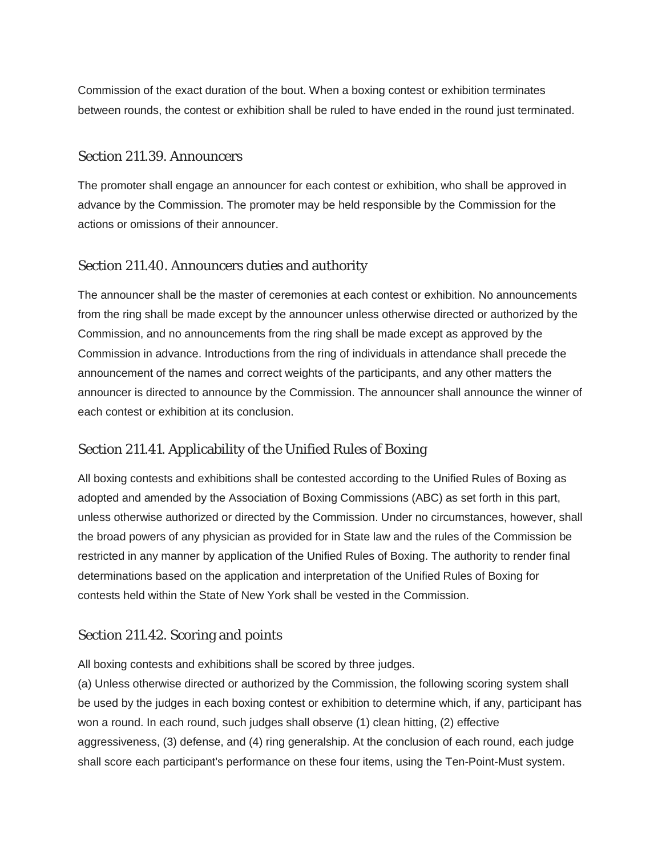Commission of the exact duration of the bout. When a boxing contest or exhibition terminates between rounds, the contest or exhibition shall be ruled to have ended in the round just terminated.

#### Section 211.39. Announcers

The promoter shall engage an announcer for each contest or exhibition, who shall be approved in advance by the Commission. The promoter may be held responsible by the Commission for the actions or omissions of their announcer.

# Section 211.40. Announcers duties and authority

The announcer shall be the master of ceremonies at each contest or exhibition. No announcements from the ring shall be made except by the announcer unless otherwise directed or authorized by the Commission, and no announcements from the ring shall be made except as approved by the Commission in advance. Introductions from the ring of individuals in attendance shall precede the announcement of the names and correct weights of the participants, and any other matters the announcer is directed to announce by the Commission. The announcer shall announce the winner of each contest or exhibition at its conclusion.

# Section 211.41. Applicability of the Unified Rules of Boxing

All boxing contests and exhibitions shall be contested according to the Unified Rules of Boxing as adopted and amended by the Association of Boxing Commissions (ABC) as set forth in this part, unless otherwise authorized or directed by the Commission. Under no circumstances, however, shall the broad powers of any physician as provided for in State law and the rules of the Commission be restricted in any manner by application of the Unified Rules of Boxing. The authority to render final determinations based on the application and interpretation of the Unified Rules of Boxing for contests held within the State of New York shall be vested in the Commission.

# Section 211.42. Scoring and points

All boxing contests and exhibitions shall be scored by three judges.

(a) Unless otherwise directed or authorized by the Commission, the following scoring system shall be used by the judges in each boxing contest or exhibition to determine which, if any, participant has won a round. In each round, such judges shall observe (1) clean hitting, (2) effective aggressiveness, (3) defense, and (4) ring generalship. At the conclusion of each round, each judge shall score each participant's performance on these four items, using the Ten-Point-Must system.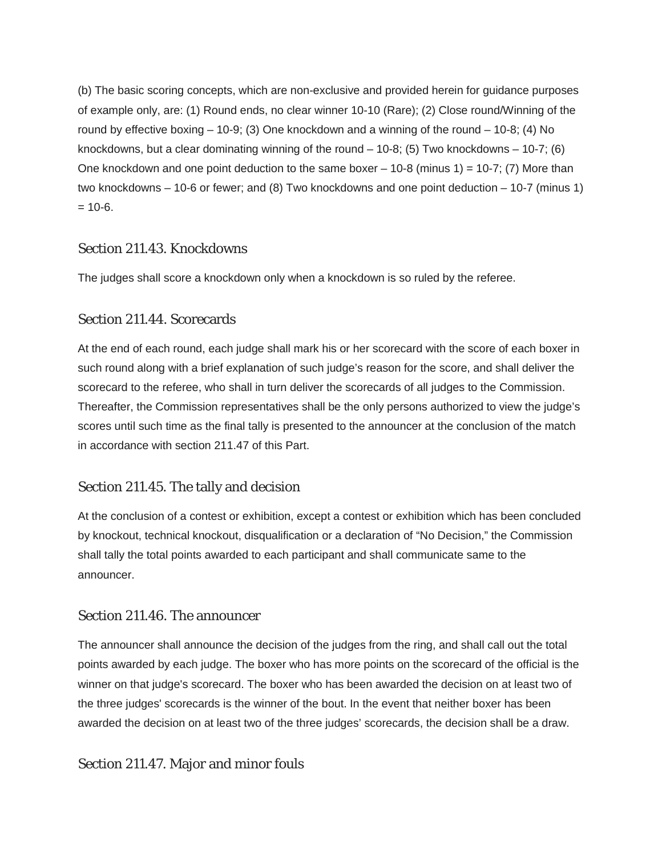(b) The basic scoring concepts, which are non-exclusive and provided herein for guidance purposes of example only, are: (1) Round ends, no clear winner 10-10 (Rare); (2) Close round/Winning of the round by effective boxing – 10-9; (3) One knockdown and a winning of the round – 10-8; (4) No knockdowns, but a clear dominating winning of the round  $-10-8$ ; (5) Two knockdowns  $-10-7$ ; (6) One knockdown and one point deduction to the same boxer  $-10-8$  (minus 1) = 10-7; (7) More than two knockdowns – 10-6 or fewer; and (8) Two knockdowns and one point deduction – 10-7 (minus 1)  $= 10-6.$ 

# Section 211.43. Knockdowns

The judges shall score a knockdown only when a knockdown is so ruled by the referee.

# Section 211.44. Scorecards

At the end of each round, each judge shall mark his or her scorecard with the score of each boxer in such round along with a brief explanation of such judge's reason for the score, and shall deliver the scorecard to the referee, who shall in turn deliver the scorecards of all judges to the Commission. Thereafter, the Commission representatives shall be the only persons authorized to view the judge's scores until such time as the final tally is presented to the announcer at the conclusion of the match in accordance with section 211.47 of this Part.

# Section 211.45. The tally and decision

At the conclusion of a contest or exhibition, except a contest or exhibition which has been concluded by knockout, technical knockout, disqualification or a declaration of "No Decision," the Commission shall tally the total points awarded to each participant and shall communicate same to the announcer.

# Section 211.46. The announcer

The announcer shall announce the decision of the judges from the ring, and shall call out the total points awarded by each judge. The boxer who has more points on the scorecard of the official is the winner on that judge's scorecard. The boxer who has been awarded the decision on at least two of the three judges' scorecards is the winner of the bout. In the event that neither boxer has been awarded the decision on at least two of the three judges' scorecards, the decision shall be a draw.

# Section 211.47. Major and minor fouls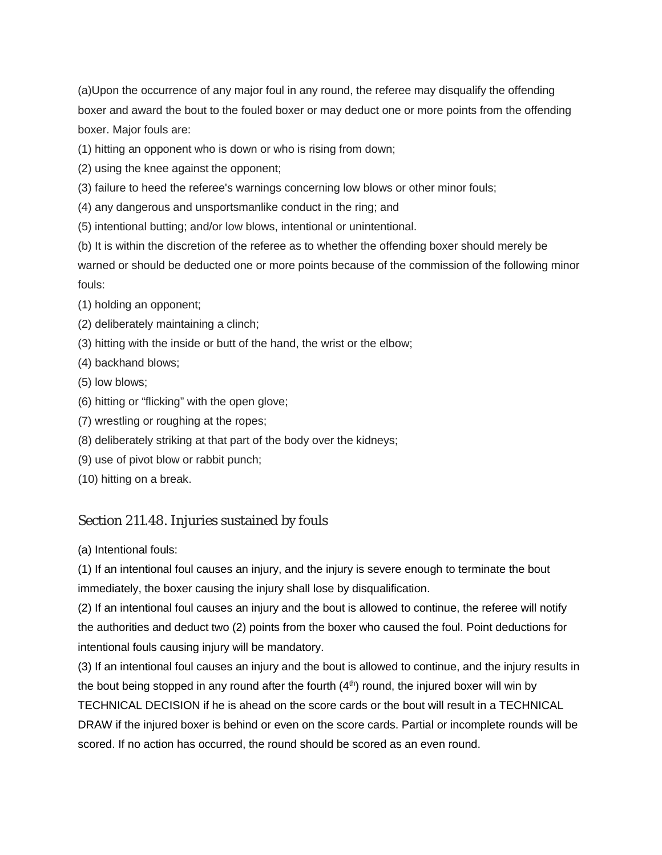(a)Upon the occurrence of any major foul in any round, the referee may disqualify the offending boxer and award the bout to the fouled boxer or may deduct one or more points from the offending boxer. Major fouls are:

(1) hitting an opponent who is down or who is rising from down;

- (2) using the knee against the opponent;
- (3) failure to heed the referee's warnings concerning low blows or other minor fouls;
- (4) any dangerous and unsportsmanlike conduct in the ring; and
- (5) intentional butting; and/or low blows, intentional or unintentional.
- (b) It is within the discretion of the referee as to whether the offending boxer should merely be

warned or should be deducted one or more points because of the commission of the following minor fouls:

- (1) holding an opponent;
- (2) deliberately maintaining a clinch;
- (3) hitting with the inside or butt of the hand, the wrist or the elbow;
- (4) backhand blows;
- (5) low blows;
- (6) hitting or "flicking" with the open glove;
- (7) wrestling or roughing at the ropes;
- (8) deliberately striking at that part of the body over the kidneys;
- (9) use of pivot blow or rabbit punch;
- (10) hitting on a break.

# Section 211.48. Injuries sustained by fouls

(a) Intentional fouls:

(1) If an intentional foul causes an injury, and the injury is severe enough to terminate the bout immediately, the boxer causing the injury shall lose by disqualification.

(2) If an intentional foul causes an injury and the bout is allowed to continue, the referee will notify the authorities and deduct two (2) points from the boxer who caused the foul. Point deductions for intentional fouls causing injury will be mandatory.

(3) If an intentional foul causes an injury and the bout is allowed to continue, and the injury results in the bout being stopped in any round after the fourth  $(4<sup>th</sup>)$  round, the injured boxer will win by TECHNICAL DECISION if he is ahead on the score cards or the bout will result in a TECHNICAL DRAW if the injured boxer is behind or even on the score cards. Partial or incomplete rounds will be scored. If no action has occurred, the round should be scored as an even round.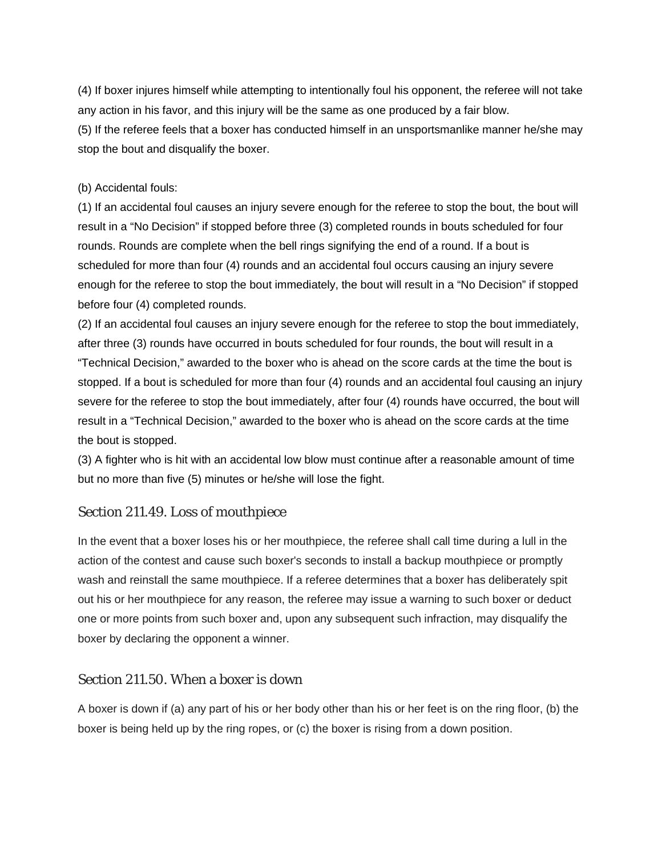(4) If boxer injures himself while attempting to intentionally foul his opponent, the referee will not take any action in his favor, and this injury will be the same as one produced by a fair blow.

(5) If the referee feels that a boxer has conducted himself in an unsportsmanlike manner he/she may stop the bout and disqualify the boxer.

#### (b) Accidental fouls:

(1) If an accidental foul causes an injury severe enough for the referee to stop the bout, the bout will result in a "No Decision" if stopped before three (3) completed rounds in bouts scheduled for four rounds. Rounds are complete when the bell rings signifying the end of a round. If a bout is scheduled for more than four (4) rounds and an accidental foul occurs causing an injury severe enough for the referee to stop the bout immediately, the bout will result in a "No Decision" if stopped before four (4) completed rounds.

(2) If an accidental foul causes an injury severe enough for the referee to stop the bout immediately, after three (3) rounds have occurred in bouts scheduled for four rounds, the bout will result in a "Technical Decision," awarded to the boxer who is ahead on the score cards at the time the bout is stopped. If a bout is scheduled for more than four (4) rounds and an accidental foul causing an injury severe for the referee to stop the bout immediately, after four (4) rounds have occurred, the bout will result in a "Technical Decision," awarded to the boxer who is ahead on the score cards at the time the bout is stopped.

(3) A fighter who is hit with an accidental low blow must continue after a reasonable amount of time but no more than five (5) minutes or he/she will lose the fight.

# Section 211.49. Loss of mouthpiece

In the event that a boxer loses his or her mouthpiece, the referee shall call time during a lull in the action of the contest and cause such boxer's seconds to install a backup mouthpiece or promptly wash and reinstall the same mouthpiece. If a referee determines that a boxer has deliberately spit out his or her mouthpiece for any reason, the referee may issue a warning to such boxer or deduct one or more points from such boxer and, upon any subsequent such infraction, may disqualify the boxer by declaring the opponent a winner.

# Section 211.50. When a boxer is down

A boxer is down if (a) any part of his or her body other than his or her feet is on the ring floor, (b) the boxer is being held up by the ring ropes, or (c) the boxer is rising from a down position.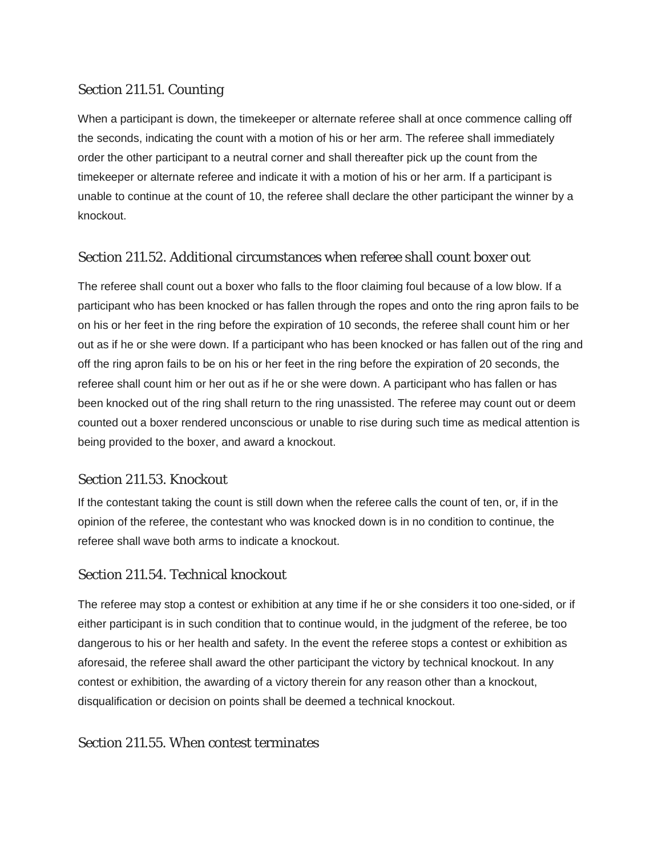# Section 211.51. Counting

When a participant is down, the timekeeper or alternate referee shall at once commence calling off the seconds, indicating the count with a motion of his or her arm. The referee shall immediately order the other participant to a neutral corner and shall thereafter pick up the count from the timekeeper or alternate referee and indicate it with a motion of his or her arm. If a participant is unable to continue at the count of 10, the referee shall declare the other participant the winner by a knockout.

# Section 211.52. Additional circumstances when referee shall count boxer out

The referee shall count out a boxer who falls to the floor claiming foul because of a low blow. If a participant who has been knocked or has fallen through the ropes and onto the ring apron fails to be on his or her feet in the ring before the expiration of 10 seconds, the referee shall count him or her out as if he or she were down. If a participant who has been knocked or has fallen out of the ring and off the ring apron fails to be on his or her feet in the ring before the expiration of 20 seconds, the referee shall count him or her out as if he or she were down. A participant who has fallen or has been knocked out of the ring shall return to the ring unassisted. The referee may count out or deem counted out a boxer rendered unconscious or unable to rise during such time as medical attention is being provided to the boxer, and award a knockout.

# Section 211.53. Knockout

If the contestant taking the count is still down when the referee calls the count of ten, or, if in the opinion of the referee, the contestant who was knocked down is in no condition to continue, the referee shall wave both arms to indicate a knockout.

# Section 211.54. Technical knockout

The referee may stop a contest or exhibition at any time if he or she considers it too one-sided, or if either participant is in such condition that to continue would, in the judgment of the referee, be too dangerous to his or her health and safety. In the event the referee stops a contest or exhibition as aforesaid, the referee shall award the other participant the victory by technical knockout. In any contest or exhibition, the awarding of a victory therein for any reason other than a knockout, disqualification or decision on points shall be deemed a technical knockout.

# Section 211.55. When contest terminates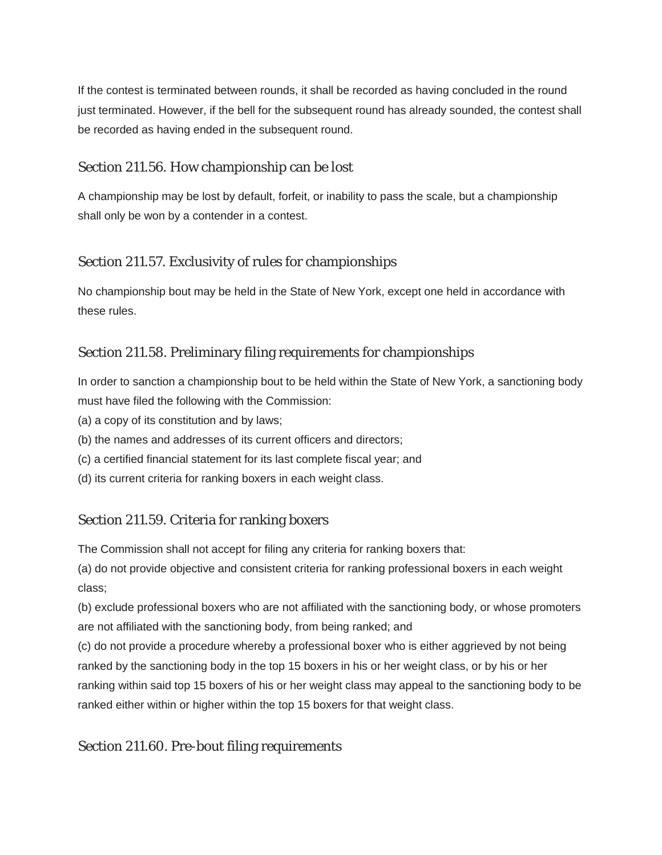If the contest is terminated between rounds, it shall be recorded as having concluded in the round just terminated. However, if the bell for the subsequent round has already sounded, the contest shall be recorded as having ended in the subsequent round.

# Section 211.56. How championship can be lost

A championship may be lost by default, forfeit, or inability to pass the scale, but a championship shall only be won by a contender in a contest.

# Section 211.57. Exclusivity of rules for championships

No championship bout may be held in the State of New York, except one held in accordance with these rules.

# Section 211.58. Preliminary filing requirements for championships

In order to sanction a championship bout to be held within the State of New York, a sanctioning body must have filed the following with the Commission:

- (a) a copy of its constitution and by laws;
- (b) the names and addresses of its current officers and directors;
- (c) a certified financial statement for its last complete fiscal year; and
- (d) its current criteria for ranking boxers in each weight class.

# Section 211.59. Criteria for ranking boxers

The Commission shall not accept for filing any criteria for ranking boxers that:

(a) do not provide objective and consistent criteria for ranking professional boxers in each weight class;

(b) exclude professional boxers who are not affiliated with the sanctioning body, or whose promoters are not affiliated with the sanctioning body, from being ranked; and

(c) do not provide a procedure whereby a professional boxer who is either aggrieved by not being ranked by the sanctioning body in the top 15 boxers in his or her weight class, or by his or her ranking within said top 15 boxers of his or her weight class may appeal to the sanctioning body to be ranked either within or higher within the top 15 boxers for that weight class.

# Section 211.60. Pre-bout filing requirements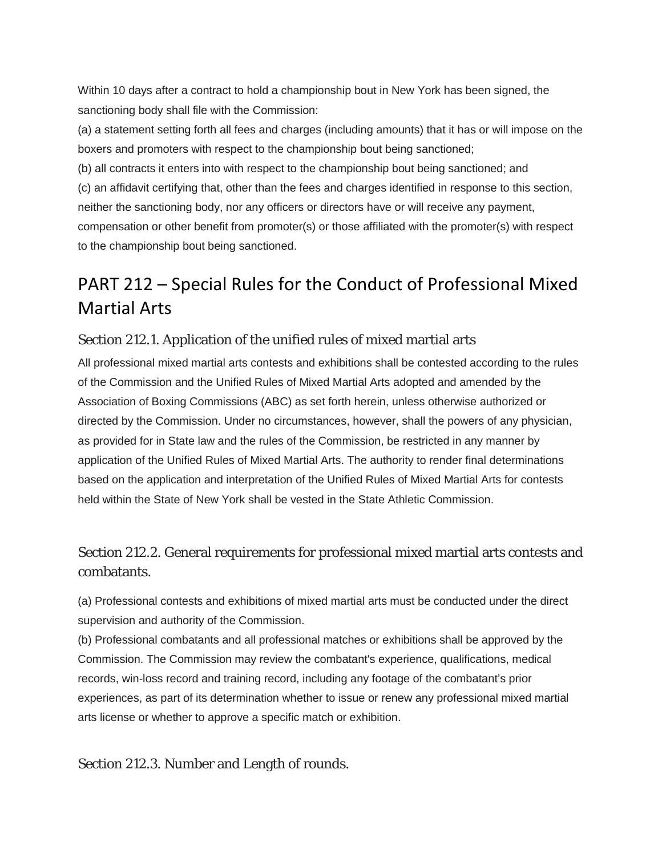Within 10 days after a contract to hold a championship bout in New York has been signed, the sanctioning body shall file with the Commission:

(a) a statement setting forth all fees and charges (including amounts) that it has or will impose on the boxers and promoters with respect to the championship bout being sanctioned;

(b) all contracts it enters into with respect to the championship bout being sanctioned; and (c) an affidavit certifying that, other than the fees and charges identified in response to this section, neither the sanctioning body, nor any officers or directors have or will receive any payment, compensation or other benefit from promoter(s) or those affiliated with the promoter(s) with respect to the championship bout being sanctioned.

# PART 212 – Special Rules for the Conduct of Professional Mixed Martial Arts

# Section 212.1. Application of the unified rules of mixed martial arts

All professional mixed martial arts contests and exhibitions shall be contested according to the rules of the Commission and the Unified Rules of Mixed Martial Arts adopted and amended by the Association of Boxing Commissions (ABC) as set forth herein, unless otherwise authorized or directed by the Commission. Under no circumstances, however, shall the powers of any physician, as provided for in State law and the rules of the Commission, be restricted in any manner by application of the Unified Rules of Mixed Martial Arts. The authority to render final determinations based on the application and interpretation of the Unified Rules of Mixed Martial Arts for contests held within the State of New York shall be vested in the State Athletic Commission.

# Section 212.2. General requirements for professional mixed martial arts contests and combatants.

(a) Professional contests and exhibitions of mixed martial arts must be conducted under the direct supervision and authority of the Commission.

(b) Professional combatants and all professional matches or exhibitions shall be approved by the Commission. The Commission may review the combatant's experience, qualifications, medical records, win-loss record and training record, including any footage of the combatant's prior experiences, as part of its determination whether to issue or renew any professional mixed martial arts license or whether to approve a specific match or exhibition.

Section 212.3. Number and Length of rounds.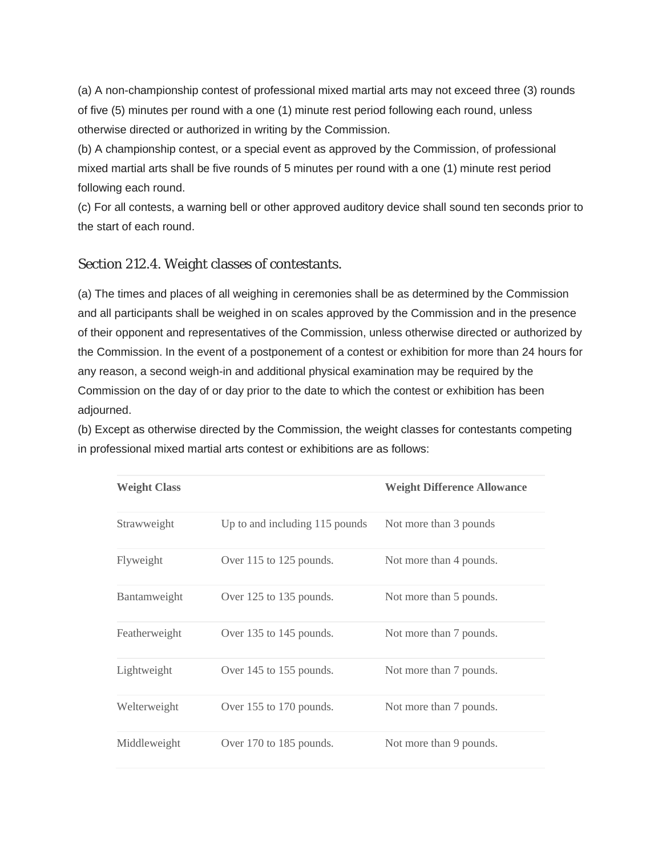(a) A non-championship contest of professional mixed martial arts may not exceed three (3) rounds of five (5) minutes per round with a one (1) minute rest period following each round, unless otherwise directed or authorized in writing by the Commission.

(b) A championship contest, or a special event as approved by the Commission, of professional mixed martial arts shall be five rounds of 5 minutes per round with a one (1) minute rest period following each round.

(c) For all contests, a warning bell or other approved auditory device shall sound ten seconds prior to the start of each round.

# Section 212.4. Weight classes of contestants.

(a) The times and places of all weighing in ceremonies shall be as determined by the Commission and all participants shall be weighed in on scales approved by the Commission and in the presence of their opponent and representatives of the Commission, unless otherwise directed or authorized by the Commission. In the event of a postponement of a contest or exhibition for more than 24 hours for any reason, a second weigh-in and additional physical examination may be required by the Commission on the day of or day prior to the date to which the contest or exhibition has been adjourned.

(b) Except as otherwise directed by the Commission, the weight classes for contestants competing in professional mixed martial arts contest or exhibitions are as follows:

| <b>Weight Class</b> |                                | <b>Weight Difference Allowance</b> |
|---------------------|--------------------------------|------------------------------------|
| Strawweight         | Up to and including 115 pounds | Not more than 3 pounds             |
| Flyweight           | Over 115 to 125 pounds.        | Not more than 4 pounds.            |
| <b>Bantamweight</b> | Over 125 to 135 pounds.        | Not more than 5 pounds.            |
| Featherweight       | Over 135 to 145 pounds.        | Not more than 7 pounds.            |
| Lightweight         | Over 145 to 155 pounds.        | Not more than 7 pounds.            |
| Welterweight        | Over 155 to 170 pounds.        | Not more than 7 pounds.            |
| Middleweight        | Over 170 to 185 pounds.        | Not more than 9 pounds.            |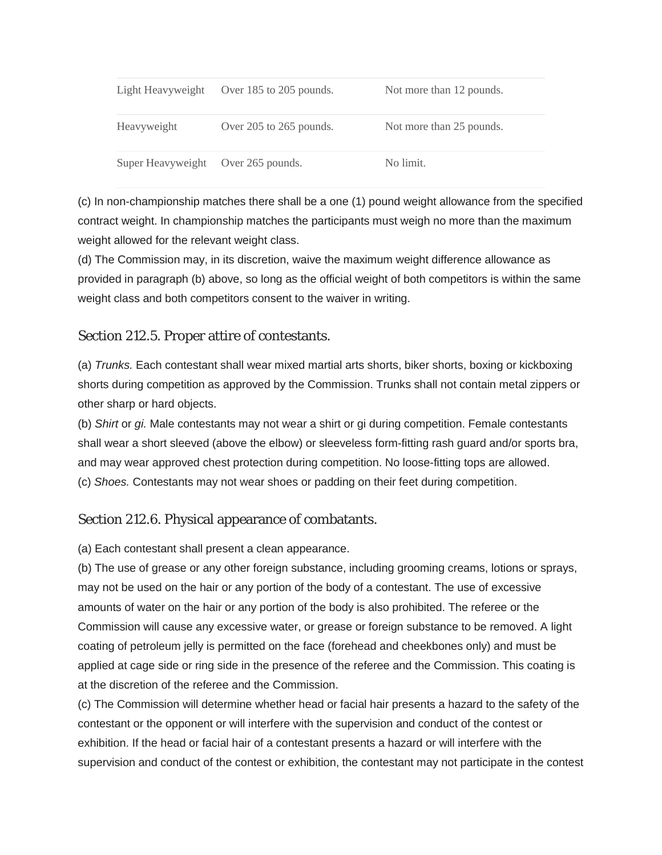| Light Heavyweight                  | Over 185 to 205 pounds. | Not more than 12 pounds. |
|------------------------------------|-------------------------|--------------------------|
| Heavyweight                        | Over 205 to 265 pounds. | Not more than 25 pounds. |
| Super Heavyweight Over 265 pounds. |                         | No limit.                |

(c) In non-championship matches there shall be a one (1) pound weight allowance from the specified contract weight. In championship matches the participants must weigh no more than the maximum weight allowed for the relevant weight class.

(d) The Commission may, in its discretion, waive the maximum weight difference allowance as provided in paragraph (b) above, so long as the official weight of both competitors is within the same weight class and both competitors consent to the waiver in writing.

# Section 212.5. Proper attire of contestants.

(a) *Trunks.* Each contestant shall wear mixed martial arts shorts, biker shorts, boxing or kickboxing shorts during competition as approved by the Commission. Trunks shall not contain metal zippers or other sharp or hard objects.

(b) *Shirt* or *gi.* Male contestants may not wear a shirt or gi during competition. Female contestants shall wear a short sleeved (above the elbow) or sleeveless form-fitting rash guard and/or sports bra, and may wear approved chest protection during competition. No loose-fitting tops are allowed. (c) *Shoes.* Contestants may not wear shoes or padding on their feet during competition.

# Section 212.6. Physical appearance of combatants.

(a) Each contestant shall present a clean appearance.

(b) The use of grease or any other foreign substance, including grooming creams, lotions or sprays, may not be used on the hair or any portion of the body of a contestant. The use of excessive amounts of water on the hair or any portion of the body is also prohibited. The referee or the Commission will cause any excessive water, or grease or foreign substance to be removed. A light coating of petroleum jelly is permitted on the face (forehead and cheekbones only) and must be applied at cage side or ring side in the presence of the referee and the Commission. This coating is at the discretion of the referee and the Commission.

(c) The Commission will determine whether head or facial hair presents a hazard to the safety of the contestant or the opponent or will interfere with the supervision and conduct of the contest or exhibition. If the head or facial hair of a contestant presents a hazard or will interfere with the supervision and conduct of the contest or exhibition, the contestant may not participate in the contest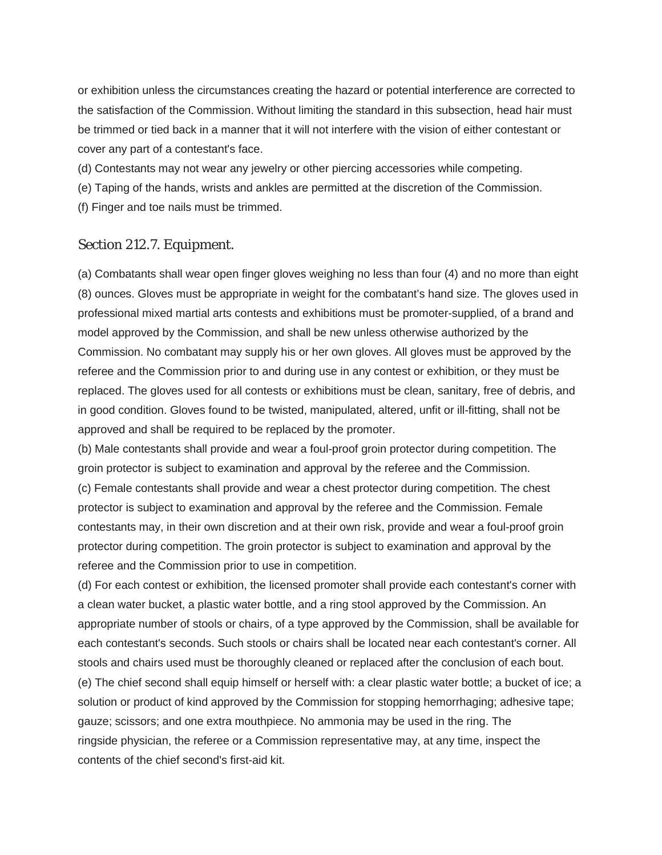or exhibition unless the circumstances creating the hazard or potential interference are corrected to the satisfaction of the Commission. Without limiting the standard in this subsection, head hair must be trimmed or tied back in a manner that it will not interfere with the vision of either contestant or cover any part of a contestant's face.

(d) Contestants may not wear any jewelry or other piercing accessories while competing.

(e) Taping of the hands, wrists and ankles are permitted at the discretion of the Commission.

(f) Finger and toe nails must be trimmed.

#### Section 212.7. Equipment.

(a) Combatants shall wear open finger gloves weighing no less than four (4) and no more than eight (8) ounces. Gloves must be appropriate in weight for the combatant's hand size. The gloves used in professional mixed martial arts contests and exhibitions must be promoter-supplied, of a brand and model approved by the Commission, and shall be new unless otherwise authorized by the Commission. No combatant may supply his or her own gloves. All gloves must be approved by the referee and the Commission prior to and during use in any contest or exhibition, or they must be replaced. The gloves used for all contests or exhibitions must be clean, sanitary, free of debris, and in good condition. Gloves found to be twisted, manipulated, altered, unfit or ill-fitting, shall not be approved and shall be required to be replaced by the promoter.

(b) Male contestants shall provide and wear a foul-proof groin protector during competition. The groin protector is subject to examination and approval by the referee and the Commission. (c) Female contestants shall provide and wear a chest protector during competition. The chest protector is subject to examination and approval by the referee and the Commission. Female contestants may, in their own discretion and at their own risk, provide and wear a foul-proof groin protector during competition. The groin protector is subject to examination and approval by the referee and the Commission prior to use in competition.

(d) For each contest or exhibition, the licensed promoter shall provide each contestant's corner with a clean water bucket, a plastic water bottle, and a ring stool approved by the Commission. An appropriate number of stools or chairs, of a type approved by the Commission, shall be available for each contestant's seconds. Such stools or chairs shall be located near each contestant's corner. All stools and chairs used must be thoroughly cleaned or replaced after the conclusion of each bout. (e) The chief second shall equip himself or herself with: a clear plastic water bottle; a bucket of ice; a solution or product of kind approved by the Commission for stopping hemorrhaging; adhesive tape; gauze; scissors; and one extra mouthpiece. No ammonia may be used in the ring. The ringside physician, the referee or a Commission representative may, at any time, inspect the contents of the chief second's first-aid kit.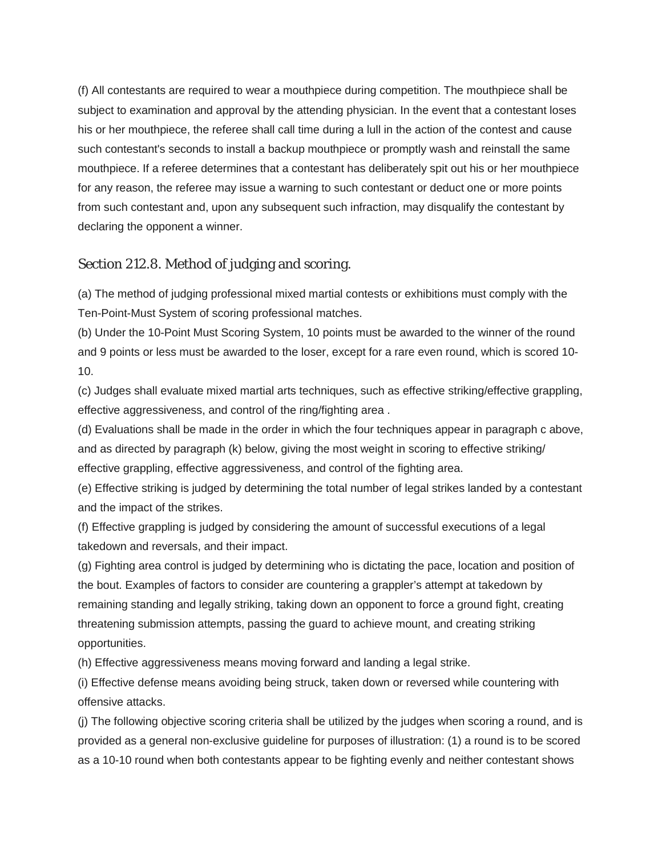(f) All contestants are required to wear a mouthpiece during competition. The mouthpiece shall be subject to examination and approval by the attending physician. In the event that a contestant loses his or her mouthpiece, the referee shall call time during a lull in the action of the contest and cause such contestant's seconds to install a backup mouthpiece or promptly wash and reinstall the same mouthpiece. If a referee determines that a contestant has deliberately spit out his or her mouthpiece for any reason, the referee may issue a warning to such contestant or deduct one or more points from such contestant and, upon any subsequent such infraction, may disqualify the contestant by declaring the opponent a winner.

# Section 212.8. Method of judging and scoring.

(a) The method of judging professional mixed martial contests or exhibitions must comply with the Ten-Point-Must System of scoring professional matches.

(b) Under the 10-Point Must Scoring System, 10 points must be awarded to the winner of the round and 9 points or less must be awarded to the loser, except for a rare even round, which is scored 10- 10.

(c) Judges shall evaluate mixed martial arts techniques, such as effective striking/effective grappling, effective aggressiveness, and control of the ring/fighting area .

(d) Evaluations shall be made in the order in which the four techniques appear in paragraph c above, and as directed by paragraph (k) below, giving the most weight in scoring to effective striking/ effective grappling, effective aggressiveness, and control of the fighting area.

(e) Effective striking is judged by determining the total number of legal strikes landed by a contestant and the impact of the strikes.

(f) Effective grappling is judged by considering the amount of successful executions of a legal takedown and reversals, and their impact.

(g) Fighting area control is judged by determining who is dictating the pace, location and position of the bout. Examples of factors to consider are countering a grappler's attempt at takedown by remaining standing and legally striking, taking down an opponent to force a ground fight, creating threatening submission attempts, passing the guard to achieve mount, and creating striking opportunities.

(h) Effective aggressiveness means moving forward and landing a legal strike.

(i) Effective defense means avoiding being struck, taken down or reversed while countering with offensive attacks.

(j) The following objective scoring criteria shall be utilized by the judges when scoring a round, and is provided as a general non-exclusive guideline for purposes of illustration: (1) a round is to be scored as a 10-10 round when both contestants appear to be fighting evenly and neither contestant shows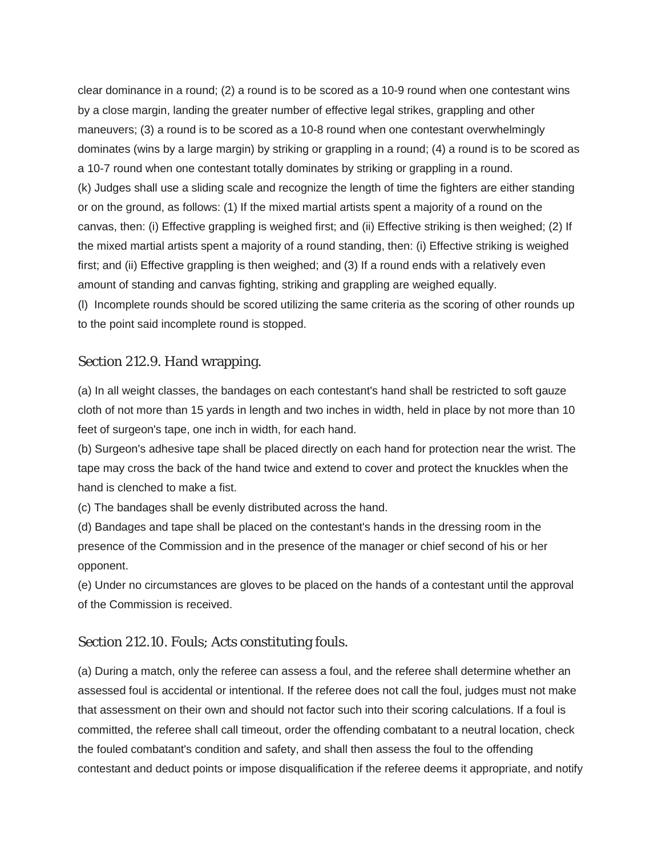clear dominance in a round; (2) a round is to be scored as a 10-9 round when one contestant wins by a close margin, landing the greater number of effective legal strikes, grappling and other maneuvers; (3) a round is to be scored as a 10-8 round when one contestant overwhelmingly dominates (wins by a large margin) by striking or grappling in a round; (4) a round is to be scored as a 10-7 round when one contestant totally dominates by striking or grappling in a round. (k) Judges shall use a sliding scale and recognize the length of time the fighters are either standing or on the ground, as follows: (1) If the mixed martial artists spent a majority of a round on the canvas, then: (i) Effective grappling is weighed first; and (ii) Effective striking is then weighed; (2) If the mixed martial artists spent a majority of a round standing, then: (i) Effective striking is weighed first; and (ii) Effective grappling is then weighed; and (3) If a round ends with a relatively even amount of standing and canvas fighting, striking and grappling are weighed equally. (l) Incomplete rounds should be scored utilizing the same criteria as the scoring of other rounds up to the point said incomplete round is stopped.

# Section 212.9. Hand wrapping.

(a) In all weight classes, the bandages on each contestant's hand shall be restricted to soft gauze cloth of not more than 15 yards in length and two inches in width, held in place by not more than 10 feet of surgeon's tape, one inch in width, for each hand.

(b) Surgeon's adhesive tape shall be placed directly on each hand for protection near the wrist. The tape may cross the back of the hand twice and extend to cover and protect the knuckles when the hand is clenched to make a fist.

(c) The bandages shall be evenly distributed across the hand.

(d) Bandages and tape shall be placed on the contestant's hands in the dressing room in the presence of the Commission and in the presence of the manager or chief second of his or her opponent.

(e) Under no circumstances are gloves to be placed on the hands of a contestant until the approval of the Commission is received.

# Section 212.10. Fouls; Acts constituting fouls.

(a) During a match, only the referee can assess a foul, and the referee shall determine whether an assessed foul is accidental or intentional. If the referee does not call the foul, judges must not make that assessment on their own and should not factor such into their scoring calculations. If a foul is committed, the referee shall call timeout, order the offending combatant to a neutral location, check the fouled combatant's condition and safety, and shall then assess the foul to the offending contestant and deduct points or impose disqualification if the referee deems it appropriate, and notify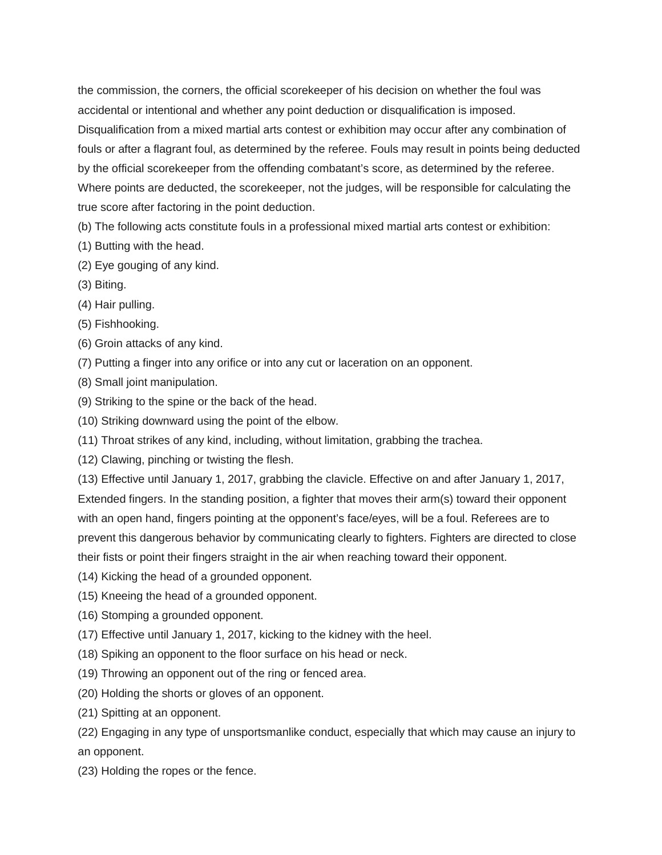the commission, the corners, the official scorekeeper of his decision on whether the foul was accidental or intentional and whether any point deduction or disqualification is imposed. Disqualification from a mixed martial arts contest or exhibition may occur after any combination of fouls or after a flagrant foul, as determined by the referee. Fouls may result in points being deducted by the official scorekeeper from the offending combatant's score, as determined by the referee. Where points are deducted, the scorekeeper, not the judges, will be responsible for calculating the true score after factoring in the point deduction.

(b) The following acts constitute fouls in a professional mixed martial arts contest or exhibition:

- (1) Butting with the head.
- (2) Eye gouging of any kind.
- (3) Biting.
- (4) Hair pulling.
- (5) Fishhooking.
- (6) Groin attacks of any kind.
- (7) Putting a finger into any orifice or into any cut or laceration on an opponent.
- (8) Small joint manipulation.
- (9) Striking to the spine or the back of the head.
- (10) Striking downward using the point of the elbow.
- (11) Throat strikes of any kind, including, without limitation, grabbing the trachea.
- (12) Clawing, pinching or twisting the flesh.

(13) Effective until January 1, 2017, grabbing the clavicle. Effective on and after January 1, 2017, Extended fingers. In the standing position, a fighter that moves their arm(s) toward their opponent with an open hand, fingers pointing at the opponent's face/eyes, will be a foul. Referees are to prevent this dangerous behavior by communicating clearly to fighters. Fighters are directed to close their fists or point their fingers straight in the air when reaching toward their opponent.

- (14) Kicking the head of a grounded opponent.
- (15) Kneeing the head of a grounded opponent.
- (16) Stomping a grounded opponent.
- (17) Effective until January 1, 2017, kicking to the kidney with the heel.
- (18) Spiking an opponent to the floor surface on his head or neck.
- (19) Throwing an opponent out of the ring or fenced area.
- (20) Holding the shorts or gloves of an opponent.
- (21) Spitting at an opponent.

(22) Engaging in any type of unsportsmanlike conduct, especially that which may cause an injury to an opponent.

(23) Holding the ropes or the fence.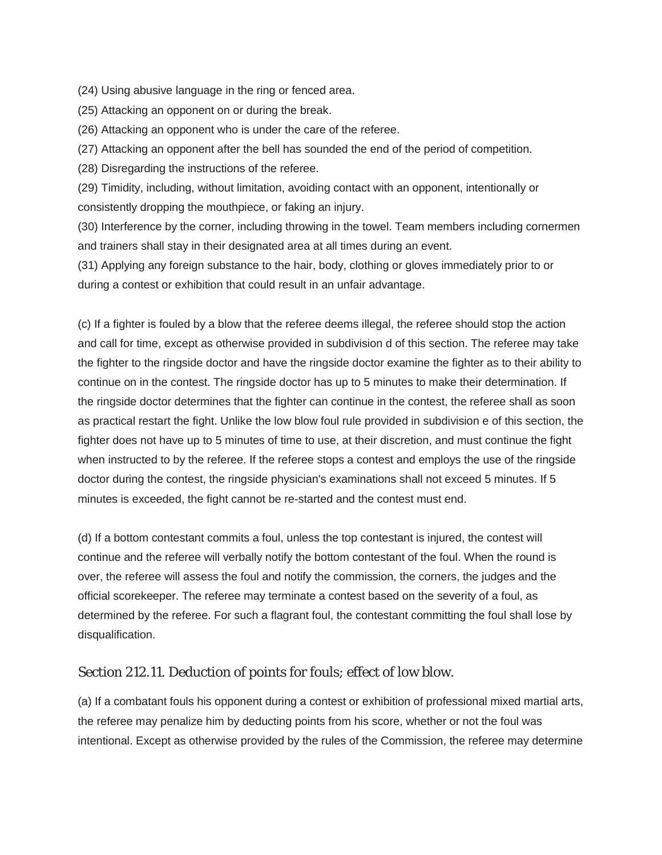(24) Using abusive language in the ring or fenced area.

(25) Attacking an opponent on or during the break.

(26) Attacking an opponent who is under the care of the referee.

(27) Attacking an opponent after the bell has sounded the end of the period of competition.

(28) Disregarding the instructions of the referee.

(29) Timidity, including, without limitation, avoiding contact with an opponent, intentionally or consistently dropping the mouthpiece, or faking an injury.

(30) Interference by the corner, including throwing in the towel. Team members including cornermen and trainers shall stay in their designated area at all times during an event.

(31) Applying any foreign substance to the hair, body, clothing or gloves immediately prior to or during a contest or exhibition that could result in an unfair advantage.

(c) If a fighter is fouled by a blow that the referee deems illegal, the referee should stop the action and call for time, except as otherwise provided in subdivision d of this section. The referee may take the fighter to the ringside doctor and have the ringside doctor examine the fighter as to their ability to continue on in the contest. The ringside doctor has up to 5 minutes to make their determination. If the ringside doctor determines that the fighter can continue in the contest, the referee shall as soon as practical restart the fight. Unlike the low blow foul rule provided in subdivision e of this section, the fighter does not have up to 5 minutes of time to use, at their discretion, and must continue the fight when instructed to by the referee. If the referee stops a contest and employs the use of the ringside doctor during the contest, the ringside physician's examinations shall not exceed 5 minutes. If 5 minutes is exceeded, the fight cannot be re-started and the contest must end.

(d) If a bottom contestant commits a foul, unless the top contestant is injured, the contest will continue and the referee will verbally notify the bottom contestant of the foul. When the round is over, the referee will assess the foul and notify the commission, the corners, the judges and the official scorekeeper. The referee may terminate a contest based on the severity of a foul, as determined by the referee. For such a flagrant foul, the contestant committing the foul shall lose by disqualification.

#### Section 212.11. Deduction of points for fouls; effect of low blow.

(a) If a combatant fouls his opponent during a contest or exhibition of professional mixed martial arts, the referee may penalize him by deducting points from his score, whether or not the foul was intentional. Except as otherwise provided by the rules of the Commission, the referee may determine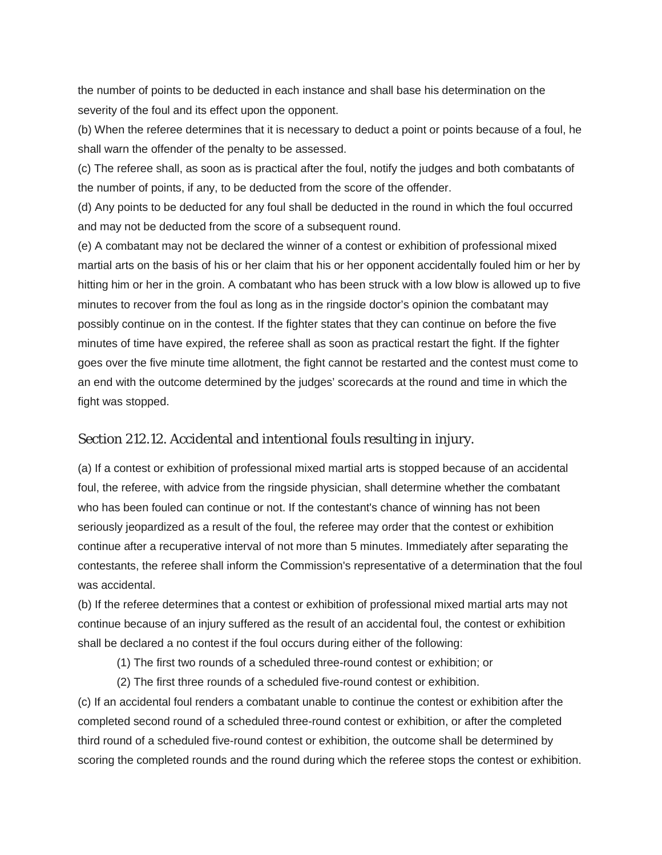the number of points to be deducted in each instance and shall base his determination on the severity of the foul and its effect upon the opponent.

(b) When the referee determines that it is necessary to deduct a point or points because of a foul, he shall warn the offender of the penalty to be assessed.

(c) The referee shall, as soon as is practical after the foul, notify the judges and both combatants of the number of points, if any, to be deducted from the score of the offender.

(d) Any points to be deducted for any foul shall be deducted in the round in which the foul occurred and may not be deducted from the score of a subsequent round.

(e) A combatant may not be declared the winner of a contest or exhibition of professional mixed martial arts on the basis of his or her claim that his or her opponent accidentally fouled him or her by hitting him or her in the groin. A combatant who has been struck with a low blow is allowed up to five minutes to recover from the foul as long as in the ringside doctor's opinion the combatant may possibly continue on in the contest. If the fighter states that they can continue on before the five minutes of time have expired, the referee shall as soon as practical restart the fight. If the fighter goes over the five minute time allotment, the fight cannot be restarted and the contest must come to an end with the outcome determined by the judges' scorecards at the round and time in which the fight was stopped.

#### Section 212.12. Accidental and intentional fouls resulting in injury.

(a) If a contest or exhibition of professional mixed martial arts is stopped because of an accidental foul, the referee, with advice from the ringside physician, shall determine whether the combatant who has been fouled can continue or not. If the contestant's chance of winning has not been seriously jeopardized as a result of the foul, the referee may order that the contest or exhibition continue after a recuperative interval of not more than 5 minutes. Immediately after separating the contestants, the referee shall inform the Commission's representative of a determination that the foul was accidental.

(b) If the referee determines that a contest or exhibition of professional mixed martial arts may not continue because of an injury suffered as the result of an accidental foul, the contest or exhibition shall be declared a no contest if the foul occurs during either of the following:

(1) The first two rounds of a scheduled three-round contest or exhibition; or

(2) The first three rounds of a scheduled five-round contest or exhibition.

(c) If an accidental foul renders a combatant unable to continue the contest or exhibition after the completed second round of a scheduled three-round contest or exhibition, or after the completed third round of a scheduled five-round contest or exhibition, the outcome shall be determined by scoring the completed rounds and the round during which the referee stops the contest or exhibition.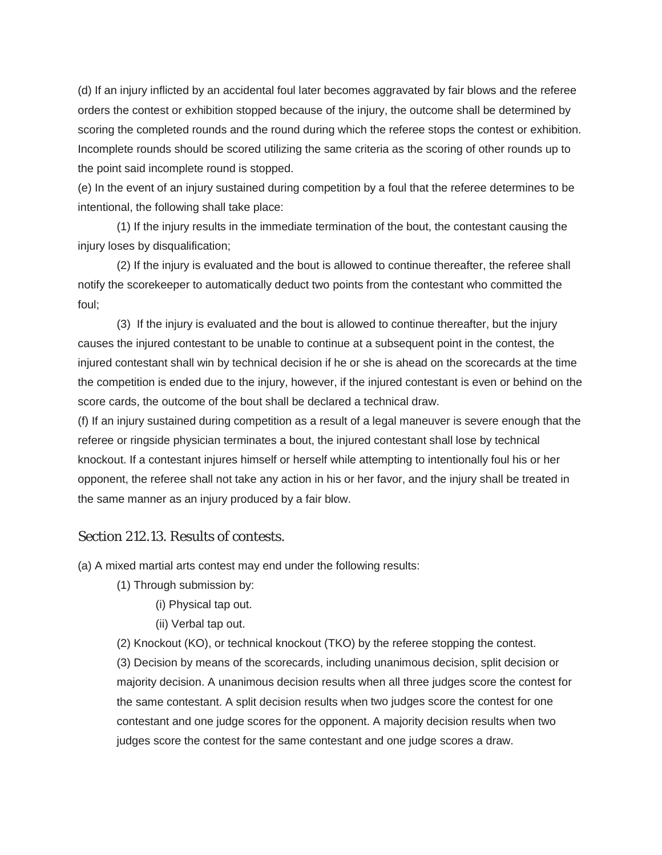(d) If an injury inflicted by an accidental foul later becomes aggravated by fair blows and the referee orders the contest or exhibition stopped because of the injury, the outcome shall be determined by scoring the completed rounds and the round during which the referee stops the contest or exhibition. Incomplete rounds should be scored utilizing the same criteria as the scoring of other rounds up to the point said incomplete round is stopped.

(e) In the event of an injury sustained during competition by a foul that the referee determines to be intentional, the following shall take place:

(1) If the injury results in the immediate termination of the bout, the contestant causing the injury loses by disqualification;

(2) If the injury is evaluated and the bout is allowed to continue thereafter, the referee shall notify the scorekeeper to automatically deduct two points from the contestant who committed the foul;

(3) If the injury is evaluated and the bout is allowed to continue thereafter, but the injury causes the injured contestant to be unable to continue at a subsequent point in the contest, the injured contestant shall win by technical decision if he or she is ahead on the scorecards at the time the competition is ended due to the injury, however, if the injured contestant is even or behind on the score cards, the outcome of the bout shall be declared a technical draw.

(f) If an injury sustained during competition as a result of a legal maneuver is severe enough that the referee or ringside physician terminates a bout, the injured contestant shall lose by technical knockout. If a contestant injures himself or herself while attempting to intentionally foul his or her opponent, the referee shall not take any action in his or her favor, and the injury shall be treated in the same manner as an injury produced by a fair blow.

#### Section 212.13. Results of contests.

(a) A mixed martial arts contest may end under the following results:

- (1) Through submission by:
	- (i) Physical tap out.
	- (ii) Verbal tap out.

(2) Knockout (KO), or technical knockout (TKO) by the referee stopping the contest.

(3) Decision by means of the scorecards, including unanimous decision, split decision or majority decision. A unanimous decision results when all three judges score the contest for the same contestant. A split decision results when two judges score the contest for one contestant and one judge scores for the opponent. A majority decision results when two judges score the contest for the same contestant and one judge scores a draw.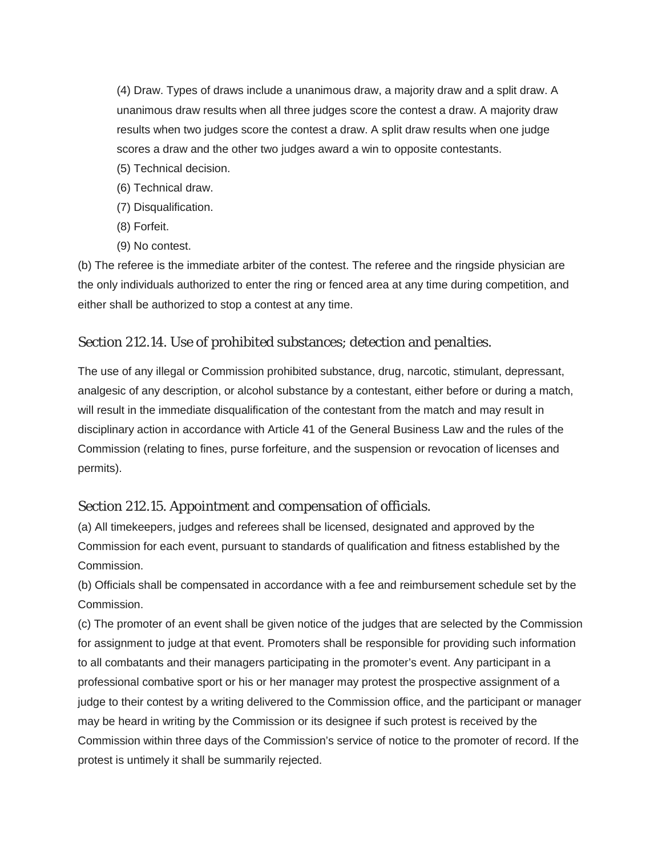(4) Draw. Types of draws include a unanimous draw, a majority draw and a split draw. A unanimous draw results when all three judges score the contest a draw. A majority draw results when two judges score the contest a draw. A split draw results when one judge scores a draw and the other two judges award a win to opposite contestants.

- (5) Technical decision.
- (6) Technical draw.
- (7) Disqualification.
- (8) Forfeit.
- (9) No contest.

(b) The referee is the immediate arbiter of the contest. The referee and the ringside physician are the only individuals authorized to enter the ring or fenced area at any time during competition, and either shall be authorized to stop a contest at any time.

### Section 212.14. Use of prohibited substances; detection and penalties.

The use of any illegal or Commission prohibited substance, drug, narcotic, stimulant, depressant, analgesic of any description, or alcohol substance by a contestant, either before or during a match, will result in the immediate disqualification of the contestant from the match and may result in disciplinary action in accordance with Article 41 of the General Business Law and the rules of the Commission (relating to fines, purse forfeiture, and the suspension or revocation of licenses and permits).

#### Section 212.15. Appointment and compensation of officials.

(a) All timekeepers, judges and referees shall be licensed, designated and approved by the Commission for each event, pursuant to standards of qualification and fitness established by the Commission.

(b) Officials shall be compensated in accordance with a fee and reimbursement schedule set by the Commission.

(c) The promoter of an event shall be given notice of the judges that are selected by the Commission for assignment to judge at that event. Promoters shall be responsible for providing such information to all combatants and their managers participating in the promoter's event. Any participant in a professional combative sport or his or her manager may protest the prospective assignment of a judge to their contest by a writing delivered to the Commission office, and the participant or manager may be heard in writing by the Commission or its designee if such protest is received by the Commission within three days of the Commission's service of notice to the promoter of record. If the protest is untimely it shall be summarily rejected.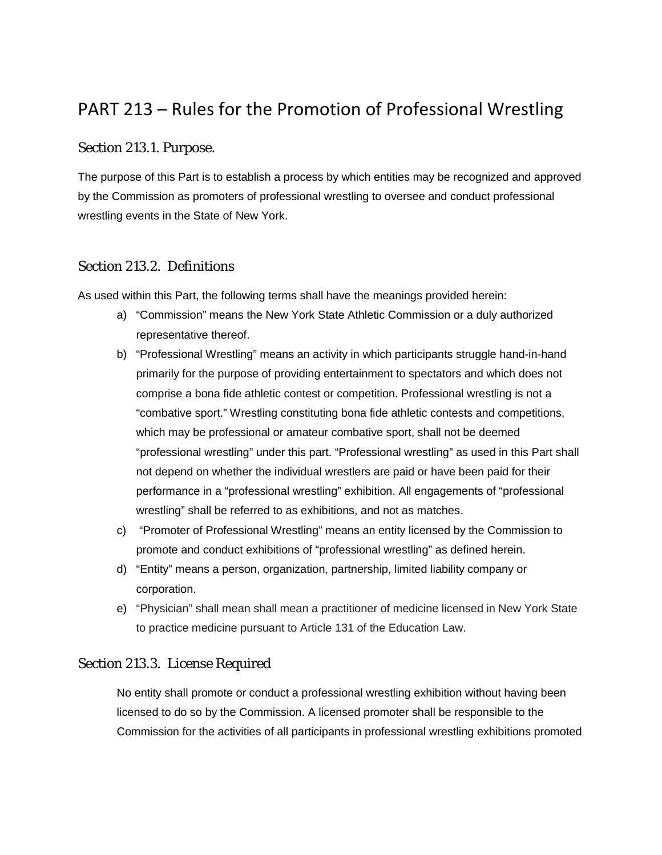# PART 213 – Rules for the Promotion of Professional Wrestling

# Section 213.1. Purpose.

The purpose of this Part is to establish a process by which entities may be recognized and approved by the Commission as promoters of professional wrestling to oversee and conduct professional wrestling events in the State of New York.

# Section 213.2. Definitions

As used within this Part, the following terms shall have the meanings provided herein:

- a) "Commission" means the New York State Athletic Commission or a duly authorized representative thereof.
- b) "Professional Wrestling" means an activity in which participants struggle hand-in-hand primarily for the purpose of providing entertainment to spectators and which does not comprise a bona fide athletic contest or competition. Professional wrestling is not a "combative sport." Wrestling constituting bona fide athletic contests and competitions, which may be professional or amateur combative sport, shall not be deemed "professional wrestling" under this part. "Professional wrestling" as used in this Part shall not depend on whether the individual wrestlers are paid or have been paid for their performance in a "professional wrestling" exhibition. All engagements of "professional wrestling" shall be referred to as exhibitions, and not as matches.
- c) "Promoter of Professional Wrestling" means an entity licensed by the Commission to promote and conduct exhibitions of "professional wrestling" as defined herein.
- d) "Entity" means a person, organization, partnership, limited liability company or corporation.
- e) "Physician" shall mean shall mean a practitioner of medicine licensed in New York State to practice medicine pursuant to Article 131 of the Education Law.

# Section 213.3. License Required

No entity shall promote or conduct a professional wrestling exhibition without having been licensed to do so by the Commission. A licensed promoter shall be responsible to the Commission for the activities of all participants in professional wrestling exhibitions promoted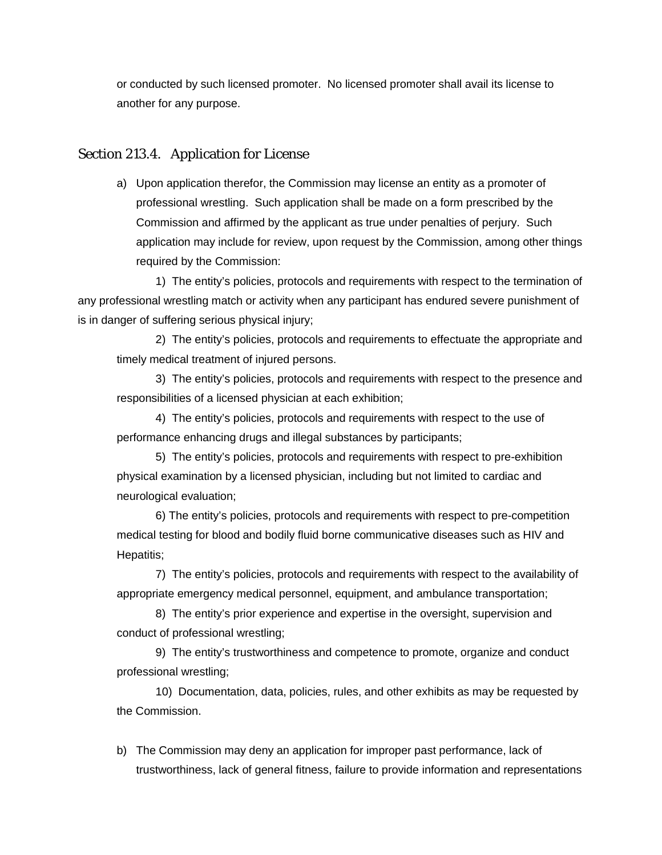or conducted by such licensed promoter. No licensed promoter shall avail its license to another for any purpose.

#### Section 213.4. Application for License

a) Upon application therefor, the Commission may license an entity as a promoter of professional wrestling. Such application shall be made on a form prescribed by the Commission and affirmed by the applicant as true under penalties of perjury. Such application may include for review, upon request by the Commission, among other things required by the Commission:

1) The entity's policies, protocols and requirements with respect to the termination of any professional wrestling match or activity when any participant has endured severe punishment of is in danger of suffering serious physical injury;

2) The entity's policies, protocols and requirements to effectuate the appropriate and timely medical treatment of injured persons.

3) The entity's policies, protocols and requirements with respect to the presence and responsibilities of a licensed physician at each exhibition;

4) The entity's policies, protocols and requirements with respect to the use of performance enhancing drugs and illegal substances by participants;

5) The entity's policies, protocols and requirements with respect to pre-exhibition physical examination by a licensed physician, including but not limited to cardiac and neurological evaluation;

6) The entity's policies, protocols and requirements with respect to pre-competition medical testing for blood and bodily fluid borne communicative diseases such as HIV and Hepatitis;

7) The entity's policies, protocols and requirements with respect to the availability of appropriate emergency medical personnel, equipment, and ambulance transportation;

8) The entity's prior experience and expertise in the oversight, supervision and conduct of professional wrestling;

9) The entity's trustworthiness and competence to promote, organize and conduct professional wrestling;

10) Documentation, data, policies, rules, and other exhibits as may be requested by the Commission.

b) The Commission may deny an application for improper past performance, lack of trustworthiness, lack of general fitness, failure to provide information and representations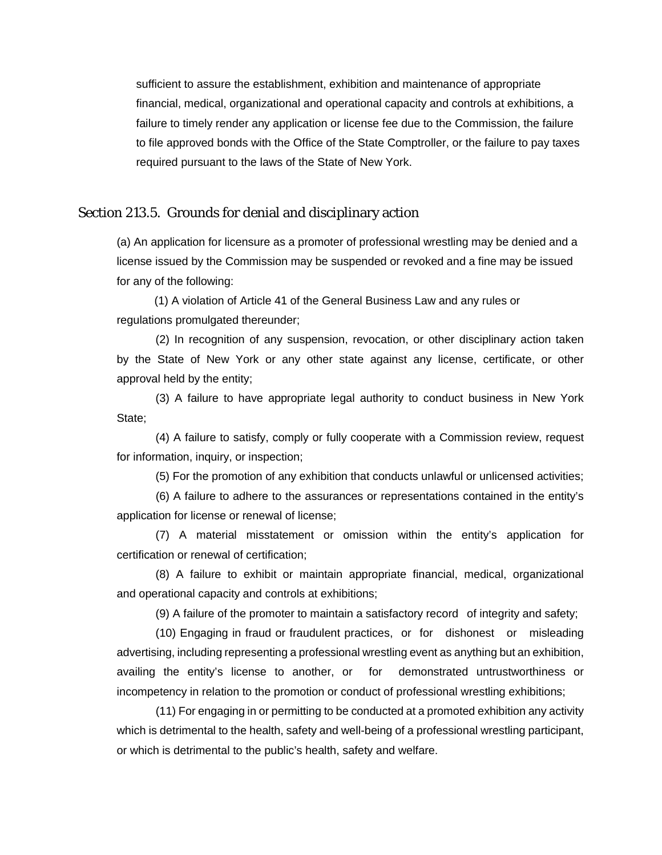sufficient to assure the establishment, exhibition and maintenance of appropriate financial, medical, organizational and operational capacity and controls at exhibitions, a failure to timely render any application or license fee due to the Commission, the failure to file approved bonds with the Office of the State Comptroller, or the failure to pay taxes required pursuant to the laws of the State of New York.

#### Section 213.5. Grounds for denial and disciplinary action

(a) An application for licensure as a promoter of professional wrestling may be denied and a license issued by the Commission may be suspended or revoked and a fine may be issued for any of the following:

 (1) A violation of Article 41 of the General Business Law and any rules or regulations promulgated thereunder;

(2) In recognition of any suspension, revocation, or other disciplinary action taken by the State of New York or any other state against any license, certificate, or other approval held by the entity;

(3) A failure to have appropriate legal authority to conduct business in New York State;

(4) A failure to satisfy, comply or fully cooperate with a Commission review, request for information, inquiry, or inspection;

(5) For the promotion of any exhibition that conducts unlawful or unlicensed activities;

(6) A failure to adhere to the assurances or representations contained in the entity's application for license or renewal of license;

(7) A material misstatement or omission within the entity's application for certification or renewal of certification;

(8) A failure to exhibit or maintain appropriate financial, medical, organizational and operational capacity and controls at exhibitions;

(9) A failure of the promoter to maintain a satisfactory record of integrity and safety;

(10) Engaging in fraud or fraudulent practices, or for dishonest or misleading advertising, including representing a professional wrestling event as anything but an exhibition, availing the entity's license to another, or for demonstrated untrustworthiness or incompetency in relation to the promotion or conduct of professional wrestling exhibitions;

(11) For engaging in or permitting to be conducted at a promoted exhibition any activity which is detrimental to the health, safety and well-being of a professional wrestling participant, or which is detrimental to the public's health, safety and welfare.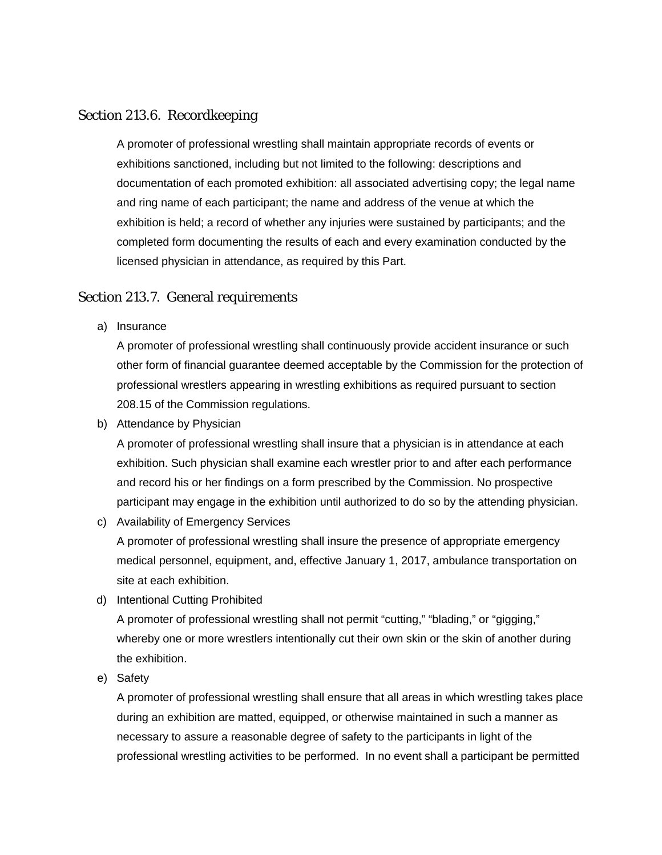#### Section 213.6. Recordkeeping

A promoter of professional wrestling shall maintain appropriate records of events or exhibitions sanctioned, including but not limited to the following: descriptions and documentation of each promoted exhibition: all associated advertising copy; the legal name and ring name of each participant; the name and address of the venue at which the exhibition is held; a record of whether any injuries were sustained by participants; and the completed form documenting the results of each and every examination conducted by the licensed physician in attendance, as required by this Part.

## Section 213.7. General requirements

a) Insurance

A promoter of professional wrestling shall continuously provide accident insurance or such other form of financial guarantee deemed acceptable by the Commission for the protection of professional wrestlers appearing in wrestling exhibitions as required pursuant to section 208.15 of the Commission regulations.

b) Attendance by Physician

A promoter of professional wrestling shall insure that a physician is in attendance at each exhibition. Such physician shall examine each wrestler prior to and after each performance and record his or her findings on a form prescribed by the Commission. No prospective participant may engage in the exhibition until authorized to do so by the attending physician.

c) Availability of Emergency Services

A promoter of professional wrestling shall insure the presence of appropriate emergency medical personnel, equipment, and, effective January 1, 2017, ambulance transportation on site at each exhibition.

d) Intentional Cutting Prohibited

A promoter of professional wrestling shall not permit "cutting," "blading," or "gigging," whereby one or more wrestlers intentionally cut their own skin or the skin of another during the exhibition.

e) Safety

A promoter of professional wrestling shall ensure that all areas in which wrestling takes place during an exhibition are matted, equipped, or otherwise maintained in such a manner as necessary to assure a reasonable degree of safety to the participants in light of the professional wrestling activities to be performed. In no event shall a participant be permitted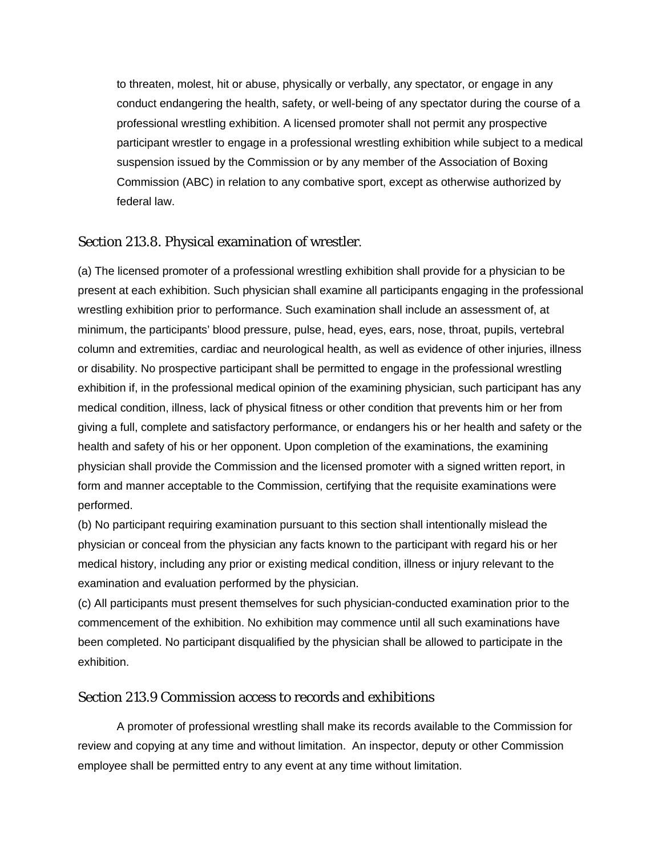to threaten, molest, hit or abuse, physically or verbally, any spectator, or engage in any conduct endangering the health, safety, or well-being of any spectator during the course of a professional wrestling exhibition. A licensed promoter shall not permit any prospective participant wrestler to engage in a professional wrestling exhibition while subject to a medical suspension issued by the Commission or by any member of the Association of Boxing Commission (ABC) in relation to any combative sport, except as otherwise authorized by federal law.

# Section 213.8. Physical examination of wrestler.

(a) The licensed promoter of a professional wrestling exhibition shall provide for a physician to be present at each exhibition. Such physician shall examine all participants engaging in the professional wrestling exhibition prior to performance. Such examination shall include an assessment of, at minimum, the participants' blood pressure, pulse, head, eyes, ears, nose, throat, pupils, vertebral column and extremities, cardiac and neurological health, as well as evidence of other injuries, illness or disability. No prospective participant shall be permitted to engage in the professional wrestling exhibition if, in the professional medical opinion of the examining physician, such participant has any medical condition, illness, lack of physical fitness or other condition that prevents him or her from giving a full, complete and satisfactory performance, or endangers his or her health and safety or the health and safety of his or her opponent. Upon completion of the examinations, the examining physician shall provide the Commission and the licensed promoter with a signed written report, in form and manner acceptable to the Commission, certifying that the requisite examinations were performed.

(b) No participant requiring examination pursuant to this section shall intentionally mislead the physician or conceal from the physician any facts known to the participant with regard his or her medical history, including any prior or existing medical condition, illness or injury relevant to the examination and evaluation performed by the physician.

(c) All participants must present themselves for such physician-conducted examination prior to the commencement of the exhibition. No exhibition may commence until all such examinations have been completed. No participant disqualified by the physician shall be allowed to participate in the exhibition.

#### Section 213.9 Commission access to records and exhibitions

A promoter of professional wrestling shall make its records available to the Commission for review and copying at any time and without limitation. An inspector, deputy or other Commission employee shall be permitted entry to any event at any time without limitation.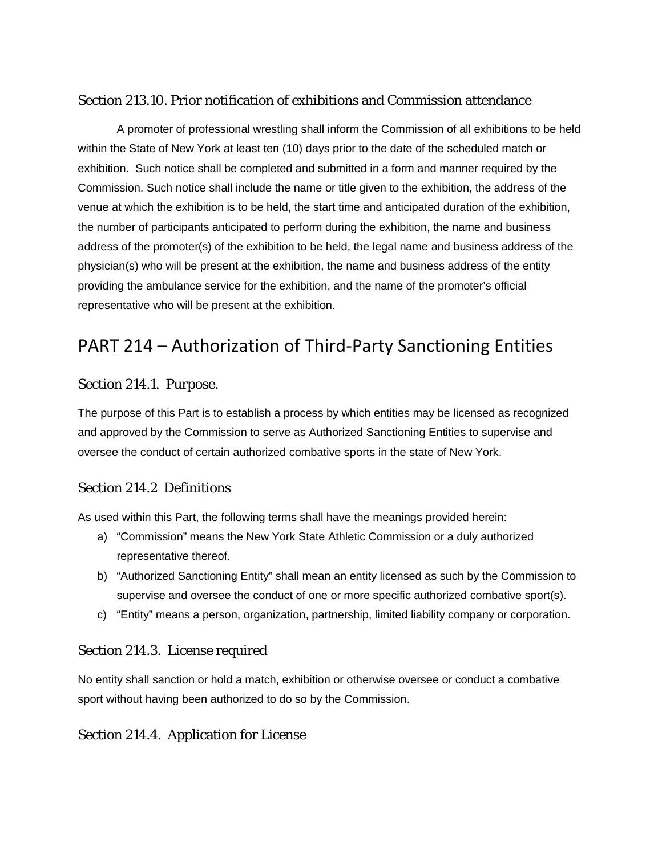# Section 213.10. Prior notification of exhibitions and Commission attendance

A promoter of professional wrestling shall inform the Commission of all exhibitions to be held within the State of New York at least ten (10) days prior to the date of the scheduled match or exhibition. Such notice shall be completed and submitted in a form and manner required by the Commission. Such notice shall include the name or title given to the exhibition, the address of the venue at which the exhibition is to be held, the start time and anticipated duration of the exhibition, the number of participants anticipated to perform during the exhibition, the name and business address of the promoter(s) of the exhibition to be held, the legal name and business address of the physician(s) who will be present at the exhibition, the name and business address of the entity providing the ambulance service for the exhibition, and the name of the promoter's official representative who will be present at the exhibition.

# PART 214 – Authorization of Third-Party Sanctioning Entities

# Section 214.1. Purpose.

The purpose of this Part is to establish a process by which entities may be licensed as recognized and approved by the Commission to serve as Authorized Sanctioning Entities to supervise and oversee the conduct of certain authorized combative sports in the state of New York.

# Section 214.2 Definitions

As used within this Part, the following terms shall have the meanings provided herein:

- a) "Commission" means the New York State Athletic Commission or a duly authorized representative thereof.
- b) "Authorized Sanctioning Entity" shall mean an entity licensed as such by the Commission to supervise and oversee the conduct of one or more specific authorized combative sport(s).
- c) "Entity" means a person, organization, partnership, limited liability company or corporation.

# Section 214.3. License required

No entity shall sanction or hold a match, exhibition or otherwise oversee or conduct a combative sport without having been authorized to do so by the Commission.

# Section 214.4. Application for License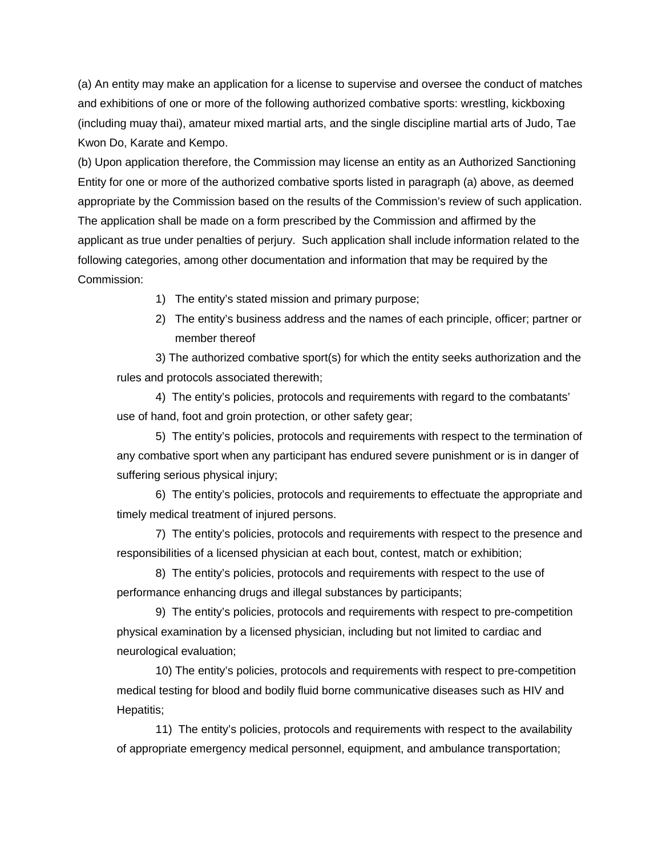(a) An entity may make an application for a license to supervise and oversee the conduct of matches and exhibitions of one or more of the following authorized combative sports: wrestling, kickboxing (including muay thai), amateur mixed martial arts, and the single discipline martial arts of Judo, Tae Kwon Do, Karate and Kempo.

(b) Upon application therefore, the Commission may license an entity as an Authorized Sanctioning Entity for one or more of the authorized combative sports listed in paragraph (a) above, as deemed appropriate by the Commission based on the results of the Commission's review of such application. The application shall be made on a form prescribed by the Commission and affirmed by the applicant as true under penalties of perjury. Such application shall include information related to the following categories, among other documentation and information that may be required by the Commission:

1) The entity's stated mission and primary purpose;

2) The entity's business address and the names of each principle, officer; partner or member thereof

3) The authorized combative sport(s) for which the entity seeks authorization and the rules and protocols associated therewith;

4) The entity's policies, protocols and requirements with regard to the combatants' use of hand, foot and groin protection, or other safety gear;

5) The entity's policies, protocols and requirements with respect to the termination of any combative sport when any participant has endured severe punishment or is in danger of suffering serious physical injury;

6) The entity's policies, protocols and requirements to effectuate the appropriate and timely medical treatment of injured persons.

7) The entity's policies, protocols and requirements with respect to the presence and responsibilities of a licensed physician at each bout, contest, match or exhibition;

8) The entity's policies, protocols and requirements with respect to the use of performance enhancing drugs and illegal substances by participants;

9) The entity's policies, protocols and requirements with respect to pre-competition physical examination by a licensed physician, including but not limited to cardiac and neurological evaluation;

10) The entity's policies, protocols and requirements with respect to pre-competition medical testing for blood and bodily fluid borne communicative diseases such as HIV and Hepatitis;

11) The entity's policies, protocols and requirements with respect to the availability of appropriate emergency medical personnel, equipment, and ambulance transportation;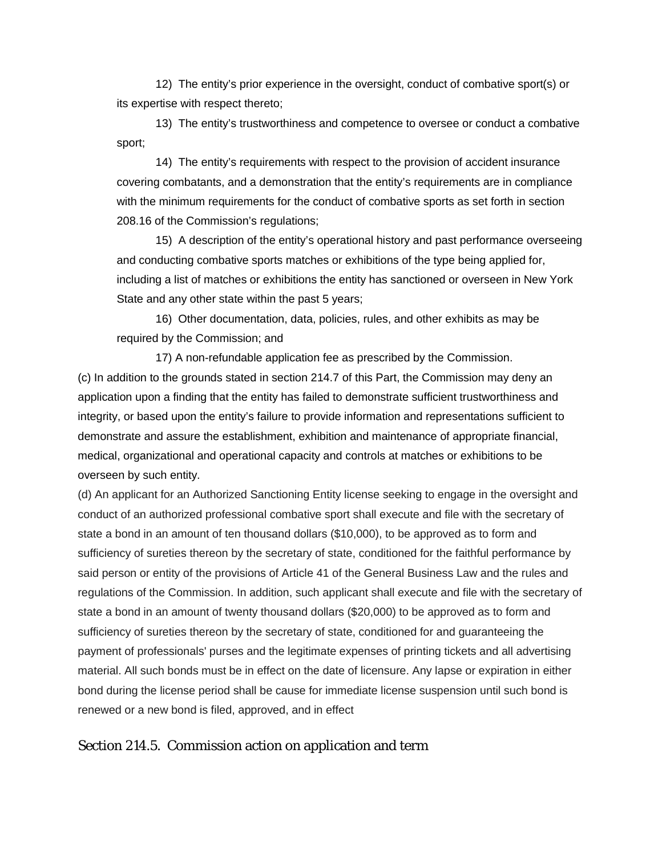12) The entity's prior experience in the oversight, conduct of combative sport(s) or its expertise with respect thereto;

13) The entity's trustworthiness and competence to oversee or conduct a combative sport;

14) The entity's requirements with respect to the provision of accident insurance covering combatants, and a demonstration that the entity's requirements are in compliance with the minimum requirements for the conduct of combative sports as set forth in section 208.16 of the Commission's regulations;

15) A description of the entity's operational history and past performance overseeing and conducting combative sports matches or exhibitions of the type being applied for, including a list of matches or exhibitions the entity has sanctioned or overseen in New York State and any other state within the past 5 years;

16) Other documentation, data, policies, rules, and other exhibits as may be required by the Commission; and

17) A non-refundable application fee as prescribed by the Commission. (c) In addition to the grounds stated in section 214.7 of this Part, the Commission may deny an application upon a finding that the entity has failed to demonstrate sufficient trustworthiness and integrity, or based upon the entity's failure to provide information and representations sufficient to demonstrate and assure the establishment, exhibition and maintenance of appropriate financial, medical, organizational and operational capacity and controls at matches or exhibitions to be overseen by such entity.

(d) An applicant for an Authorized Sanctioning Entity license seeking to engage in the oversight and conduct of an authorized professional combative sport shall execute and file with the secretary of state a bond in an amount of ten thousand dollars (\$10,000), to be approved as to form and sufficiency of sureties thereon by the secretary of state, conditioned for the faithful performance by said person or entity of the provisions of Article 41 of the General Business Law and the rules and regulations of the Commission. In addition, such applicant shall execute and file with the secretary of state a bond in an amount of twenty thousand dollars (\$20,000) to be approved as to form and sufficiency of sureties thereon by the secretary of state, conditioned for and guaranteeing the payment of professionals' purses and the legitimate expenses of printing tickets and all advertising material. All such bonds must be in effect on the date of licensure. Any lapse or expiration in either bond during the license period shall be cause for immediate license suspension until such bond is renewed or a new bond is filed, approved, and in effect

#### Section 214.5. Commission action on application and term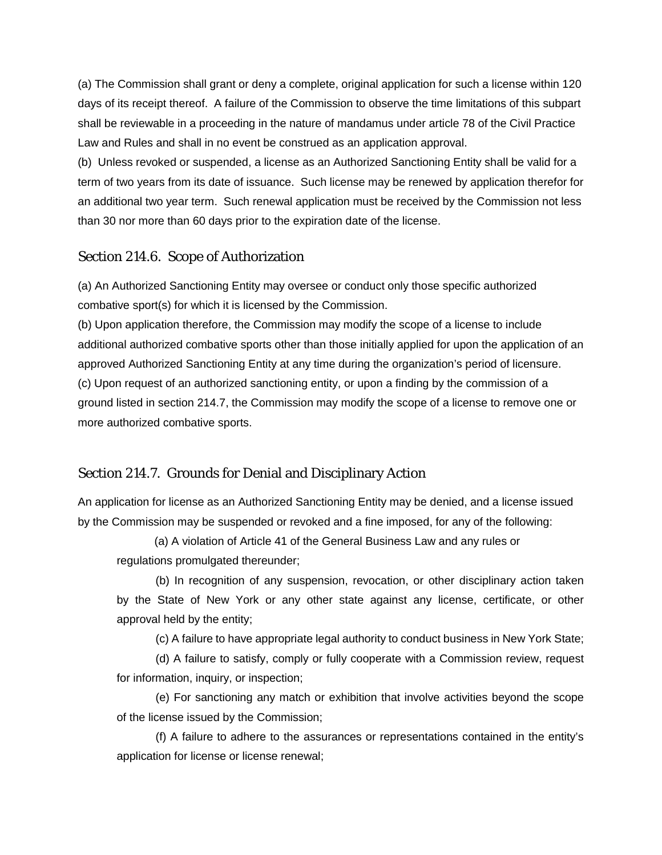(a) The Commission shall grant or deny a complete, original application for such a license within 120 days of its receipt thereof. A failure of the Commission to observe the time limitations of this subpart shall be reviewable in a proceeding in the nature of mandamus under article 78 of the Civil Practice Law and Rules and shall in no event be construed as an application approval.

(b) Unless revoked or suspended, a license as an Authorized Sanctioning Entity shall be valid for a term of two years from its date of issuance. Such license may be renewed by application therefor for an additional two year term. Such renewal application must be received by the Commission not less than 30 nor more than 60 days prior to the expiration date of the license.

#### Section 214.6. Scope of Authorization

(a) An Authorized Sanctioning Entity may oversee or conduct only those specific authorized combative sport(s) for which it is licensed by the Commission.

(b) Upon application therefore, the Commission may modify the scope of a license to include additional authorized combative sports other than those initially applied for upon the application of an approved Authorized Sanctioning Entity at any time during the organization's period of licensure. (c) Upon request of an authorized sanctioning entity, or upon a finding by the commission of a ground listed in section 214.7, the Commission may modify the scope of a license to remove one or more authorized combative sports.

# Section 214.7. Grounds for Denial and Disciplinary Action

An application for license as an Authorized Sanctioning Entity may be denied, and a license issued by the Commission may be suspended or revoked and a fine imposed, for any of the following:

 (a) A violation of Article 41 of the General Business Law and any rules or regulations promulgated thereunder;

(b) In recognition of any suspension, revocation, or other disciplinary action taken by the State of New York or any other state against any license, certificate, or other approval held by the entity;

(c) A failure to have appropriate legal authority to conduct business in New York State;

(d) A failure to satisfy, comply or fully cooperate with a Commission review, request for information, inquiry, or inspection;

(e) For sanctioning any match or exhibition that involve activities beyond the scope of the license issued by the Commission;

(f) A failure to adhere to the assurances or representations contained in the entity's application for license or license renewal;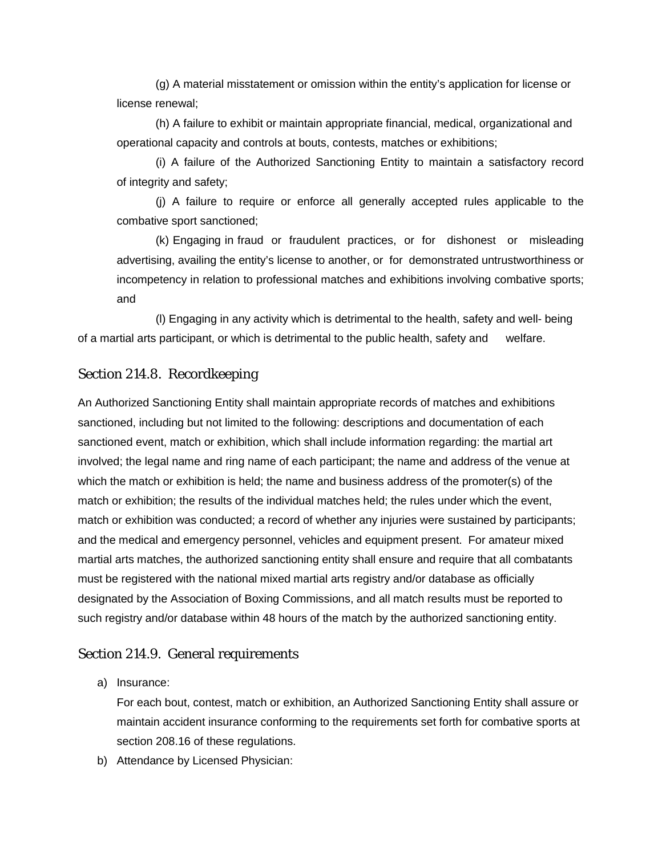(g) A material misstatement or omission within the entity's application for license or license renewal;

(h) A failure to exhibit or maintain appropriate financial, medical, organizational and operational capacity and controls at bouts, contests, matches or exhibitions;

(i) A failure of the Authorized Sanctioning Entity to maintain a satisfactory record of integrity and safety;

(j) A failure to require or enforce all generally accepted rules applicable to the combative sport sanctioned;

(k) Engaging in fraud or fraudulent practices, or for dishonest or misleading advertising, availing the entity's license to another, or for demonstrated untrustworthiness or incompetency in relation to professional matches and exhibitions involving combative sports; and

(l) Engaging in any activity which is detrimental to the health, safety and well- being of a martial arts participant, or which is detrimental to the public health, safety and welfare.

# Section 214.8. Recordkeeping

An Authorized Sanctioning Entity shall maintain appropriate records of matches and exhibitions sanctioned, including but not limited to the following: descriptions and documentation of each sanctioned event, match or exhibition, which shall include information regarding: the martial art involved; the legal name and ring name of each participant; the name and address of the venue at which the match or exhibition is held; the name and business address of the promoter(s) of the match or exhibition; the results of the individual matches held; the rules under which the event, match or exhibition was conducted; a record of whether any injuries were sustained by participants; and the medical and emergency personnel, vehicles and equipment present. For amateur mixed martial arts matches, the authorized sanctioning entity shall ensure and require that all combatants must be registered with the national mixed martial arts registry and/or database as officially designated by the Association of Boxing Commissions, and all match results must be reported to such registry and/or database within 48 hours of the match by the authorized sanctioning entity.

# Section 214.9. General requirements

a) Insurance:

For each bout, contest, match or exhibition, an Authorized Sanctioning Entity shall assure or maintain accident insurance conforming to the requirements set forth for combative sports at section 208.16 of these regulations.

b) Attendance by Licensed Physician: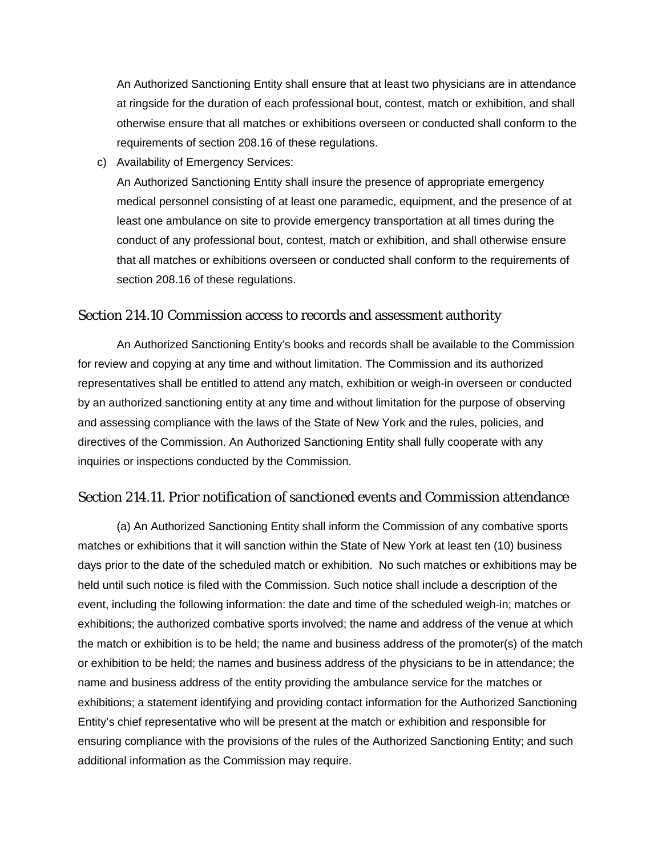An Authorized Sanctioning Entity shall ensure that at least two physicians are in attendance at ringside for the duration of each professional bout, contest, match or exhibition, and shall otherwise ensure that all matches or exhibitions overseen or conducted shall conform to the requirements of section 208.16 of these regulations.

c) Availability of Emergency Services:

An Authorized Sanctioning Entity shall insure the presence of appropriate emergency medical personnel consisting of at least one paramedic, equipment, and the presence of at least one ambulance on site to provide emergency transportation at all times during the conduct of any professional bout, contest, match or exhibition, and shall otherwise ensure that all matches or exhibitions overseen or conducted shall conform to the requirements of section 208.16 of these regulations.

#### Section 214.10 Commission access to records and assessment authority

An Authorized Sanctioning Entity's books and records shall be available to the Commission for review and copying at any time and without limitation. The Commission and its authorized representatives shall be entitled to attend any match, exhibition or weigh-in overseen or conducted by an authorized sanctioning entity at any time and without limitation for the purpose of observing and assessing compliance with the laws of the State of New York and the rules, policies, and directives of the Commission. An Authorized Sanctioning Entity shall fully cooperate with any inquiries or inspections conducted by the Commission.

# Section 214.11. Prior notification of sanctioned events and Commission attendance

(a) An Authorized Sanctioning Entity shall inform the Commission of any combative sports matches or exhibitions that it will sanction within the State of New York at least ten (10) business days prior to the date of the scheduled match or exhibition. No such matches or exhibitions may be held until such notice is filed with the Commission. Such notice shall include a description of the event, including the following information: the date and time of the scheduled weigh-in; matches or exhibitions; the authorized combative sports involved; the name and address of the venue at which the match or exhibition is to be held; the name and business address of the promoter(s) of the match or exhibition to be held; the names and business address of the physicians to be in attendance; the name and business address of the entity providing the ambulance service for the matches or exhibitions; a statement identifying and providing contact information for the Authorized Sanctioning Entity's chief representative who will be present at the match or exhibition and responsible for ensuring compliance with the provisions of the rules of the Authorized Sanctioning Entity; and such additional information as the Commission may require.